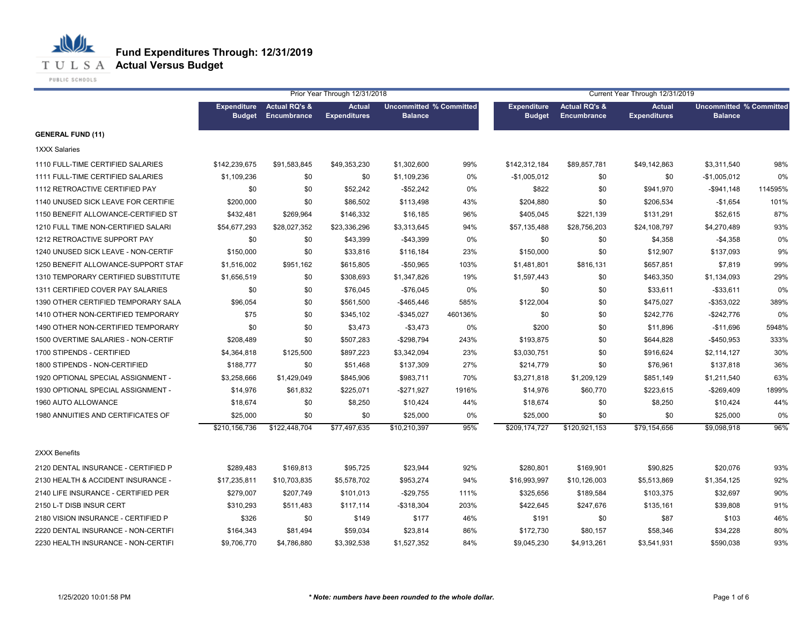

PUBLIC SCHOOLS

|                                     |                                     |                                         | Prior Year Through 12/31/2018        |                                                  |         |                                     | Current Year Through 12/31/2019 |                                      |                                                  |         |
|-------------------------------------|-------------------------------------|-----------------------------------------|--------------------------------------|--------------------------------------------------|---------|-------------------------------------|---------------------------------|--------------------------------------|--------------------------------------------------|---------|
|                                     | <b>Expenditure</b><br><b>Budget</b> | <b>Actual RQ's &amp;</b><br>Encumbrance | <b>Actual</b><br><b>Expenditures</b> | <b>Uncommitted % Committed</b><br><b>Balance</b> |         | <b>Expenditure</b><br><b>Budget</b> | Actual RQ's &<br>Encumbrance    | <b>Actual</b><br><b>Expenditures</b> | <b>Uncommitted % Committed</b><br><b>Balance</b> |         |
| <b>GENERAL FUND (11)</b>            |                                     |                                         |                                      |                                                  |         |                                     |                                 |                                      |                                                  |         |
| <b>1XXX Salaries</b>                |                                     |                                         |                                      |                                                  |         |                                     |                                 |                                      |                                                  |         |
| 1110 FULL-TIME CERTIFIED SALARIES   | \$142,239,675                       | \$91,583,845                            | \$49,353,230                         | \$1,302,600                                      | 99%     | \$142,312,184                       | \$89,857,781                    | \$49,142,863                         | \$3,311,540                                      | 98%     |
| 1111 FULL-TIME CERTIFIED SALARIES   | \$1,109,236                         | \$0                                     | \$0                                  | \$1,109,236                                      | 0%      | $-$1,005,012$                       | \$0                             | \$0                                  | $-$1,005,012$                                    | 0%      |
| 1112 RETROACTIVE CERTIFIED PAY      | \$0                                 | \$0                                     | \$52,242                             | $-$52,242$                                       | 0%      | \$822                               | \$0                             | \$941,970                            | $-$941,148$                                      | 114595% |
| 1140 UNUSED SICK LEAVE FOR CERTIFIE | \$200,000                           | \$0                                     | \$86,502                             | \$113,498                                        | 43%     | \$204,880                           | \$0                             | \$206,534                            | $-$1,654$                                        | 101%    |
| 1150 BENEFIT ALLOWANCE-CERTIFIED ST | \$432,481                           | \$269,964                               | \$146,332                            | \$16,185                                         | 96%     | \$405,045                           | \$221,139                       | \$131,291                            | \$52,615                                         | 87%     |
| 1210 FULL TIME NON-CERTIFIED SALARI | \$54,677,293                        | \$28,027,352                            | \$23,336,296                         | \$3,313,645                                      | 94%     | \$57,135,488                        | \$28,756,203                    | \$24,108,797                         | \$4,270,489                                      | 93%     |
| 1212 RETROACTIVE SUPPORT PAY        | \$0                                 | \$0                                     | \$43,399                             | $-$43,399$                                       | 0%      | \$0                                 | \$0                             | \$4,358                              | $-$4,358$                                        | 0%      |
| 1240 UNUSED SICK LEAVE - NON-CERTIF | \$150,000                           | \$0                                     | \$33,816                             | \$116,184                                        | 23%     | \$150,000                           | \$0                             | \$12,907                             | \$137,093                                        | 9%      |
| 1250 BENEFIT ALLOWANCE-SUPPORT STAF | \$1,516,002                         | \$951,162                               | \$615,805                            | $-$50,965$                                       | 103%    | \$1,481,801                         | \$816,131                       | \$657,851                            | \$7,819                                          | 99%     |
| 1310 TEMPORARY CERTIFIED SUBSTITUTE | \$1,656,519                         | \$0                                     | \$308,693                            | \$1,347,826                                      | 19%     | \$1,597,443                         | \$0                             | \$463,350                            | \$1,134,093                                      | 29%     |
| 1311 CERTIFIED COVER PAY SALARIES   | \$0                                 | \$0                                     | \$76,045                             | $-$76,045$                                       | 0%      | \$0                                 | \$0                             | \$33,611                             | $-$ \$33,611                                     | 0%      |
| 1390 OTHER CERTIFIED TEMPORARY SALA | \$96,054                            | \$0                                     | \$561,500                            | $-$ \$465,446                                    | 585%    | \$122,004                           | \$0                             | \$475,027                            | $-$ \$353,022                                    | 389%    |
| 1410 OTHER NON-CERTIFIED TEMPORARY  | \$75                                | \$0                                     | \$345,102                            | $-$345,027$                                      | 460136% | \$0                                 | \$0                             | \$242,776                            | $-$242,776$                                      | 0%      |
| 1490 OTHER NON-CERTIFIED TEMPORARY  | \$0                                 | \$0                                     | \$3,473                              | $-$3,473$                                        | 0%      | \$200                               | \$0                             | \$11,896                             | $-$11,696$                                       | 5948%   |
| 1500 OVERTIME SALARIES - NON-CERTIF | \$208,489                           | \$0                                     | \$507,283                            | $-$298,794$                                      | 243%    | \$193,875                           | \$0                             | \$644,828                            | $-$450,953$                                      | 333%    |
| 1700 STIPENDS - CERTIFIED           | \$4,364,818                         | \$125,500                               | \$897,223                            | \$3,342,094                                      | 23%     | \$3,030,751                         | \$0                             | \$916,624                            | \$2,114,127                                      | 30%     |
| 1800 STIPENDS - NON-CERTIFIED       | \$188,777                           | \$0                                     | \$51,468                             | \$137,309                                        | 27%     | \$214,779                           | \$0                             | \$76,961                             | \$137,818                                        | 36%     |
| 1920 OPTIONAL SPECIAL ASSIGNMENT -  | \$3,258,666                         | \$1,429,049                             | \$845,906                            | \$983,711                                        | 70%     | \$3,271,818                         | \$1,209,129                     | \$851,149                            | \$1,211,540                                      | 63%     |
| 1930 OPTIONAL SPECIAL ASSIGNMENT -  | \$14,976                            | \$61,832                                | \$225,071                            | $-$ \$271,927                                    | 1916%   | \$14,976                            | \$60,770                        | \$223,615                            | $-$269,409$                                      | 1899%   |
| 1960 AUTO ALLOWANCE                 | \$18,674                            | \$0                                     | \$8,250                              | \$10,424                                         | 44%     | \$18,674                            | \$0                             | \$8,250                              | \$10,424                                         | 44%     |
| 1980 ANNUITIES AND CERTIFICATES OF  | \$25,000                            | \$0                                     | \$0                                  | \$25,000                                         | 0%      | \$25,000                            | \$0                             | \$0                                  | \$25,000                                         | 0%      |
|                                     | \$210,156,736                       | \$122,448,704                           | \$77,497,635                         | \$10,210,397                                     | 95%     | \$209,174,727                       | \$120,921,153                   | \$79,154,656                         | \$9,098,918                                      | 96%     |
| 2XXX Benefits                       |                                     |                                         |                                      |                                                  |         |                                     |                                 |                                      |                                                  |         |
| 2120 DENTAL INSURANCE - CERTIFIED P | \$289,483                           | \$169,813                               | \$95,725                             | \$23,944                                         | 92%     | \$280,801                           | \$169,901                       | \$90,825                             | \$20,076                                         | 93%     |
| 2130 HEALTH & ACCIDENT INSURANCE -  | \$17,235,811                        | \$10,703,835                            | \$5,578,702                          | \$953,274                                        | 94%     | \$16,993,997                        | \$10,126,003                    | \$5,513,869                          | \$1,354,125                                      | 92%     |
| 2140 LIFE INSURANCE - CERTIFIED PER | \$279,007                           | \$207,749                               | \$101,013                            | $-$29,755$                                       | 111%    | \$325,656                           | \$189,584                       | \$103,375                            | \$32,697                                         | 90%     |
| 2150 L-T DISB INSUR CERT            | \$310,293                           | \$511,483                               | \$117,114                            | $-$318,304$                                      | 203%    | \$422,645                           | \$247,676                       | \$135,161                            | \$39,808                                         | 91%     |
| 2180 VISION INSURANCE - CERTIFIED P | \$326                               | \$0                                     | \$149                                | \$177                                            | 46%     | \$191                               | \$0                             | \$87                                 | \$103                                            | 46%     |
| 2220 DENTAL INSURANCE - NON-CERTIFI | \$164,343                           | \$81,494                                | \$59,034                             | \$23,814                                         | 86%     | \$172,730                           | \$80,157                        | \$58,346                             | \$34,228                                         | 80%     |
| 2230 HEALTH INSURANCE - NON-CERTIFI | \$9,706,770                         | \$4,786,880                             | \$3,392,538                          | \$1,527,352                                      | 84%     | \$9,045,230                         | \$4,913,261                     | \$3,541,931                          | \$590,038                                        | 93%     |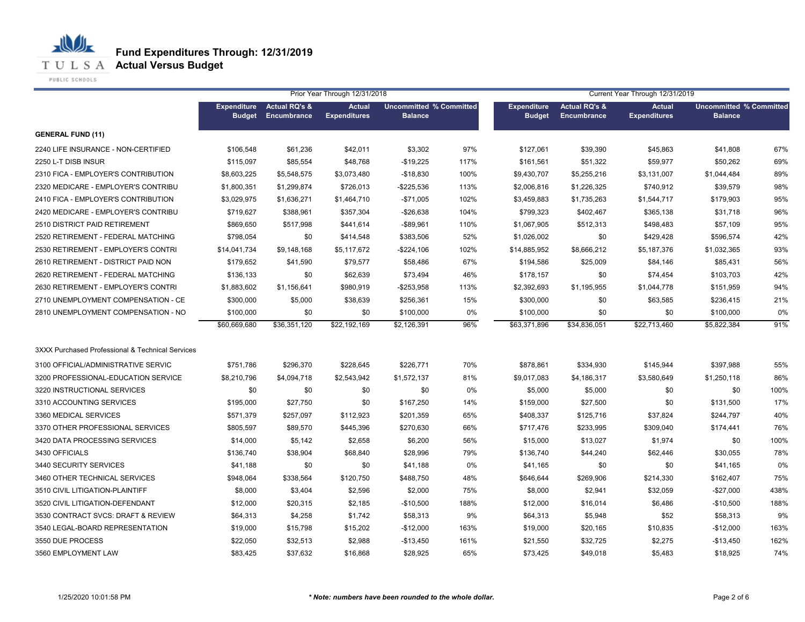**T U L S A Actual Versus Budget** 

PUBLIC SCHOOLS

|                                                  |                                     |                                         | Prior Year Through 12/31/2018        |                                                  |      |                                     |                                                | Current Year Through 12/31/2019      |                                                  |      |
|--------------------------------------------------|-------------------------------------|-----------------------------------------|--------------------------------------|--------------------------------------------------|------|-------------------------------------|------------------------------------------------|--------------------------------------|--------------------------------------------------|------|
|                                                  | <b>Expenditure</b><br><b>Budget</b> | <b>Actual RQ's &amp;</b><br>Encumbrance | <b>Actual</b><br><b>Expenditures</b> | <b>Uncommitted % Committed</b><br><b>Balance</b> |      | <b>Expenditure</b><br><b>Budget</b> | <b>Actual RQ's &amp;</b><br><b>Encumbrance</b> | <b>Actual</b><br><b>Expenditures</b> | <b>Uncommitted % Committed</b><br><b>Balance</b> |      |
| <b>GENERAL FUND (11)</b>                         |                                     |                                         |                                      |                                                  |      |                                     |                                                |                                      |                                                  |      |
| 2240 LIFE INSURANCE - NON-CERTIFIED              | \$106.548                           | \$61,236                                | \$42,011                             | \$3,302                                          | 97%  | \$127,061                           | \$39,390                                       | \$45,863                             | \$41,808                                         | 67%  |
| 2250 L-T DISB INSUR                              | \$115,097                           | \$85,554                                | \$48,768                             | $-$19,225$                                       | 117% | \$161,561                           | \$51,322                                       | \$59,977                             | \$50,262                                         | 69%  |
| 2310 FICA - EMPLOYER'S CONTRIBUTION              | \$8,603,225                         | \$5,548,575                             | \$3,073,480                          | $-$18,830$                                       | 100% | \$9,430,707                         | \$5,255,216                                    | \$3,131,007                          | \$1,044,484                                      | 89%  |
| 2320 MEDICARE - EMPLOYER'S CONTRIBU              | \$1,800,351                         | \$1,299,874                             | \$726,013                            | -\$225,536                                       | 113% | \$2,006,816                         | \$1,226,325                                    | \$740,912                            | \$39,579                                         | 98%  |
| 2410 FICA - EMPLOYER'S CONTRIBUTION              | \$3,029,975                         | \$1,636,271                             | \$1,464,710                          | $-$71,005$                                       | 102% | \$3,459,883                         | \$1,735,263                                    | \$1,544,717                          | \$179,903                                        | 95%  |
| 2420 MEDICARE - EMPLOYER'S CONTRIBU              | \$719,627                           | \$388,961                               | \$357,304                            | $-$26,638$                                       | 104% | \$799,323                           | \$402,467                                      | \$365,138                            | \$31,718                                         | 96%  |
| 2510 DISTRICT PAID RETIREMENT                    | \$869,650                           | \$517,998                               | \$441,614                            | $-$ \$89,961                                     | 110% | \$1,067,905                         | \$512,313                                      | \$498,483                            | \$57,109                                         | 95%  |
| 2520 RETIREMENT - FEDERAL MATCHING               | \$798,054                           | \$0                                     | \$414,548                            | \$383,506                                        | 52%  | \$1,026,002                         | \$0                                            | \$429,428                            | \$596,574                                        | 42%  |
| 2530 RETIREMENT - EMPLOYER'S CONTRI              | \$14,041,734                        | \$9,148,168                             | \$5,117,672                          | $-$ \$224,106                                    | 102% | \$14,885,952                        | \$8,666,212                                    | \$5,187,376                          | \$1,032,365                                      | 93%  |
| 2610 RETIREMENT - DISTRICT PAID NON              | \$179,652                           | \$41,590                                | \$79,577                             | \$58,486                                         | 67%  | \$194,586                           | \$25,009                                       | \$84,146                             | \$85,431                                         | 56%  |
| 2620 RETIREMENT - FEDERAL MATCHING               | \$136,133                           | \$0                                     | \$62,639                             | \$73,494                                         | 46%  | \$178,157                           | \$0                                            | \$74,454                             | \$103,703                                        | 42%  |
| 2630 RETIREMENT - EMPLOYER'S CONTRI              | \$1,883,602                         | \$1,156,641                             | \$980,919                            | $-$253,958$                                      | 113% | \$2,392,693                         | \$1,195,955                                    | \$1,044,778                          | \$151,959                                        | 94%  |
| 2710 UNEMPLOYMENT COMPENSATION - CE              | \$300,000                           | \$5,000                                 | \$38,639                             | \$256,361                                        | 15%  | \$300,000                           | \$0                                            | \$63,585                             | \$236,415                                        | 21%  |
| 2810 UNEMPLOYMENT COMPENSATION - NO              | \$100,000                           | \$0                                     | \$0                                  | \$100,000                                        | 0%   | \$100,000                           | \$0                                            | \$0                                  | \$100,000                                        | 0%   |
|                                                  | \$60,669,680                        | \$36,351,120                            | \$22,192,169                         | \$2,126,391                                      | 96%  | \$63,371,896                        | \$34,836,051                                   | \$22,713,460                         | \$5,822,384                                      | 91%  |
| 3XXX Purchased Professional & Technical Services |                                     |                                         |                                      |                                                  |      |                                     |                                                |                                      |                                                  |      |
| 3100 OFFICIAL/ADMINISTRATIVE SERVIC              | \$751,786                           | \$296,370                               | \$228,645                            | \$226,771                                        | 70%  | \$878,861                           | \$334,930                                      | \$145,944                            | \$397,988                                        | 55%  |
| 3200 PROFESSIONAL-EDUCATION SERVICE              | \$8,210,796                         | \$4,094,718                             | \$2,543,942                          | \$1,572,137                                      | 81%  | \$9,017,083                         | \$4,186,317                                    | \$3,580,649                          | \$1,250,118                                      | 86%  |
| 3220 INSTRUCTIONAL SERVICES                      | \$0                                 | \$0                                     | \$0                                  | \$0                                              | 0%   | \$5,000                             | \$5,000                                        | \$0                                  | \$0                                              | 100% |
| 3310 ACCOUNTING SERVICES                         | \$195,000                           | \$27,750                                | \$0                                  | \$167,250                                        | 14%  | \$159,000                           | \$27,500                                       | \$0                                  | \$131,500                                        | 17%  |
| 3360 MEDICAL SERVICES                            | \$571,379                           | \$257,097                               | \$112,923                            | \$201,359                                        | 65%  | \$408,337                           | \$125,716                                      | \$37,824                             | \$244,797                                        | 40%  |
| 3370 OTHER PROFESSIONAL SERVICES                 | \$805,597                           | \$89,570                                | \$445,396                            | \$270,630                                        | 66%  | \$717,476                           | \$233,995                                      | \$309,040                            | \$174,441                                        | 76%  |
| 3420 DATA PROCESSING SERVICES                    | \$14,000                            | \$5,142                                 | \$2,658                              | \$6,200                                          | 56%  | \$15,000                            | \$13,027                                       | \$1,974                              | \$0                                              | 100% |
| 3430 OFFICIALS                                   | \$136,740                           | \$38,904                                | \$68,840                             | \$28,996                                         | 79%  | \$136,740                           | \$44,240                                       | \$62,446                             | \$30,055                                         | 78%  |
| 3440 SECURITY SERVICES                           | \$41,188                            | \$0                                     | \$0                                  | \$41,188                                         | 0%   | \$41,165                            | \$0                                            | \$0                                  | \$41,165                                         | 0%   |
| 3460 OTHER TECHNICAL SERVICES                    | \$948,064                           | \$338,564                               | \$120,750                            | \$488,750                                        | 48%  | \$646,644                           | \$269,906                                      | \$214,330                            | \$162,407                                        | 75%  |
| 3510 CIVIL LITIGATION-PLAINTIFF                  | \$8,000                             | \$3,404                                 | \$2,596                              | \$2,000                                          | 75%  | \$8,000                             | \$2,941                                        | \$32,059                             | $-$27,000$                                       | 438% |
| 3520 CIVIL LITIGATION-DEFENDANT                  | \$12,000                            | \$20,315                                | \$2,185                              | $-$10,500$                                       | 188% | \$12,000                            | \$16,014                                       | \$6,486                              | $-$10,500$                                       | 188% |
| 3530 CONTRACT SVCS: DRAFT & REVIEW               | \$64,313                            | \$4,258                                 | \$1,742                              | \$58,313                                         | 9%   | \$64,313                            | \$5,948                                        | \$52                                 | \$58,313                                         | 9%   |
| 3540 LEGAL-BOARD REPRESENTATION                  | \$19,000                            | \$15,798                                | \$15,202                             | $-$12,000$                                       | 163% | \$19,000                            | \$20,165                                       | \$10,835                             | $-$12,000$                                       | 163% |
| 3550 DUE PROCESS                                 | \$22,050                            | \$32,513                                | \$2,988                              | $-$13,450$                                       | 161% | \$21,550                            | \$32,725                                       | \$2,275                              | $-$13,450$                                       | 162% |
| 3560 EMPLOYMENT LAW                              | \$83,425                            | \$37,632                                | \$16,868                             | \$28,925                                         | 65%  | \$73,425                            | \$49,018                                       | \$5,483                              | \$18,925                                         | 74%  |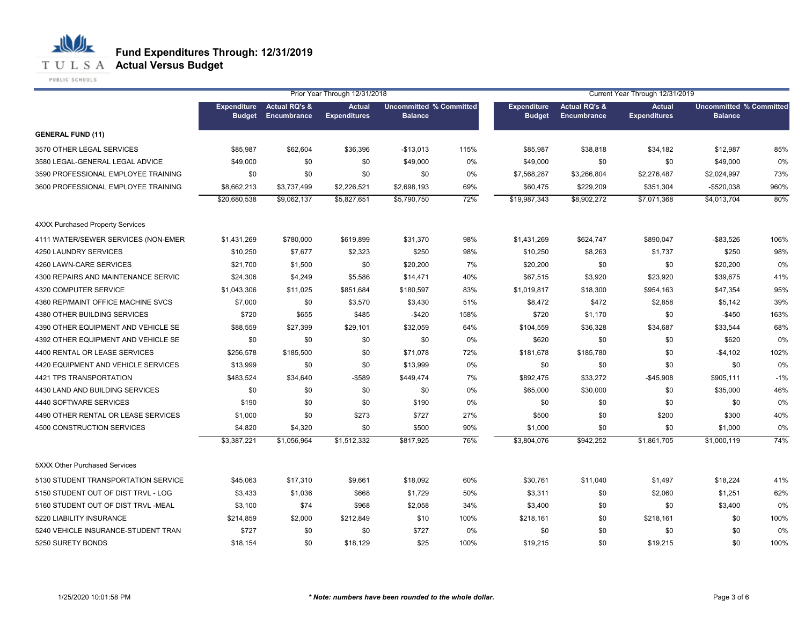**T U L S A Actual Versus Budget** 

PUBLIC SCHOOLS

|                                         |                                     |                                         | Prior Year Through 12/31/2018        |                                                  | Current Year Through 12/31/2019 |                                     |                                         |                                      |                                                  |       |
|-----------------------------------------|-------------------------------------|-----------------------------------------|--------------------------------------|--------------------------------------------------|---------------------------------|-------------------------------------|-----------------------------------------|--------------------------------------|--------------------------------------------------|-------|
|                                         | <b>Expenditure</b><br><b>Budget</b> | <b>Actual RQ's &amp;</b><br>Encumbrance | <b>Actual</b><br><b>Expenditures</b> | <b>Uncommitted % Committed</b><br><b>Balance</b> |                                 | <b>Expenditure</b><br><b>Budget</b> | <b>Actual RQ's &amp;</b><br>Encumbrance | <b>Actual</b><br><b>Expenditures</b> | <b>Uncommitted % Committed</b><br><b>Balance</b> |       |
| <b>GENERAL FUND (11)</b>                |                                     |                                         |                                      |                                                  |                                 |                                     |                                         |                                      |                                                  |       |
| 3570 OTHER LEGAL SERVICES               | \$85,987                            | \$62,604                                | \$36,396                             | $-$13,013$                                       | 115%                            | \$85,987                            | \$38,818                                | \$34,182                             | \$12,987                                         | 85%   |
| 3580 LEGAL-GENERAL LEGAL ADVICE         | \$49,000                            | \$0                                     | \$0                                  | \$49,000                                         | 0%                              | \$49,000                            | \$0                                     | \$0                                  | \$49,000                                         | 0%    |
| 3590 PROFESSIONAL EMPLOYEE TRAINING     | \$0                                 | \$0                                     | \$0                                  | \$0                                              | 0%                              | \$7,568,287                         | \$3,266,804                             | \$2,276,487                          | \$2,024,997                                      | 73%   |
| 3600 PROFESSIONAL EMPLOYEE TRAINING     | \$8,662,213                         | \$3,737,499                             | \$2,226,521                          | \$2,698,193                                      | 69%                             | \$60,475                            | \$229,209                               | \$351,304                            | $-$520,038$                                      | 960%  |
|                                         | \$20,680,538                        | \$9,062,137                             | \$5,827,651                          | \$5,790,750                                      | 72%                             | \$19,987,343                        | \$8,902,272                             | \$7,071,368                          | \$4,013,704                                      | 80%   |
| <b>4XXX Purchased Property Services</b> |                                     |                                         |                                      |                                                  |                                 |                                     |                                         |                                      |                                                  |       |
| 4111 WATER/SEWER SERVICES (NON-EMER     | \$1,431,269                         | \$780,000                               | \$619,899                            | \$31,370                                         | 98%                             | \$1,431,269                         | \$624,747                               | \$890,047                            | $-$ \$83,526                                     | 106%  |
| 4250 LAUNDRY SERVICES                   | \$10,250                            | \$7,677                                 | \$2,323                              | \$250                                            | 98%                             | \$10,250                            | \$8,263                                 | \$1,737                              | \$250                                            | 98%   |
| 4260 LAWN-CARE SERVICES                 | \$21,700                            | \$1,500                                 | \$0                                  | \$20,200                                         | 7%                              | \$20,200                            | \$0                                     | \$0                                  | \$20,200                                         | 0%    |
| 4300 REPAIRS AND MAINTENANCE SERVIC     | \$24,306                            | \$4,249                                 | \$5,586                              | \$14,471                                         | 40%                             | \$67,515                            | \$3,920                                 | \$23,920                             | \$39,675                                         | 41%   |
| 4320 COMPUTER SERVICE                   | \$1,043,306                         | \$11,025                                | \$851,684                            | \$180,597                                        | 83%                             | \$1,019,817                         | \$18,300                                | \$954,163                            | \$47,354                                         | 95%   |
| 4360 REP/MAINT OFFICE MACHINE SVCS      | \$7,000                             | \$0                                     | \$3,570                              | \$3,430                                          | 51%                             | \$8,472                             | \$472                                   | \$2,858                              | \$5,142                                          | 39%   |
| 4380 OTHER BUILDING SERVICES            | \$720                               | \$655                                   | \$485                                | $-$420$                                          | 158%                            | \$720                               | \$1,170                                 | \$0                                  | $-$450$                                          | 163%  |
| 4390 OTHER EQUIPMENT AND VEHICLE SE     | \$88,559                            | \$27,399                                | \$29,101                             | \$32,059                                         | 64%                             | \$104,559                           | \$36,328                                | \$34,687                             | \$33,544                                         | 68%   |
| 4392 OTHER EQUIPMENT AND VEHICLE SE     | \$0                                 | \$0                                     | \$0                                  | \$0                                              | 0%                              | \$620                               | \$0                                     | \$0                                  | \$620                                            | 0%    |
| 4400 RENTAL OR LEASE SERVICES           | \$256,578                           | \$185,500                               | \$0                                  | \$71,078                                         | 72%                             | \$181,678                           | \$185,780                               | \$0                                  | $-$4,102$                                        | 102%  |
| 4420 EQUIPMENT AND VEHICLE SERVICES     | \$13,999                            | \$0                                     | \$0                                  | \$13,999                                         | 0%                              | \$0                                 | \$0                                     | \$0                                  | \$0                                              | 0%    |
| 4421 TPS TRANSPORTATION                 | \$483,524                           | \$34,640                                | -\$589                               | \$449,474                                        | 7%                              | \$892,475                           | \$33,272                                | $-$ \$45,908                         | \$905,111                                        | $-1%$ |
| 4430 LAND AND BUILDING SERVICES         | \$0                                 | \$0                                     | \$0                                  | \$0                                              | 0%                              | \$65,000                            | \$30,000                                | \$0                                  | \$35,000                                         | 46%   |
| 4440 SOFTWARE SERVICES                  | \$190                               | \$0                                     | \$0                                  | \$190                                            | 0%                              | \$0                                 | \$0                                     | \$0                                  | \$0                                              | 0%    |
| 4490 OTHER RENTAL OR LEASE SERVICES     | \$1,000                             | \$0                                     | \$273                                | \$727                                            | 27%                             | \$500                               | \$0                                     | \$200                                | \$300                                            | 40%   |
| 4500 CONSTRUCTION SERVICES              | \$4,820                             | \$4,320                                 | \$0                                  | \$500                                            | 90%                             | \$1,000                             | \$0                                     | \$0                                  | \$1,000                                          | 0%    |
|                                         | \$3,387,221                         | \$1,056,964                             | \$1,512,332                          | \$817,925                                        | 76%                             | \$3,804,076                         | \$942,252                               | $$1,86\overline{1,705}$              | \$1,000,119                                      | 74%   |
| 5XXX Other Purchased Services           |                                     |                                         |                                      |                                                  |                                 |                                     |                                         |                                      |                                                  |       |
| 5130 STUDENT TRANSPORTATION SERVICE     | \$45,063                            | \$17,310                                | \$9,661                              | \$18,092                                         | 60%                             | \$30,761                            | \$11,040                                | \$1,497                              | \$18,224                                         | 41%   |
| 5150 STUDENT OUT OF DIST TRVL - LOG     | \$3,433                             | \$1,036                                 | \$668                                | \$1,729                                          | 50%                             | \$3,311                             | \$0                                     | \$2,060                              | \$1,251                                          | 62%   |
| 5160 STUDENT OUT OF DIST TRVL -MEAL     | \$3,100                             | \$74                                    | \$968                                | \$2,058                                          | 34%                             | \$3,400                             | \$0                                     | \$0                                  | \$3,400                                          | 0%    |
| 5220 LIABILITY INSURANCE                | \$214,859                           | \$2,000                                 | \$212,849                            | \$10                                             | 100%                            | \$218,161                           | \$0                                     | \$218,161                            | \$0                                              | 100%  |
| 5240 VEHICLE INSURANCE-STUDENT TRAN     | \$727                               | \$0                                     | \$0                                  | \$727                                            | 0%                              | \$0                                 | \$0                                     | \$0                                  | \$0                                              | 0%    |
| 5250 SURETY BONDS                       | \$18,154                            | \$0                                     | \$18,129                             | \$25                                             | 100%                            | \$19,215                            | \$0                                     | \$19,215                             | \$0                                              | 100%  |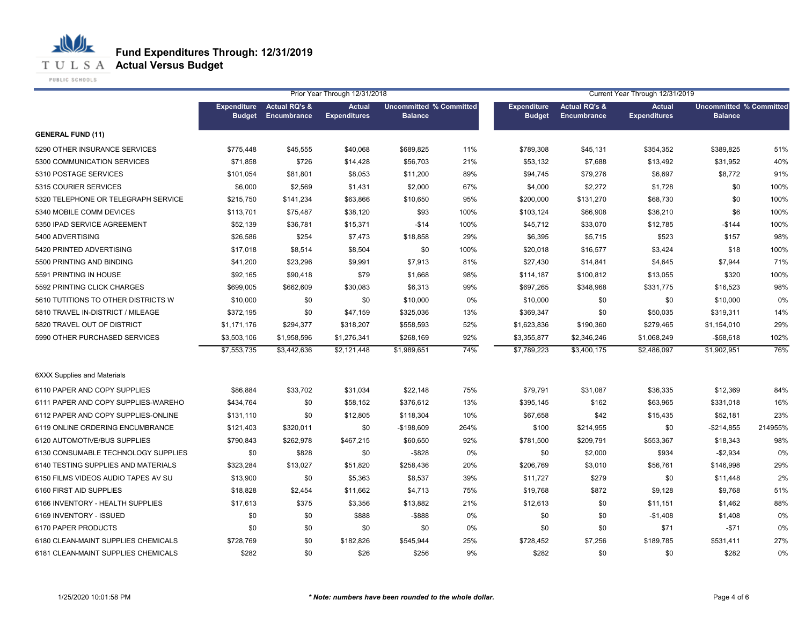**T U L S A Actual Versus Budget** 

PUBLIC SCHOOLS

|                                     |                                     |                                         | Prior Year Through 12/31/2018        |                                                  |      |                                     |                                                | Current Year Through 12/31/2019      |                                                  |         |
|-------------------------------------|-------------------------------------|-----------------------------------------|--------------------------------------|--------------------------------------------------|------|-------------------------------------|------------------------------------------------|--------------------------------------|--------------------------------------------------|---------|
|                                     | <b>Expenditure</b><br><b>Budget</b> | <b>Actual RQ's &amp;</b><br>Encumbrance | <b>Actual</b><br><b>Expenditures</b> | <b>Uncommitted % Committed</b><br><b>Balance</b> |      | <b>Expenditure</b><br><b>Budget</b> | <b>Actual RQ's &amp;</b><br><b>Encumbrance</b> | <b>Actual</b><br><b>Expenditures</b> | <b>Uncommitted % Committed</b><br><b>Balance</b> |         |
| <b>GENERAL FUND (11)</b>            |                                     |                                         |                                      |                                                  |      |                                     |                                                |                                      |                                                  |         |
| 5290 OTHER INSURANCE SERVICES       | \$775,448                           | \$45,555                                | \$40,068                             | \$689,825                                        | 11%  | \$789,308                           | \$45,131                                       | \$354,352                            | \$389,825                                        | 51%     |
| 5300 COMMUNICATION SERVICES         | \$71,858                            | \$726                                   | \$14,428                             | \$56,703                                         | 21%  | \$53,132                            | \$7,688                                        | \$13,492                             | \$31,952                                         | 40%     |
| 5310 POSTAGE SERVICES               | \$101,054                           | \$81,801                                | \$8,053                              | \$11,200                                         | 89%  | \$94,745                            | \$79,276                                       | \$6,697                              | \$8,772                                          | 91%     |
| 5315 COURIER SERVICES               | \$6,000                             | \$2,569                                 | \$1,431                              | \$2,000                                          | 67%  | \$4,000                             | \$2,272                                        | \$1,728                              | \$0                                              | 100%    |
| 5320 TELEPHONE OR TELEGRAPH SERVICE | \$215,750                           | \$141,234                               | \$63,866                             | \$10,650                                         | 95%  | \$200,000                           | \$131,270                                      | \$68,730                             | \$0                                              | 100%    |
| 5340 MOBILE COMM DEVICES            | \$113,701                           | \$75,487                                | \$38,120                             | \$93                                             | 100% | \$103,124                           | \$66,908                                       | \$36,210                             | \$6                                              | 100%    |
| 5350 IPAD SERVICE AGREEMENT         | \$52,139                            | \$36,781                                | \$15,371                             | $-$14$                                           | 100% | \$45,712                            | \$33,070                                       | \$12,785                             | $-$144$                                          | 100%    |
| 5400 ADVERTISING                    | \$26,586                            | \$254                                   | \$7,473                              | \$18,858                                         | 29%  | \$6,395                             | \$5,715                                        | \$523                                | \$157                                            | 98%     |
| 5420 PRINTED ADVERTISING            | \$17,018                            | \$8,514                                 | \$8,504                              | \$0                                              | 100% | \$20,018                            | \$16,577                                       | \$3,424                              | \$18                                             | 100%    |
| 5500 PRINTING AND BINDING           | \$41,200                            | \$23,296                                | \$9,991                              | \$7,913                                          | 81%  | \$27,430                            | \$14,841                                       | \$4,645                              | \$7,944                                          | 71%     |
| 5591 PRINTING IN HOUSE              | \$92,165                            | \$90,418                                | \$79                                 | \$1,668                                          | 98%  | \$114,187                           | \$100,812                                      | \$13,055                             | \$320                                            | 100%    |
| 5592 PRINTING CLICK CHARGES         | \$699.005                           | \$662,609                               | \$30,083                             | \$6,313                                          | 99%  | \$697,265                           | \$348,968                                      | \$331,775                            | \$16,523                                         | 98%     |
| 5610 TUTITIONS TO OTHER DISTRICTS W | \$10,000                            | \$0                                     | \$0                                  | \$10,000                                         | 0%   | \$10,000                            | \$0                                            | \$0                                  | \$10,000                                         | 0%      |
| 5810 TRAVEL IN-DISTRICT / MILEAGE   | \$372,195                           | \$0                                     | \$47,159                             | \$325,036                                        | 13%  | \$369,347                           | \$0                                            | \$50,035                             | \$319,311                                        | 14%     |
| 5820 TRAVEL OUT OF DISTRICT         | \$1,171,176                         | \$294,377                               | \$318,207                            | \$558,593                                        | 52%  | \$1,623,836                         | \$190,360                                      | \$279,465                            | \$1,154,010                                      | 29%     |
| 5990 OTHER PURCHASED SERVICES       | \$3,503,106                         | \$1,958,596                             | \$1,276,341                          | \$268,169                                        | 92%  | \$3,355,877                         | \$2,346,246                                    | \$1,068,249                          | $-$58,618$                                       | 102%    |
|                                     | \$7,553,735                         | \$3,442,636                             | \$2,121,448                          | \$1,989,651                                      | 74%  | \$7,789,223                         | \$3,400,175                                    | \$2,486,097                          | \$1,902,951                                      | 76%     |
| <b>6XXX Supplies and Materials</b>  |                                     |                                         |                                      |                                                  |      |                                     |                                                |                                      |                                                  |         |
| 6110 PAPER AND COPY SUPPLIES        | \$86,884                            | \$33,702                                | \$31,034                             | \$22,148                                         | 75%  | \$79,791                            | \$31,087                                       | \$36,335                             | \$12,369                                         | 84%     |
| 6111 PAPER AND COPY SUPPLIES-WAREHO | \$434,764                           | \$0                                     | \$58,152                             | \$376,612                                        | 13%  | \$395,145                           | \$162                                          | \$63,965                             | \$331,018                                        | 16%     |
| 6112 PAPER AND COPY SUPPLIES-ONLINE | \$131,110                           | \$0                                     | \$12,805                             | \$118,304                                        | 10%  | \$67,658                            | \$42                                           | \$15,435                             | \$52,181                                         | 23%     |
| 6119 ONLINE ORDERING ENCUMBRANCE    | \$121,403                           | \$320,011                               | \$0                                  | $-$198,609$                                      | 264% | \$100                               | \$214,955                                      | \$0                                  | $-$214,855$                                      | 214955% |
| 6120 AUTOMOTIVE/BUS SUPPLIES        | \$790,843                           | \$262,978                               | \$467,215                            | \$60,650                                         | 92%  | \$781,500                           | \$209,791                                      | \$553,367                            | \$18,343                                         | 98%     |
| 6130 CONSUMABLE TECHNOLOGY SUPPLIES | \$0                                 | \$828                                   | \$0                                  | $-$ \$828                                        | 0%   | \$0                                 | \$2,000                                        | \$934                                | $-$2,934$                                        | 0%      |
| 6140 TESTING SUPPLIES AND MATERIALS | \$323,284                           | \$13,027                                | \$51,820                             | \$258,436                                        | 20%  | \$206,769                           | \$3,010                                        | \$56,761                             | \$146,998                                        | 29%     |
| 6150 FILMS VIDEOS AUDIO TAPES AV SU | \$13,900                            | \$0                                     | \$5,363                              | \$8,537                                          | 39%  | \$11,727                            | \$279                                          | \$0                                  | \$11,448                                         | 2%      |
| 6160 FIRST AID SUPPLIES             | \$18,828                            | \$2,454                                 | \$11,662                             | \$4,713                                          | 75%  | \$19,768                            | \$872                                          | \$9,128                              | \$9,768                                          | 51%     |
| 6166 INVENTORY - HEALTH SUPPLIES    | \$17,613                            | \$375                                   | \$3,356                              | \$13,882                                         | 21%  | \$12,613                            | \$0                                            | \$11,151                             | \$1,462                                          | 88%     |
| 6169 INVENTORY - ISSUED             | \$0                                 | \$0                                     | \$888                                | $-$ \$888                                        | 0%   | \$0                                 | \$0                                            | $-$1,408$                            | \$1,408                                          | 0%      |
| 6170 PAPER PRODUCTS                 | \$0                                 | \$0                                     | \$0                                  | \$0                                              | 0%   | \$0                                 | \$0                                            | \$71                                 | $-$71$                                           | 0%      |
| 6180 CLEAN-MAINT SUPPLIES CHEMICALS | \$728,769                           | \$0                                     | \$182,826                            | \$545,944                                        | 25%  | \$728,452                           | \$7,256                                        | \$189,785                            | \$531,411                                        | 27%     |
| 6181 CLEAN-MAINT SUPPLIES CHEMICALS | \$282                               | \$0                                     | \$26                                 | \$256                                            | 9%   | \$282                               | \$0                                            | \$0                                  | \$282                                            | 0%      |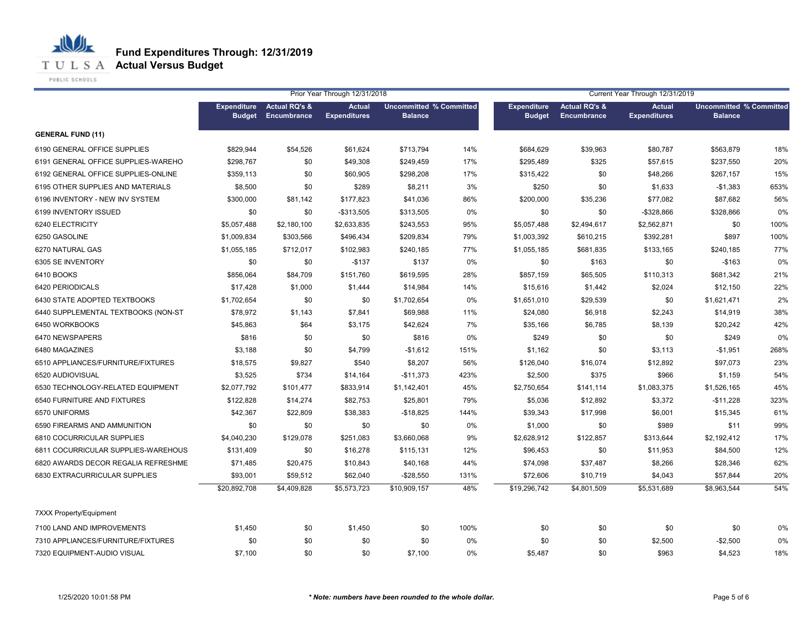**T U L S A Actual Versus Budget** 

PUBLIC SCHOOLS

|                                     |                                     |                                         | Prior Year Through 12/31/2018        |                                                  |      |                                     |                                                | Current Year Through 12/31/2019      |                                                  |      |
|-------------------------------------|-------------------------------------|-----------------------------------------|--------------------------------------|--------------------------------------------------|------|-------------------------------------|------------------------------------------------|--------------------------------------|--------------------------------------------------|------|
|                                     | <b>Expenditure</b><br><b>Budget</b> | <b>Actual RQ's &amp;</b><br>Encumbrance | <b>Actual</b><br><b>Expenditures</b> | <b>Uncommitted % Committed</b><br><b>Balance</b> |      | <b>Expenditure</b><br><b>Budget</b> | <b>Actual RQ's &amp;</b><br><b>Encumbrance</b> | <b>Actual</b><br><b>Expenditures</b> | <b>Uncommitted % Committed</b><br><b>Balance</b> |      |
| <b>GENERAL FUND (11)</b>            |                                     |                                         |                                      |                                                  |      |                                     |                                                |                                      |                                                  |      |
| 6190 GENERAL OFFICE SUPPLIES        | \$829,944                           | \$54,526                                | \$61,624                             | \$713,794                                        | 14%  | \$684,629                           | \$39,963                                       | \$80,787                             | \$563,879                                        | 18%  |
| 6191 GENERAL OFFICE SUPPLIES-WAREHO | \$298,767                           | \$0                                     | \$49,308                             | \$249,459                                        | 17%  | \$295,489                           | \$325                                          | \$57,615                             | \$237,550                                        | 20%  |
| 6192 GENERAL OFFICE SUPPLIES-ONLINE | \$359,113                           | \$0                                     | \$60,905                             | \$298,208                                        | 17%  | \$315,422                           | \$0                                            | \$48,266                             | \$267,157                                        | 15%  |
| 6195 OTHER SUPPLIES AND MATERIALS   | \$8,500                             | \$0                                     | \$289                                | \$8,211                                          | 3%   | \$250                               | \$0                                            | \$1,633                              | $-$1,383$                                        | 653% |
| 6196 INVENTORY - NEW INV SYSTEM     | \$300,000                           | \$81,142                                | \$177,823                            | \$41,036                                         | 86%  | \$200,000                           | \$35,236                                       | \$77,082                             | \$87,682                                         | 56%  |
| 6199 INVENTORY ISSUED               | \$0                                 | \$0                                     | $-$313,505$                          | \$313,505                                        | 0%   | \$0                                 | \$0                                            | -\$328,866                           | \$328,866                                        | 0%   |
| 6240 ELECTRICITY                    | \$5,057,488                         | \$2,180,100                             | \$2,633,835                          | \$243,553                                        | 95%  | \$5,057,488                         | \$2,494,617                                    | \$2,562,871                          | \$0                                              | 100% |
| 6250 GASOLINE                       | \$1,009,834                         | \$303,566                               | \$496,434                            | \$209,834                                        | 79%  | \$1,003,392                         | \$610,215                                      | \$392,281                            | \$897                                            | 100% |
| 6270 NATURAL GAS                    | \$1,055,185                         | \$712,017                               | \$102,983                            | \$240,185                                        | 77%  | \$1,055,185                         | \$681,835                                      | \$133,165                            | \$240,185                                        | 77%  |
| 6305 SE INVENTORY                   | \$0                                 | \$0                                     | $-$137$                              | \$137                                            | 0%   | \$0                                 | \$163                                          | \$0                                  | $-$163$                                          | 0%   |
| 6410 BOOKS                          | \$856,064                           | \$84,709                                | \$151,760                            | \$619,595                                        | 28%  | \$857,159                           | \$65,505                                       | \$110,313                            | \$681,342                                        | 21%  |
| 6420 PERIODICALS                    | \$17,428                            | \$1,000                                 | \$1,444                              | \$14,984                                         | 14%  | \$15,616                            | \$1,442                                        | \$2,024                              | \$12,150                                         | 22%  |
| 6430 STATE ADOPTED TEXTBOOKS        | \$1,702,654                         | \$0                                     | \$0                                  | \$1,702,654                                      | 0%   | \$1,651,010                         | \$29,539                                       | \$0                                  | \$1,621,471                                      | 2%   |
| 6440 SUPPLEMENTAL TEXTBOOKS (NON-ST | \$78,972                            | \$1,143                                 | \$7,841                              | \$69,988                                         | 11%  | \$24,080                            | \$6,918                                        | \$2,243                              | \$14,919                                         | 38%  |
| 6450 WORKBOOKS                      | \$45,863                            | \$64                                    | \$3,175                              | \$42,624                                         | 7%   | \$35,166                            | \$6,785                                        | \$8,139                              | \$20,242                                         | 42%  |
| 6470 NEWSPAPERS                     | \$816                               | \$0                                     | \$0                                  | \$816                                            | 0%   | \$249                               | \$0                                            | \$0                                  | \$249                                            | 0%   |
| 6480 MAGAZINES                      | \$3,188                             | \$0                                     | \$4,799                              | $-$1,612$                                        | 151% | \$1,162                             | \$0                                            | \$3,113                              | $-$1,951$                                        | 268% |
| 6510 APPLIANCES/FURNITURE/FIXTURES  | \$18,575                            | \$9,827                                 | \$540                                | \$8,207                                          | 56%  | \$126,040                           | \$16,074                                       | \$12,892                             | \$97,073                                         | 23%  |
| 6520 AUDIOVISUAL                    | \$3,525                             | \$734                                   | \$14,164                             | $-$11,373$                                       | 423% | \$2,500                             | \$375                                          | \$966                                | \$1,159                                          | 54%  |
| 6530 TECHNOLOGY-RELATED EQUIPMENT   | \$2,077,792                         | \$101,477                               | \$833,914                            | \$1,142,401                                      | 45%  | \$2,750,654                         | \$141,114                                      | \$1,083,375                          | \$1,526,165                                      | 45%  |
| 6540 FURNITURE AND FIXTURES         | \$122,828                           | \$14,274                                | \$82,753                             | \$25,801                                         | 79%  | \$5,036                             | \$12,892                                       | \$3,372                              | $-$11,228$                                       | 323% |
| 6570 UNIFORMS                       | \$42,367                            | \$22,809                                | \$38,383                             | $-$18,825$                                       | 144% | \$39,343                            | \$17,998                                       | \$6,001                              | \$15,345                                         | 61%  |
| 6590 FIREARMS AND AMMUNITION        | \$0                                 | \$0                                     | \$0                                  | \$0                                              | 0%   | \$1,000                             | \$0                                            | \$989                                | \$11                                             | 99%  |
| 6810 COCURRICULAR SUPPLIES          | \$4,040,230                         | \$129,078                               | \$251,083                            | \$3,660,068                                      | 9%   | \$2,628,912                         | \$122,857                                      | \$313,644                            | \$2,192,412                                      | 17%  |
| 6811 COCURRICULAR SUPPLIES-WAREHOUS | \$131,409                           | \$0                                     | \$16,278                             | \$115,131                                        | 12%  | \$96,453                            | \$0                                            | \$11,953                             | \$84,500                                         | 12%  |
| 6820 AWARDS DECOR REGALIA REFRESHME | \$71,485                            | \$20,475                                | \$10,843                             | \$40,168                                         | 44%  | \$74,098                            | \$37,487                                       | \$8,266                              | \$28,346                                         | 62%  |
| 6830 EXTRACURRICULAR SUPPLIES       | \$93,001                            | \$59,512                                | \$62,040                             | $-$28,550$                                       | 131% | \$72,606                            | \$10,719                                       | \$4,043                              | \$57,844                                         | 20%  |
|                                     | \$20,892,708                        | \$4,409,828                             | \$5,573,723                          | \$10,909,157                                     | 48%  | \$19,296,742                        | \$4,801,509                                    | \$5,531,689                          | \$8,963,544                                      | 54%  |
| <b>7XXX Property/Equipment</b>      |                                     |                                         |                                      |                                                  |      |                                     |                                                |                                      |                                                  |      |
| 7100 LAND AND IMPROVEMENTS          | \$1,450                             | \$0                                     | \$1,450                              | \$0                                              | 100% | \$0                                 | \$0                                            | \$0                                  | \$0                                              | 0%   |
| 7310 APPLIANCES/FURNITURE/FIXTURES  | \$0                                 | \$0                                     | \$0                                  | \$0                                              | 0%   | \$0                                 | \$0                                            | \$2,500                              | $-$2,500$                                        | 0%   |
| 7320 EQUIPMENT-AUDIO VISUAL         | \$7,100                             | \$0                                     | \$0                                  | \$7,100                                          | 0%   | \$5,487                             | \$0                                            | \$963                                | \$4,523                                          | 18%  |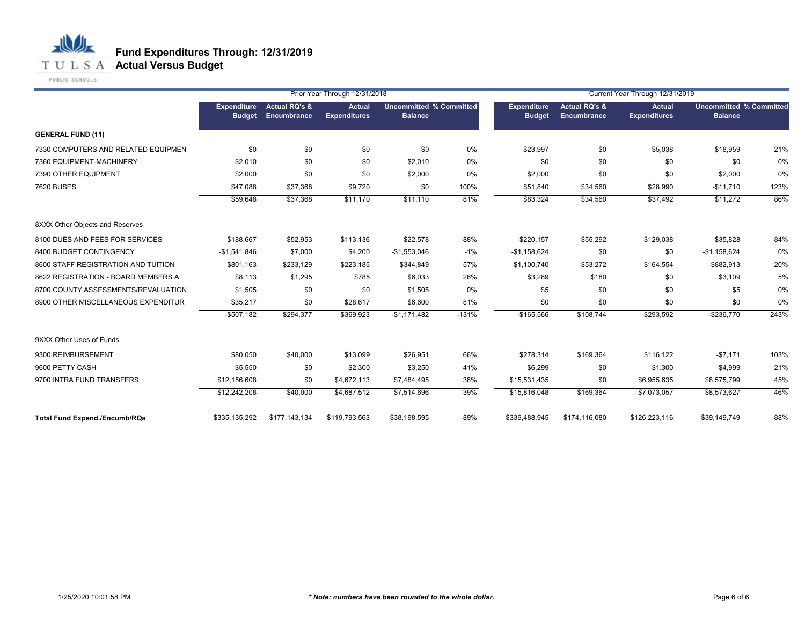

PUBLIC SCHOOLS

|                                      |                              |                                         | Prior Year Through 12/31/2018        |                                                  |         |                                     |                                         | Current Year Through 12/31/2019      |                                                  |      |
|--------------------------------------|------------------------------|-----------------------------------------|--------------------------------------|--------------------------------------------------|---------|-------------------------------------|-----------------------------------------|--------------------------------------|--------------------------------------------------|------|
|                                      | Expenditure<br><b>Budget</b> | <b>Actual RQ's &amp;</b><br>Encumbrance | <b>Actual</b><br><b>Expenditures</b> | <b>Uncommitted % Committed</b><br><b>Balance</b> |         | <b>Expenditure</b><br><b>Budget</b> | <b>Actual RQ's &amp;</b><br>Encumbrance | <b>Actual</b><br><b>Expenditures</b> | <b>Uncommitted % Committed</b><br><b>Balance</b> |      |
| <b>GENERAL FUND (11)</b>             |                              |                                         |                                      |                                                  |         |                                     |                                         |                                      |                                                  |      |
| 7330 COMPUTERS AND RELATED EQUIPMEN  | \$0                          | \$0                                     | \$0                                  | \$0                                              | 0%      | \$23,997                            | \$0                                     | \$5,038                              | \$18,959                                         | 21%  |
| 7360 EQUIPMENT-MACHINERY             | \$2,010                      | \$0                                     | \$0                                  | \$2,010                                          | 0%      | \$0                                 | \$0                                     | \$0                                  | \$0                                              | 0%   |
| 7390 OTHER EQUIPMENT                 | \$2,000                      | \$0                                     | \$0                                  | \$2,000                                          | 0%      | \$2,000                             | \$0                                     | \$0                                  | \$2,000                                          | 0%   |
| <b>7620 BUSES</b>                    | \$47,088                     | \$37,368                                | \$9,720                              | \$0                                              | 100%    | \$51,840                            | \$34,560                                | \$28,990                             | $-$11,710$                                       | 123% |
|                                      | \$59,648                     | \$37,368                                | \$11,170                             | \$11,110                                         | 81%     | \$83,324                            | \$34,560                                | \$37,492                             | \$11,272                                         | 86%  |
| 8XXX Other Objects and Reserves      |                              |                                         |                                      |                                                  |         |                                     |                                         |                                      |                                                  |      |
| 8100 DUES AND FEES FOR SERVICES      | \$188,667                    | \$52,953                                | \$113,136                            | \$22,578                                         | 88%     | \$220,157                           | \$55,292                                | \$129,038                            | \$35,828                                         | 84%  |
| 8400 BUDGET CONTINGENCY              | $-$1,541,846$                | \$7,000                                 | \$4,200                              | $-$1,553,046$                                    | $-1%$   | $-$1,158,624$                       | \$0                                     | \$0                                  | $-$1,158,624$                                    | 0%   |
| 8600 STAFF REGISTRATION AND TUITION  | \$801,163                    | \$233,129                               | \$223,185                            | \$344,849                                        | 57%     | \$1,100,740                         | \$53,272                                | \$164,554                            | \$882,913                                        | 20%  |
| 8622 REGISTRATION - BOARD MEMBERS A  | \$8,113                      | \$1,295                                 | \$785                                | \$6,033                                          | 26%     | \$3,289                             | \$180                                   | \$0                                  | \$3,109                                          | 5%   |
| 8700 COUNTY ASSESSMENTS/REVALUATION  | \$1,505                      | \$0                                     | \$0                                  | \$1,505                                          | 0%      | \$5                                 | \$0                                     | \$0                                  | \$5                                              | 0%   |
| 8900 OTHER MISCELLANEOUS EXPENDITUR  | \$35,217                     | \$0                                     | \$28,617                             | \$6,600                                          | 81%     | \$0                                 | \$0                                     | \$0                                  | \$0                                              | 0%   |
|                                      | $-$507,182$                  | \$294,377                               | \$369,923                            | $-$1,171,482$                                    | $-131%$ | \$165,566                           | \$108,744                               | \$293,592                            | $-$236,770$                                      | 243% |
| 9XXX Other Uses of Funds             |                              |                                         |                                      |                                                  |         |                                     |                                         |                                      |                                                  |      |
| 9300 REIMBURSEMENT                   | \$80,050                     | \$40,000                                | \$13,099                             | \$26,951                                         | 66%     | \$278,314                           | \$169,364                               | \$116,122                            | $-$7,171$                                        | 103% |
| 9600 PETTY CASH                      | \$5,550                      | \$0                                     | \$2,300                              | \$3,250                                          | 41%     | \$6,299                             | \$0                                     | \$1,300                              | \$4,999                                          | 21%  |
| 9700 INTRA FUND TRANSFERS            | \$12,156,608                 | \$0                                     | \$4,672,113                          | \$7,484,495                                      | 38%     | \$15,531,435                        | \$0                                     | \$6,955,635                          | \$8,575,799                                      | 45%  |
|                                      | \$12,242,208                 | \$40,000                                | \$4,687,512                          | \$7,514,696                                      | 39%     | \$15,816,048                        | \$169,364                               | \$7,073,057                          | \$8,573,627                                      | 46%  |
| <b>Total Fund Expend./Encumb/RQs</b> | \$335,135,292                | \$177,143,134                           | \$119,793,563                        | \$38,198,595                                     | 89%     | \$339,488,945                       | \$174,116,080                           | \$126,223,116                        | \$39,149,749                                     | 88%  |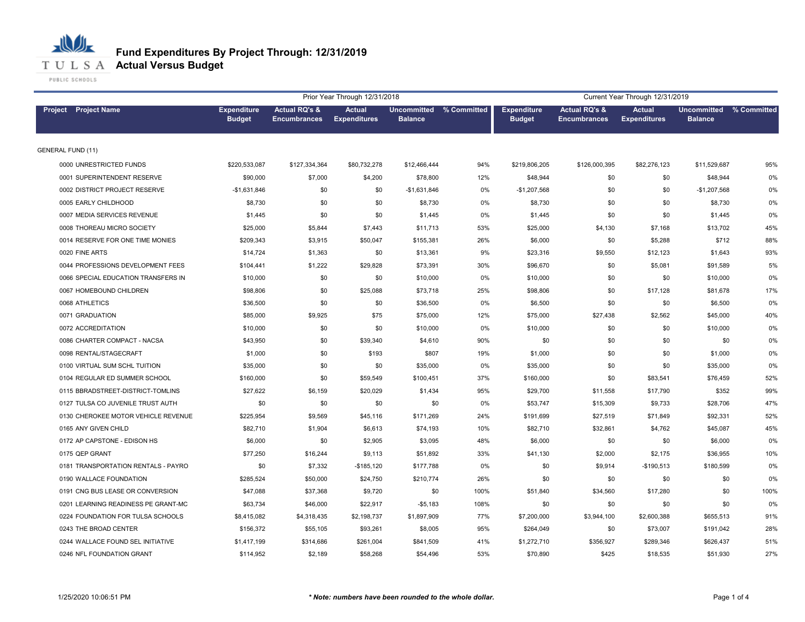# **Fund Expenditures By Project Through: 12/31/2019**

**T U L S A Actual Versus Budget** 

PUBLIC SCHOOLS

|                                     |                                     |                                                 | Prior Year Through 12/31/2018        |                                           |      |                                     |                                                 | Current Year Through 12/31/2019      |                                           |      |
|-------------------------------------|-------------------------------------|-------------------------------------------------|--------------------------------------|-------------------------------------------|------|-------------------------------------|-------------------------------------------------|--------------------------------------|-------------------------------------------|------|
| <b>Project</b> Project Name         | <b>Expenditure</b><br><b>Budget</b> | <b>Actual RQ's &amp;</b><br><b>Encumbrances</b> | <b>Actual</b><br><b>Expenditures</b> | Uncommitted % Committed<br><b>Balance</b> |      | <b>Expenditure</b><br><b>Budget</b> | <b>Actual RQ's &amp;</b><br><b>Encumbrances</b> | <b>Actual</b><br><b>Expenditures</b> | Uncommitted % Committed<br><b>Balance</b> |      |
| <b>GENERAL FUND (11)</b>            |                                     |                                                 |                                      |                                           |      |                                     |                                                 |                                      |                                           |      |
| 0000 UNRESTRICTED FUNDS             | \$220,533,087                       | \$127,334,364                                   | \$80,732,278                         | \$12,466,444                              | 94%  | \$219,806,205                       | \$126,000,395                                   | \$82,276,123                         | \$11,529,687                              | 95%  |
| 0001 SUPERINTENDENT RESERVE         | \$90,000                            | \$7,000                                         | \$4,200                              | \$78,800                                  | 12%  | \$48,944                            | \$0                                             | \$0                                  | \$48,944                                  | 0%   |
| 0002 DISTRICT PROJECT RESERVE       | $-$1,631,846$                       | \$0                                             | \$0                                  | $-$1,631,846$                             | 0%   | $-$1,207,568$                       | \$0                                             | \$0                                  | $-$1,207,568$                             | 0%   |
| 0005 EARLY CHILDHOOD                | \$8,730                             | \$0                                             | \$0                                  | \$8,730                                   | 0%   | \$8,730                             | \$0                                             | \$0                                  | \$8,730                                   | 0%   |
| 0007 MEDIA SERVICES REVENUE         | \$1,445                             | \$0                                             | \$0                                  | \$1,445                                   | 0%   | \$1,445                             | \$0                                             | \$0                                  | \$1,445                                   | 0%   |
| 0008 THOREAU MICRO SOCIETY          | \$25,000                            | \$5,844                                         | \$7,443                              | \$11,713                                  | 53%  | \$25,000                            | \$4,130                                         | \$7,168                              | \$13,702                                  | 45%  |
| 0014 RESERVE FOR ONE TIME MONIES    | \$209,343                           | \$3,915                                         | \$50,047                             | \$155,381                                 | 26%  | \$6,000                             | \$0                                             | \$5,288                              | \$712                                     | 88%  |
| 0020 FINE ARTS                      | \$14,724                            | \$1,363                                         | \$0                                  | \$13,361                                  | 9%   | \$23,316                            | \$9,550                                         | \$12,123                             | \$1,643                                   | 93%  |
| 0044 PROFESSIONS DEVELOPMENT FEES   | \$104,441                           | \$1,222                                         | \$29,828                             | \$73,391                                  | 30%  | \$96,670                            | \$0                                             | \$5,081                              | \$91,589                                  | 5%   |
| 0066 SPECIAL EDUCATION TRANSFERS IN | \$10,000                            | \$0                                             | \$0                                  | \$10,000                                  | 0%   | \$10,000                            | \$0                                             | \$0                                  | \$10,000                                  | 0%   |
| 0067 HOMEBOUND CHILDREN             | \$98,806                            | \$0                                             | \$25,088                             | \$73,718                                  | 25%  | \$98,806                            | \$0                                             | \$17,128                             | \$81,678                                  | 17%  |
| 0068 ATHLETICS                      | \$36,500                            | \$0                                             | \$0                                  | \$36,500                                  | 0%   | \$6,500                             | \$0                                             | \$0                                  | \$6,500                                   | 0%   |
| 0071 GRADUATION                     | \$85,000                            | \$9,925                                         | \$75                                 | \$75,000                                  | 12%  | \$75,000                            | \$27,438                                        | \$2,562                              | \$45,000                                  | 40%  |
| 0072 ACCREDITATION                  | \$10,000                            | \$0                                             | \$0                                  | \$10,000                                  | 0%   | \$10,000                            | \$0                                             | \$0                                  | \$10,000                                  | 0%   |
| 0086 CHARTER COMPACT - NACSA        | \$43,950                            | \$0                                             | \$39,340                             | \$4,610                                   | 90%  | \$0                                 | \$0                                             | \$0                                  | \$0                                       | 0%   |
| 0098 RENTAL/STAGECRAFT              | \$1,000                             | \$0                                             | \$193                                | \$807                                     | 19%  | \$1,000                             | \$0                                             | \$0                                  | \$1,000                                   | 0%   |
| 0100 VIRTUAL SUM SCHL TUITION       | \$35,000                            | \$0                                             | \$0                                  | \$35,000                                  | 0%   | \$35,000                            | \$0                                             | \$0                                  | \$35,000                                  | 0%   |
| 0104 REGULAR ED SUMMER SCHOOL       | \$160,000                           | \$0                                             | \$59,549                             | \$100,451                                 | 37%  | \$160,000                           | \$0                                             | \$83,541                             | \$76,459                                  | 52%  |
| 0115 BBRADSTREET-DISTRICT-TOMLINS   | \$27,622                            | \$6,159                                         | \$20,029                             | \$1,434                                   | 95%  | \$29,700                            | \$11,558                                        | \$17,790                             | \$352                                     | 99%  |
| 0127 TULSA CO JUVENILE TRUST AUTH   | \$0                                 | \$0                                             | \$0                                  | \$0                                       | 0%   | \$53,747                            | \$15,309                                        | \$9,733                              | \$28,706                                  | 47%  |
| 0130 CHEROKEE MOTOR VEHICLE REVENUE | \$225,954                           | \$9,569                                         | \$45,116                             | \$171,269                                 | 24%  | \$191,699                           | \$27,519                                        | \$71,849                             | \$92,331                                  | 52%  |
| 0165 ANY GIVEN CHILD                | \$82,710                            | \$1,904                                         | \$6,613                              | \$74,193                                  | 10%  | \$82,710                            | \$32,861                                        | \$4,762                              | \$45,087                                  | 45%  |
| 0172 AP CAPSTONE - EDISON HS        | \$6,000                             | \$0                                             | \$2,905                              | \$3,095                                   | 48%  | \$6,000                             | \$0                                             | \$0                                  | \$6,000                                   | 0%   |
| 0175 QEP GRANT                      | \$77,250                            | \$16,244                                        | \$9,113                              | \$51,892                                  | 33%  | \$41,130                            | \$2,000                                         | \$2,175                              | \$36,955                                  | 10%  |
| 0181 TRANSPORTATION RENTALS - PAYRO | \$0                                 | \$7,332                                         | $-$185,120$                          | \$177,788                                 | 0%   | \$0                                 | \$9,914                                         | $-$190,513$                          | \$180,599                                 | 0%   |
| 0190 WALLACE FOUNDATION             | \$285,524                           | \$50,000                                        | \$24,750                             | \$210,774                                 | 26%  | \$0                                 | \$0                                             | \$0                                  | \$0                                       | 0%   |
| 0191 CNG BUS LEASE OR CONVERSION    | \$47,088                            | \$37,368                                        | \$9,720                              | \$0                                       | 100% | \$51,840                            | \$34,560                                        | \$17,280                             | \$0                                       | 100% |
| 0201 LEARNING READINESS PE GRANT-MC | \$63,734                            | \$46,000                                        | \$22,917                             | $-$5,183$                                 | 108% | \$0                                 | \$0                                             | \$0                                  | \$0                                       | 0%   |
| 0224 FOUNDATION FOR TULSA SCHOOLS   | \$8,415,082                         | \$4,318,435                                     | \$2,198,737                          | \$1,897,909                               | 77%  | \$7,200,000                         | \$3,944,100                                     | \$2,600,388                          | \$655,513                                 | 91%  |
| 0243 THE BROAD CENTER               | \$156,372                           | \$55,105                                        | \$93,261                             | \$8,005                                   | 95%  | \$264,049                           | \$0                                             | \$73,007                             | \$191,042                                 | 28%  |
| 0244 WALLACE FOUND SEL INITIATIVE   | \$1,417,199                         | \$314,686                                       | \$261,004                            | \$841,509                                 | 41%  | \$1,272,710                         | \$356,927                                       | \$289,346                            | \$626,437                                 | 51%  |
| 0246 NFL FOUNDATION GRANT           | \$114,952                           | \$2,189                                         | \$58,268                             | \$54,496                                  | 53%  | \$70,890                            | \$425                                           | \$18,535                             | \$51,930                                  | 27%  |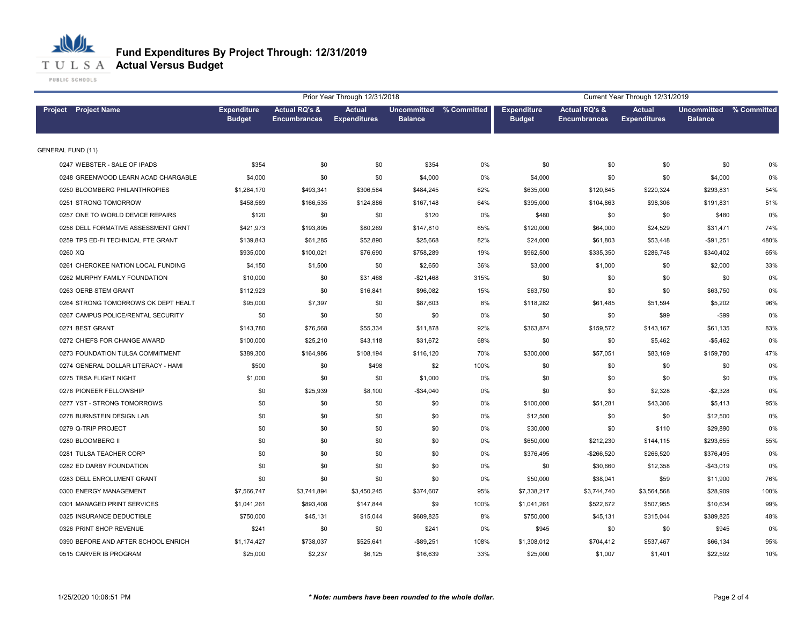

PUBLIC SCHOOLS

|                                     |                                     |                                      | Prior Year Through 12/31/2018        |                                           |       |                                     |                                                 | Current Year Through 12/31/2019      |                                      |             |
|-------------------------------------|-------------------------------------|--------------------------------------|--------------------------------------|-------------------------------------------|-------|-------------------------------------|-------------------------------------------------|--------------------------------------|--------------------------------------|-------------|
| <b>Project</b> Project Name         | <b>Expenditure</b><br><b>Budget</b> | Actual RQ's &<br><b>Encumbrances</b> | <b>Actual</b><br><b>Expenditures</b> | Uncommitted % Committed<br><b>Balance</b> |       | <b>Expenditure</b><br><b>Budget</b> | <b>Actual RQ's &amp;</b><br><b>Encumbrances</b> | <b>Actual</b><br><b>Expenditures</b> | <b>Uncommitted</b><br><b>Balance</b> | % Committed |
| <b>GENERAL FUND (11)</b>            |                                     |                                      |                                      |                                           |       |                                     |                                                 |                                      |                                      |             |
| 0247 WEBSTER - SALE OF IPADS        | \$354                               | \$0                                  | \$0                                  | \$354                                     | 0%    | \$0                                 | \$0                                             | \$0                                  | \$0                                  | 0%          |
| 0248 GREENWOOD LEARN ACAD CHARGABLE | \$4,000                             | \$0                                  | \$0                                  | \$4,000                                   | 0%    | \$4,000                             | \$0                                             | \$0                                  | \$4,000                              | 0%          |
| 0250 BLOOMBERG PHILANTHROPIES       | \$1,284,170                         | \$493,341                            | \$306,584                            | \$484,245                                 | 62%   | \$635,000                           | \$120,845                                       | \$220,324                            | \$293,831                            | 54%         |
| 0251 STRONG TOMORROW                | \$458,569                           | \$166,535                            | \$124,886                            | \$167,148                                 | 64%   | \$395,000                           | \$104,863                                       | \$98,306                             | \$191,831                            | 51%         |
| 0257 ONE TO WORLD DEVICE REPAIRS    | \$120                               | \$0                                  | \$0                                  | \$120                                     | $0\%$ | \$480                               | \$0                                             | \$0                                  | \$480                                | 0%          |
| 0258 DELL FORMATIVE ASSESSMENT GRNT | \$421,973                           | \$193,895                            | \$80,269                             | \$147,810                                 | 65%   | \$120,000                           | \$64,000                                        | \$24,529                             | \$31,471                             | 74%         |
| 0259 TPS ED-FI TECHNICAL FTE GRANT  | \$139,843                           | \$61,285                             | \$52,890                             | \$25,668                                  | 82%   | \$24,000                            | \$61,803                                        | \$53,448                             | $-$91,251$                           | 480%        |
| 0260 XQ                             | \$935,000                           | \$100,021                            | \$76,690                             | \$758,289                                 | 19%   | \$962,500                           | \$335,350                                       | \$286,748                            | \$340,402                            | 65%         |
| 0261 CHEROKEE NATION LOCAL FUNDING  | \$4,150                             | \$1,500                              | \$0                                  | \$2,650                                   | 36%   | \$3,000                             | \$1,000                                         | \$0                                  | \$2,000                              | 33%         |
| 0262 MURPHY FAMILY FOUNDATION       | \$10,000                            | \$0                                  | \$31,468                             | $-$21,468$                                | 315%  | \$0                                 | \$0                                             | \$0                                  | \$0                                  | 0%          |
| 0263 OERB STEM GRANT                | \$112,923                           | \$0                                  | \$16,841                             | \$96,082                                  | 15%   | \$63,750                            | \$0                                             | \$0                                  | \$63,750                             | 0%          |
| 0264 STRONG TOMORROWS OK DEPT HEALT | \$95,000                            | \$7,397                              | \$0                                  | \$87,603                                  | 8%    | \$118,282                           | \$61,485                                        | \$51,594                             | \$5,202                              | 96%         |
| 0267 CAMPUS POLICE/RENTAL SECURITY  | \$0                                 | \$0                                  | \$0                                  | \$0                                       | 0%    | \$0                                 | \$0                                             | \$99                                 | $-$ \$99                             | 0%          |
| 0271 BEST GRANT                     | \$143,780                           | \$76,568                             | \$55,334                             | \$11,878                                  | 92%   | \$363,874                           | \$159,572                                       | \$143,167                            | \$61,135                             | 83%         |
| 0272 CHIEFS FOR CHANGE AWARD        | \$100,000                           | \$25,210                             | \$43,118                             | \$31,672                                  | 68%   | \$0                                 | \$0                                             | \$5,462                              | $-$5,462$                            | 0%          |
| 0273 FOUNDATION TULSA COMMITMENT    | \$389,300                           | \$164,986                            | \$108,194                            | \$116,120                                 | 70%   | \$300,000                           | \$57,051                                        | \$83,169                             | \$159,780                            | 47%         |
| 0274 GENERAL DOLLAR LITERACY - HAMI | \$500                               | \$0                                  | \$498                                | \$2                                       | 100%  | \$0                                 | \$0                                             | \$0                                  | \$0                                  | 0%          |
| 0275 TRSA FLIGHT NIGHT              | \$1,000                             | \$0                                  | \$0                                  | \$1,000                                   | 0%    | \$0                                 | \$0                                             | \$0                                  | \$0                                  | 0%          |
| 0276 PIONEER FELLOWSHIP             | \$0                                 | \$25,939                             | \$8,100                              | $-$34,040$                                | 0%    | \$0                                 | \$0                                             | \$2,328                              | $-$2,328$                            | 0%          |
| 0277 YST - STRONG TOMORROWS         | \$0                                 | \$0                                  | \$0                                  | \$0                                       | $0\%$ | \$100,000                           | \$51,281                                        | \$43,306                             | \$5,413                              | 95%         |
| 0278 BURNSTEIN DESIGN LAB           | \$0                                 | \$0                                  | \$0                                  | \$0                                       | 0%    | \$12,500                            | \$0                                             | \$0                                  | \$12,500                             | 0%          |
| 0279 Q-TRIP PROJECT                 | \$0                                 | \$0                                  | \$0                                  | \$0                                       | 0%    | \$30,000                            | \$0                                             | \$110                                | \$29,890                             | 0%          |
| 0280 BLOOMBERG II                   | \$0                                 | \$0                                  | \$0                                  | \$0                                       | 0%    | \$650,000                           | \$212,230                                       | \$144,115                            | \$293,655                            | 55%         |
| 0281 TULSA TEACHER CORP             | \$0                                 | \$0                                  | \$0                                  | \$0                                       | 0%    | \$376,495                           | -\$266,520                                      | \$266,520                            | \$376,495                            | 0%          |
| 0282 ED DARBY FOUNDATION            | \$0                                 | \$0                                  | \$0                                  | \$0                                       | 0%    | \$0                                 | \$30,660                                        | \$12,358                             | $-$43,019$                           | 0%          |
| 0283 DELL ENROLLMENT GRANT          | \$0                                 | \$0                                  | \$0                                  | \$0                                       | 0%    | \$50,000                            | \$38,041                                        | \$59                                 | \$11,900                             | 76%         |
| 0300 ENERGY MANAGEMENT              | \$7,566,747                         | \$3,741,894                          | \$3,450,245                          | \$374,607                                 | 95%   | \$7,338,217                         | \$3,744,740                                     | \$3,564,568                          | \$28,909                             | 100%        |
| 0301 MANAGED PRINT SERVICES         | \$1,041,261                         | \$893,408                            | \$147,844                            | \$9                                       | 100%  | \$1,041,261                         | \$522,672                                       | \$507,955                            | \$10,634                             | 99%         |
| 0325 INSURANCE DEDUCTIBLE           | \$750,000                           | \$45,131                             | \$15,044                             | \$689,825                                 | 8%    | \$750,000                           | \$45,131                                        | \$315,044                            | \$389,825                            | 48%         |
| 0326 PRINT SHOP REVENUE             | \$241                               | \$0                                  | \$0                                  | \$241                                     | 0%    | \$945                               | \$0                                             | \$0                                  | \$945                                | 0%          |
| 0390 BEFORE AND AFTER SCHOOL ENRICH | \$1,174,427                         | \$738,037                            | \$525,641                            | $-$89,251$                                | 108%  | \$1,308,012                         | \$704,412                                       | \$537,467                            | \$66,134                             | 95%         |
| 0515 CARVER IB PROGRAM              | \$25,000                            | \$2,237                              | \$6,125                              | \$16,639                                  | 33%   | \$25,000                            | \$1,007                                         | \$1,401                              | \$22,592                             | 10%         |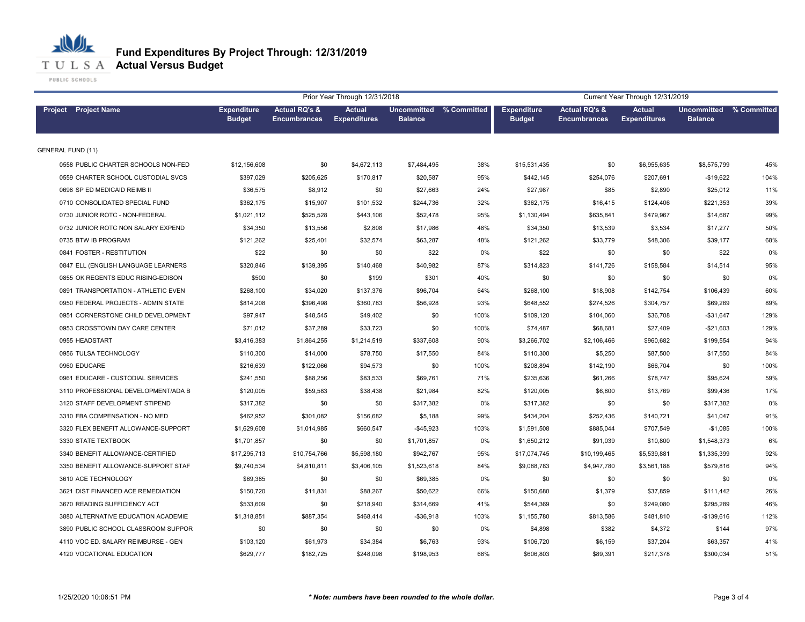

PUBLIC SCHOOLS

|                                     |                                     |                                                 | Prior Year Through 12/31/2018        |                                           |      |                                     |                                                 | Current Year Through 12/31/2019      |                                           |      |
|-------------------------------------|-------------------------------------|-------------------------------------------------|--------------------------------------|-------------------------------------------|------|-------------------------------------|-------------------------------------------------|--------------------------------------|-------------------------------------------|------|
| <b>Project</b> Project Name         | <b>Expenditure</b><br><b>Budget</b> | <b>Actual RQ's &amp;</b><br><b>Encumbrances</b> | <b>Actual</b><br><b>Expenditures</b> | Uncommitted % Committed<br><b>Balance</b> |      | <b>Expenditure</b><br><b>Budget</b> | <b>Actual RQ's &amp;</b><br><b>Encumbrances</b> | <b>Actual</b><br><b>Expenditures</b> | Uncommitted % Committed<br><b>Balance</b> |      |
| <b>GENERAL FUND (11)</b>            |                                     |                                                 |                                      |                                           |      |                                     |                                                 |                                      |                                           |      |
| 0558 PUBLIC CHARTER SCHOOLS NON-FED | \$12,156,608                        | \$0                                             | \$4,672,113                          | \$7,484,495                               | 38%  | \$15,531,435                        | \$0                                             | \$6,955,635                          | \$8,575,799                               | 45%  |
| 0559 CHARTER SCHOOL CUSTODIAL SVCS  | \$397,029                           | \$205,625                                       | \$170,817                            | \$20,587                                  | 95%  | \$442,145                           | \$254,076                                       | \$207,691                            | $-$19,622$                                | 104% |
| 0698 SP ED MEDICAID REIMB II        | \$36,575                            | \$8,912                                         | \$0                                  | \$27,663                                  | 24%  | \$27,987                            | \$85                                            | \$2,890                              | \$25,012                                  | 11%  |
| 0710 CONSOLIDATED SPECIAL FUND      | \$362,175                           | \$15,907                                        | \$101,532                            | \$244,736                                 | 32%  | \$362,175                           | \$16,415                                        | \$124,406                            | \$221,353                                 | 39%  |
| 0730 JUNIOR ROTC - NON-FEDERAL      | \$1,021,112                         | \$525,528                                       | \$443,106                            | \$52,478                                  | 95%  | \$1,130,494                         | \$635,841                                       | \$479,967                            | \$14,687                                  | 99%  |
| 0732 JUNIOR ROTC NON SALARY EXPEND  | \$34,350                            | \$13,556                                        | \$2,808                              | \$17,986                                  | 48%  | \$34,350                            | \$13,539                                        | \$3,534                              | \$17,277                                  | 50%  |
| 0735 BTW IB PROGRAM                 | \$121,262                           | \$25,401                                        | \$32,574                             | \$63,287                                  | 48%  | \$121,262                           | \$33,779                                        | \$48,306                             | \$39,177                                  | 68%  |
| 0841 FOSTER - RESTITUTION           | \$22                                | \$0                                             | \$0                                  | \$22                                      | 0%   | \$22                                | \$0                                             | \$0                                  | \$22                                      | 0%   |
| 0847 ELL (ENGLISH LANGUAGE LEARNERS | \$320,846                           | \$139,395                                       | \$140,468                            | \$40,982                                  | 87%  | \$314,823                           | \$141,726                                       | \$158,584                            | \$14,514                                  | 95%  |
| 0855 OK REGENTS EDUC RISING-EDISON  | \$500                               | \$0                                             | \$199                                | \$301                                     | 40%  | \$0                                 | \$0                                             | \$0                                  | \$0                                       | 0%   |
| 0891 TRANSPORTATION - ATHLETIC EVEN | \$268,100                           | \$34,020                                        | \$137,376                            | \$96,704                                  | 64%  | \$268,100                           | \$18,908                                        | \$142,754                            | \$106,439                                 | 60%  |
| 0950 FEDERAL PROJECTS - ADMIN STATE | \$814,208                           | \$396,498                                       | \$360,783                            | \$56,928                                  | 93%  | \$648,552                           | \$274,526                                       | \$304,757                            | \$69,269                                  | 89%  |
| 0951 CORNERSTONE CHILD DEVELOPMENT  | \$97.947                            | \$48,545                                        | \$49,402                             | \$0                                       | 100% | \$109,120                           | \$104,060                                       | \$36,708                             | $-$31,647$                                | 129% |
| 0953 CROSSTOWN DAY CARE CENTER      | \$71.012                            | \$37,289                                        | \$33,723                             | \$0                                       | 100% | \$74,487                            | \$68,681                                        | \$27,409                             | $-$21,603$                                | 129% |
| 0955 HEADSTART                      | \$3,416,383                         | \$1,864,255                                     | \$1,214,519                          | \$337,608                                 | 90%  | \$3,266,702                         | \$2,106,466                                     | \$960,682                            | \$199,554                                 | 94%  |
| 0956 TULSA TECHNOLOGY               | \$110,300                           | \$14,000                                        | \$78,750                             | \$17,550                                  | 84%  | \$110,300                           | \$5,250                                         | \$87,500                             | \$17,550                                  | 84%  |
| 0960 EDUCARE                        | \$216,639                           | \$122,066                                       | \$94,573                             | \$0                                       | 100% | \$208,894                           | \$142,190                                       | \$66,704                             | \$0                                       | 100% |
| 0961 EDUCARE - CUSTODIAL SERVICES   | \$241,550                           | \$88,256                                        | \$83,533                             | \$69,761                                  | 71%  | \$235,636                           | \$61,266                                        | \$78,747                             | \$95,624                                  | 59%  |
| 3110 PROFESSIONAL DEVELOPMENT/ADA B | \$120,005                           | \$59,583                                        | \$38,438                             | \$21,984                                  | 82%  | \$120,005                           | \$6,800                                         | \$13,769                             | \$99,436                                  | 17%  |
| 3120 STAFF DEVELOPMENT STIPEND      | \$317,382                           | \$0                                             | \$0                                  | \$317,382                                 | 0%   | \$317,382                           | \$0                                             | \$0                                  | \$317,382                                 | 0%   |
| 3310 FBA COMPENSATION - NO MED      | \$462,952                           | \$301,082                                       | \$156,682                            | \$5,188                                   | 99%  | \$434,204                           | \$252,436                                       | \$140,721                            | \$41,047                                  | 91%  |
| 3320 FLEX BENEFIT ALLOWANCE-SUPPORT | \$1,629,608                         | \$1,014,985                                     | \$660,547                            | $-$45,923$                                | 103% | \$1,591,508                         | \$885,044                                       | \$707,549                            | $-$1,085$                                 | 100% |
| 3330 STATE TEXTBOOK                 | \$1,701,857                         | \$0                                             | \$0                                  | \$1,701,857                               | 0%   | \$1,650,212                         | \$91,039                                        | \$10,800                             | \$1,548,373                               | 6%   |
| 3340 BENEFIT ALLOWANCE-CERTIFIED    | \$17,295,713                        | \$10,754,766                                    | \$5,598,180                          | \$942,767                                 | 95%  | \$17,074,745                        | \$10,199,465                                    | \$5,539,881                          | \$1,335,399                               | 92%  |
| 3350 BENEFIT ALLOWANCE-SUPPORT STAF | \$9,740,534                         | \$4,810,811                                     | \$3,406,105                          | \$1,523,618                               | 84%  | \$9,088,783                         | \$4,947,780                                     | \$3,561,188                          | \$579,816                                 | 94%  |
| 3610 ACE TECHNOLOGY                 | \$69,385                            | \$0                                             | \$0                                  | \$69,385                                  | 0%   | \$0                                 | \$0                                             | \$0                                  | \$0                                       | 0%   |
| 3621 DIST FINANCED ACE REMEDIATION  | \$150,720                           | \$11,831                                        | \$88,267                             | \$50,622                                  | 66%  | \$150,680                           | \$1,379                                         | \$37,859                             | \$111,442                                 | 26%  |
| 3670 READING SUFFICIENCY ACT        | \$533,609                           | \$0                                             | \$218,940                            | \$314,669                                 | 41%  | \$544,369                           | \$0                                             | \$249,080                            | \$295,289                                 | 46%  |
| 3880 ALTERNATIVE EDUCATION ACADEMIE | \$1,318,851                         | \$887,354                                       | \$468,414                            | $-$36,918$                                | 103% | \$1,155,780                         | \$813,586                                       | \$481,810                            | $-$139,616$                               | 112% |
| 3890 PUBLIC SCHOOL CLASSROOM SUPPOR | \$0                                 | \$0                                             | \$0                                  | \$0                                       | 0%   | \$4,898                             | \$382                                           | \$4,372                              | \$144                                     | 97%  |
| 4110 VOC ED. SALARY REIMBURSE - GEN | \$103,120                           | \$61,973                                        | \$34,384                             | \$6,763                                   | 93%  | \$106,720                           | \$6,159                                         | \$37,204                             | \$63,357                                  | 41%  |
| 4120 VOCATIONAL EDUCATION           | \$629,777                           | \$182,725                                       | \$248,098                            | \$198,953                                 | 68%  | \$606,803                           | \$89,391                                        | \$217,378                            | \$300,034                                 | 51%  |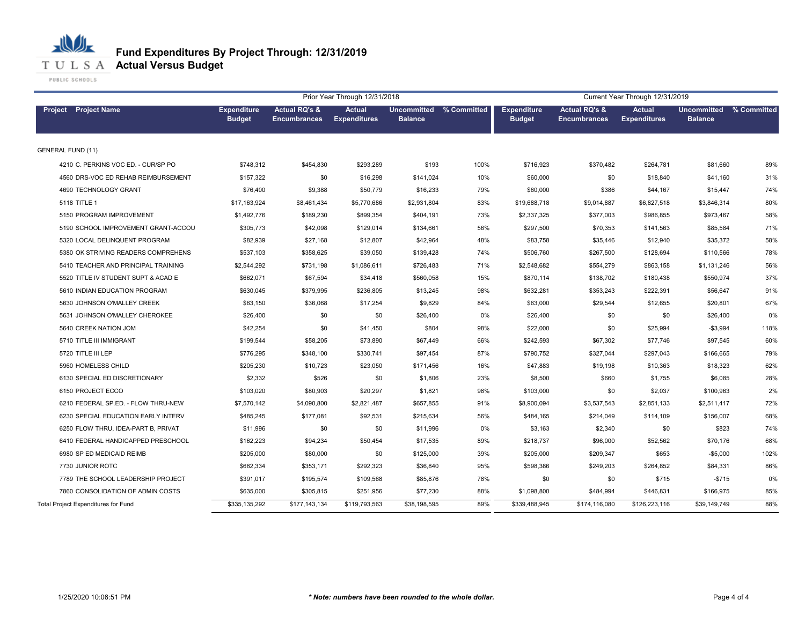

PUBLIC SCHOOLS

|                                     |                                     |                                                 | Prior Year Through 12/31/2018        |                                           |      |                                     |                                                 | Current Year Through 12/31/2019 |                                      |             |
|-------------------------------------|-------------------------------------|-------------------------------------------------|--------------------------------------|-------------------------------------------|------|-------------------------------------|-------------------------------------------------|---------------------------------|--------------------------------------|-------------|
| <b>Project</b> Project Name         | <b>Expenditure</b><br><b>Budget</b> | <b>Actual RQ's &amp;</b><br><b>Encumbrances</b> | <b>Actual</b><br><b>Expenditures</b> | Uncommitted % Committed<br><b>Balance</b> |      | <b>Expenditure</b><br><b>Budget</b> | <b>Actual RQ's &amp;</b><br><b>Encumbrances</b> | Actual<br><b>Expenditures</b>   | <b>Uncommitted</b><br><b>Balance</b> | % Committed |
| <b>GENERAL FUND (11)</b>            |                                     |                                                 |                                      |                                           |      |                                     |                                                 |                                 |                                      |             |
| 4210 C. PERKINS VOC ED. - CUR/SP PO | \$748,312                           | \$454,830                                       | \$293,289                            | \$193                                     | 100% | \$716,923                           | \$370,482                                       | \$264,781                       | \$81,660                             | 89%         |
| 4560 DRS-VOC ED REHAB REIMBURSEMENT | \$157,322                           | \$0                                             | \$16,298                             | \$141,024                                 | 10%  | \$60,000                            | \$0                                             | \$18,840                        | \$41,160                             | 31%         |
| 4690 TECHNOLOGY GRANT               | \$76,400                            | \$9,388                                         | \$50,779                             | \$16,233                                  | 79%  | \$60,000                            | \$386                                           | \$44,167                        | \$15,447                             | 74%         |
| 5118 TITLE 1                        | \$17,163,924                        | \$8,461,434                                     | \$5,770,686                          | \$2,931,804                               | 83%  | \$19,688,718                        | \$9,014,887                                     | \$6,827,518                     | \$3,846,314                          | 80%         |
| 5150 PROGRAM IMPROVEMENT            | \$1,492,776                         | \$189,230                                       | \$899,354                            | \$404,191                                 | 73%  | \$2,337,325                         | \$377,003                                       | \$986,855                       | \$973,467                            | 58%         |
| 5190 SCHOOL IMPROVEMENT GRANT-ACCOU | \$305,773                           | \$42,098                                        | \$129,014                            | \$134,661                                 | 56%  | \$297,500                           | \$70,353                                        | \$141,563                       | \$85,584                             | 71%         |
| 5320 LOCAL DELINQUENT PROGRAM       | \$82,939                            | \$27,168                                        | \$12,807                             | \$42,964                                  | 48%  | \$83,758                            | \$35,446                                        | \$12,940                        | \$35,372                             | 58%         |
| 5380 OK STRIVING READERS COMPREHENS | \$537,103                           | \$358,625                                       | \$39,050                             | \$139,428                                 | 74%  | \$506,760                           | \$267,500                                       | \$128,694                       | \$110,566                            | 78%         |
| 5410 TEACHER AND PRINCIPAL TRAINING | \$2,544,292                         | \$731,198                                       | \$1,086,611                          | \$726,483                                 | 71%  | \$2,548,682                         | \$554,279                                       | \$863,158                       | \$1,131,246                          | 56%         |
| 5520 TITLE IV STUDENT SUPT & ACAD E | \$662,071                           | \$67,594                                        | \$34,418                             | \$560,058                                 | 15%  | \$870,114                           | \$138,702                                       | \$180,438                       | \$550,974                            | 37%         |
| 5610 INDIAN EDUCATION PROGRAM       | \$630,045                           | \$379,995                                       | \$236,805                            | \$13,245                                  | 98%  | \$632,281                           | \$353,243                                       | \$222,391                       | \$56,647                             | 91%         |
| 5630 JOHNSON O'MALLEY CREEK         | \$63,150                            | \$36,068                                        | \$17,254                             | \$9,829                                   | 84%  | \$63,000                            | \$29,544                                        | \$12,655                        | \$20,801                             | 67%         |
| 5631 JOHNSON O'MALLEY CHEROKEE      | \$26,400                            | \$0                                             | \$0                                  | \$26,400                                  | 0%   | \$26,400                            | \$0                                             | \$0                             | \$26,400                             | 0%          |
| 5640 CREEK NATION JOM               | \$42,254                            | \$0                                             | \$41,450                             | \$804                                     | 98%  | \$22,000                            | \$0                                             | \$25,994                        | $-$3,994$                            | 118%        |
| 5710 TITLE III IMMIGRANT            | \$199,544                           | \$58,205                                        | \$73,890                             | \$67,449                                  | 66%  | \$242,593                           | \$67,302                                        | \$77,746                        | \$97,545                             | 60%         |
| 5720 TITLE III LEP                  | \$776,295                           | \$348,100                                       | \$330,741                            | \$97,454                                  | 87%  | \$790,752                           | \$327,044                                       | \$297,043                       | \$166,665                            | 79%         |
| 5960 HOMELESS CHILD                 | \$205,230                           | \$10,723                                        | \$23,050                             | \$171,456                                 | 16%  | \$47,883                            | \$19,198                                        | \$10,363                        | \$18,323                             | 62%         |
| 6130 SPECIAL ED DISCRETIONARY       | \$2,332                             | \$526                                           | \$0                                  | \$1,806                                   | 23%  | \$8,500                             | \$660                                           | \$1,755                         | \$6,085                              | 28%         |
| 6150 PROJECT ECCO                   | \$103,020                           | \$80,903                                        | \$20,297                             | \$1,821                                   | 98%  | \$103,000                           | \$0                                             | \$2,037                         | \$100,963                            | 2%          |
| 6210 FEDERAL SP.ED. - FLOW THRU-NEW | \$7,570,142                         | \$4,090,800                                     | \$2,821,487                          | \$657,855                                 | 91%  | \$8,900,094                         | \$3,537,543                                     | \$2,851,133                     | \$2,511,417                          | 72%         |
| 6230 SPECIAL EDUCATION EARLY INTERV | \$485,245                           | \$177,081                                       | \$92,531                             | \$215,634                                 | 56%  | \$484,165                           | \$214,049                                       | \$114,109                       | \$156,007                            | 68%         |
| 6250 FLOW THRU, IDEA-PART B, PRIVAT | \$11,996                            | \$0                                             | \$0                                  | \$11,996                                  | 0%   | \$3,163                             | \$2,340                                         | \$0                             | \$823                                | 74%         |
| 6410 FEDERAL HANDICAPPED PRESCHOOL  | \$162,223                           | \$94,234                                        | \$50,454                             | \$17,535                                  | 89%  | \$218,737                           | \$96,000                                        | \$52,562                        | \$70,176                             | 68%         |
| 6980 SP ED MEDICAID REIMB           | \$205,000                           | \$80,000                                        | \$0                                  | \$125,000                                 | 39%  | \$205,000                           | \$209,347                                       | \$653                           | $-$5,000$                            | 102%        |
| 7730 JUNIOR ROTC                    | \$682,334                           | \$353,171                                       | \$292,323                            | \$36,840                                  | 95%  | \$598,386                           | \$249,203                                       | \$264,852                       | \$84,331                             | 86%         |
| 7789 THE SCHOOL LEADERSHIP PROJECT  | \$391,017                           | \$195,574                                       | \$109,568                            | \$85,876                                  | 78%  | \$0                                 | \$0                                             | \$715                           | $-$715$                              | 0%          |
| 7860 CONSOLIDATION OF ADMIN COSTS   | \$635,000                           | \$305,815                                       | \$251,956                            | \$77,230                                  | 88%  | \$1,098,800                         | \$484,994                                       | \$446,831                       | \$166,975                            | 85%         |
| Total Project Expenditures for Fund | \$335,135,292                       | \$177,143,134                                   | \$119,793,563                        | \$38,198,595                              | 89%  | \$339,488,945                       | \$174,116,080                                   | \$126,223,116                   | \$39,149,749                         | 88%         |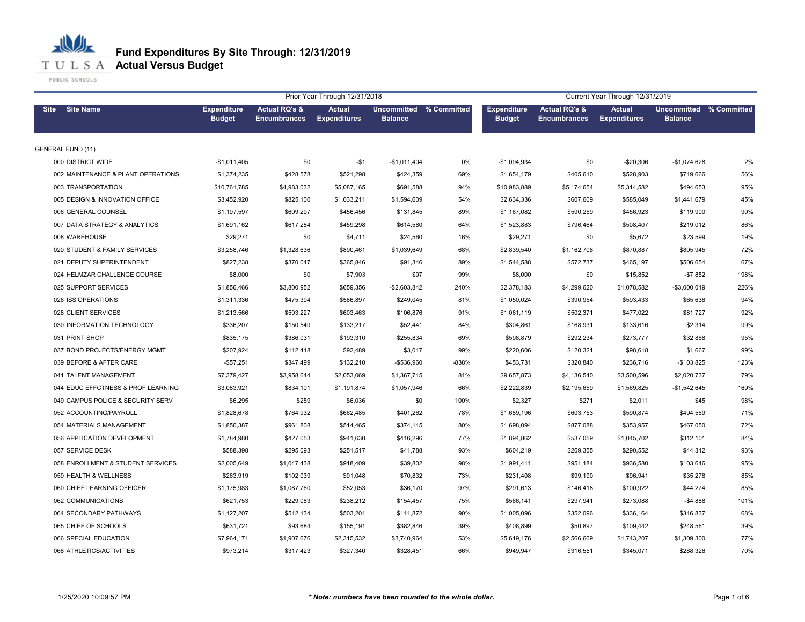**T U L S A Actual Versus Budget** 

PUBLIC SCHOOLS

|                                    |                                     |                                                 | Prior Year Through 12/31/2018        |                                           |       |                                     |                                                 | Current Year Through 12/31/2019      |                                      |             |
|------------------------------------|-------------------------------------|-------------------------------------------------|--------------------------------------|-------------------------------------------|-------|-------------------------------------|-------------------------------------------------|--------------------------------------|--------------------------------------|-------------|
| <b>Site Name</b><br><b>Site</b>    | <b>Expenditure</b><br><b>Budget</b> | <b>Actual RQ's &amp;</b><br><b>Encumbrances</b> | <b>Actual</b><br><b>Expenditures</b> | Uncommitted % Committed<br><b>Balance</b> |       | <b>Expenditure</b><br><b>Budget</b> | <b>Actual RQ's &amp;</b><br><b>Encumbrances</b> | <b>Actual</b><br><b>Expenditures</b> | <b>Uncommitted</b><br><b>Balance</b> | % Committed |
| <b>GENERAL FUND (11)</b>           |                                     |                                                 |                                      |                                           |       |                                     |                                                 |                                      |                                      |             |
| 000 DISTRICT WIDE                  | $-$1,011,405$                       | \$0                                             | $-$1$                                | $-$1,011,404$                             | 0%    | $-$1,094,934$                       | \$0                                             | $-$20,306$                           | $-$1,074,628$                        | 2%          |
| 002 MAINTENANCE & PLANT OPERATIONS | \$1,374,235                         | \$428,578                                       | \$521,298                            | \$424,359                                 | 69%   | \$1,654,179                         | \$405,610                                       | \$528,903                            | \$719,666                            | 56%         |
| 003 TRANSPORTATION                 | \$10,761,785                        | \$4,983,032                                     | \$5,087,165                          | \$691,588                                 | 94%   | \$10,983,889                        | \$5,174,654                                     | \$5,314,582                          | \$494,653                            | 95%         |
| 005 DESIGN & INNOVATION OFFICE     | \$3,452,920                         | \$825,100                                       | \$1,033,211                          | \$1,594,609                               | 54%   | \$2,634,336                         | \$607,609                                       | \$585,049                            | \$1,441,679                          | 45%         |
| 006 GENERAL COUNSEL                | \$1,197,597                         | \$609,297                                       | \$456,456                            | \$131,845                                 | 89%   | \$1,167,082                         | \$590,259                                       | \$456,923                            | \$119,900                            | 90%         |
| 007 DATA STRATEGY & ANALYTICS      | \$1,691,162                         | \$617,284                                       | \$459,298                            | \$614,580                                 | 64%   | \$1,523,883                         | \$796,464                                       | \$508,407                            | \$219,012                            | 86%         |
| 008 WAREHOUSE                      | \$29,271                            | \$0                                             | \$4,711                              | \$24,560                                  | 16%   | \$29,271                            | \$0                                             | \$5,672                              | \$23,599                             | 19%         |
| 020 STUDENT & FAMILY SERVICES      | \$3,258,746                         | \$1,328,636                                     | \$890,461                            | \$1,039,649                               | 68%   | \$2,839,540                         | \$1,162,708                                     | \$870,887                            | \$805,945                            | 72%         |
| 021 DEPUTY SUPERINTENDENT          | \$827,238                           | \$370,047                                       | \$365,846                            | \$91,346                                  | 89%   | \$1,544,588                         | \$572,737                                       | \$465,197                            | \$506,654                            | 67%         |
| 024 HELMZAR CHALLENGE COURSE       | \$8,000                             | \$0                                             | \$7,903                              | \$97                                      | 99%   | \$8,000                             | \$0                                             | \$15,852                             | $-$7,852$                            | 198%        |
| 025 SUPPORT SERVICES               | \$1,856,466                         | \$3,800,952                                     | \$659,356                            | $-$2,603,842$                             | 240%  | \$2,378,183                         | \$4,299,620                                     | \$1,078,582                          | $-$3,000,019$                        | 226%        |
| 026 ISS OPERATIONS                 | \$1,311,336                         | \$475,394                                       | \$586,897                            | \$249,045                                 | 81%   | \$1,050,024                         | \$390,954                                       | \$593,433                            | \$65,636                             | 94%         |
| 028 CLIENT SERVICES                | \$1,213,566                         | \$503,227                                       | \$603,463                            | \$106,876                                 | 91%   | \$1,061,119                         | \$502,371                                       | \$477,022                            | \$81,727                             | 92%         |
| 030 INFORMATION TECHNOLOGY         | \$336,207                           | \$150,549                                       | \$133,217                            | \$52,441                                  | 84%   | \$304,861                           | \$168,931                                       | \$133,616                            | \$2,314                              | 99%         |
| 031 PRINT SHOP                     | \$835,175                           | \$386,031                                       | \$193,310                            | \$255,834                                 | 69%   | \$598,879                           | \$292,234                                       | \$273,777                            | \$32,868                             | 95%         |
| 037 BOND PROJECTS/ENERGY MGMT      | \$207,924                           | \$112,418                                       | \$92,489                             | \$3,017                                   | 99%   | \$220,606                           | \$120,321                                       | \$98,618                             | \$1,667                              | 99%         |
| 039 BEFORE & AFTER CARE            | $-$57,251$                          | \$347,499                                       | \$132,210                            | -\$536,960                                | -838% | \$453,731                           | \$320,840                                       | \$236,716                            | $-$103,825$                          | 123%        |
| 041 TALENT MANAGEMENT              | \$7,379,427                         | \$3,958,644                                     | \$2,053,069                          | \$1,367,715                               | 81%   | \$9,657,873                         | \$4,136,540                                     | \$3,500,596                          | \$2,020,737                          | 79%         |
| 044 EDUC EFFCTNESS & PROF LEARNING | \$3,083,921                         | \$834,101                                       | \$1,191,874                          | \$1,057,946                               | 66%   | \$2,222,839                         | \$2,195,659                                     | \$1,569,825                          | $-$1,542,645$                        | 169%        |
| 049 CAMPUS POLICE & SECURITY SERV  | \$6,295                             | \$259                                           | \$6,036                              | \$0                                       | 100%  | \$2,327                             | \$271                                           | \$2,011                              | \$45                                 | 98%         |
| 052 ACCOUNTING/PAYROLL             | \$1,828,678                         | \$764,932                                       | \$662,485                            | \$401,262                                 | 78%   | \$1,689,196                         | \$603,753                                       | \$590,874                            | \$494,569                            | 71%         |
| 054 MATERIALS MANAGEMENT           | \$1,850,387                         | \$961,808                                       | \$514,465                            | \$374,115                                 | 80%   | \$1.698.094                         | \$877,088                                       | \$353,957                            | \$467,050                            | 72%         |
| 056 APPLICATION DEVELOPMENT        | \$1,784,980                         | \$427,053                                       | \$941,630                            | \$416,296                                 | 77%   | \$1,894,862                         | \$537,059                                       | \$1,045,702                          | \$312,101                            | 84%         |
| 057 SERVICE DESK                   | \$588,398                           | \$295,093                                       | \$251,517                            | \$41,788                                  | 93%   | \$604,219                           | \$269,355                                       | \$290,552                            | \$44,312                             | 93%         |
| 058 ENROLLMENT & STUDENT SERVICES  | \$2,005,649                         | \$1,047,438                                     | \$918,409                            | \$39,802                                  | 98%   | \$1,991,411                         | \$951,184                                       | \$936,580                            | \$103,646                            | 95%         |
| 059 HEALTH & WELLNESS              | \$263,919                           | \$102,039                                       | \$91,048                             | \$70,832                                  | 73%   | \$231,408                           | \$99,190                                        | \$96,941                             | \$35,278                             | 85%         |
| 060 CHIEF LEARNING OFFICER         | \$1,175,983                         | \$1,087,760                                     | \$52,053                             | \$36,170                                  | 97%   | \$291,613                           | \$146,418                                       | \$100,922                            | \$44,274                             | 85%         |
| 062 COMMUNICATIONS                 | \$621,753                           | \$229,083                                       | \$238,212                            | \$154,457                                 | 75%   | \$566,141                           | \$297,941                                       | \$273,088                            | $-$4,888$                            | 101%        |
| 064 SECONDARY PATHWAYS             | \$1,127,207                         | \$512,134                                       | \$503,201                            | \$111,872                                 | 90%   | \$1,005,096                         | \$352,096                                       | \$336,164                            | \$316,837                            | 68%         |
| 065 CHIEF OF SCHOOLS               | \$631,721                           | \$93,684                                        | \$155,191                            | \$382,846                                 | 39%   | \$408,899                           | \$50,897                                        | \$109,442                            | \$248,561                            | 39%         |
| 066 SPECIAL EDUCATION              | \$7,964,171                         | \$1,907,676                                     | \$2,315,532                          | \$3,740,964                               | 53%   | \$5,619,176                         | \$2,566,669                                     | \$1,743,207                          | \$1,309,300                          | 77%         |
| 068 ATHLETICS/ACTIVITIES           | \$973,214                           | \$317,423                                       | \$327,340                            | \$328,451                                 | 66%   | \$949,947                           | \$316,551                                       | \$345,071                            | \$288,326                            | 70%         |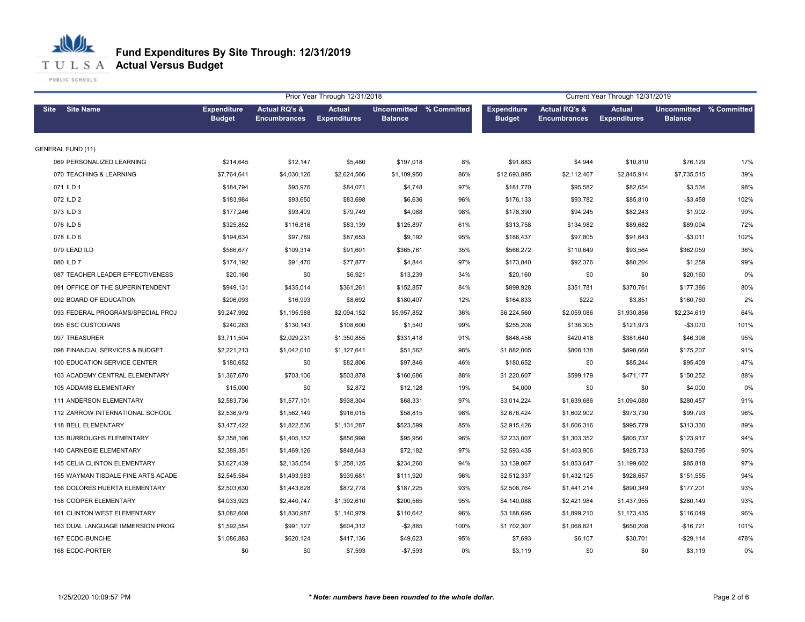**T U L S A Actual Versus Budget** 

PUBLIC SCHOOLS

|                                     | Prior Year Through 12/31/2018       |                                                 |                                      |                                           |      |                                     | Current Year Through 12/31/2019                 |                                      |                                                  |      |  |  |
|-------------------------------------|-------------------------------------|-------------------------------------------------|--------------------------------------|-------------------------------------------|------|-------------------------------------|-------------------------------------------------|--------------------------------------|--------------------------------------------------|------|--|--|
| Site Site Name                      | <b>Expenditure</b><br><b>Budget</b> | <b>Actual RQ's &amp;</b><br><b>Encumbrances</b> | <b>Actual</b><br><b>Expenditures</b> | Uncommitted % Committed<br><b>Balance</b> |      | <b>Expenditure</b><br><b>Budget</b> | <b>Actual RQ's &amp;</b><br><b>Encumbrances</b> | <b>Actual</b><br><b>Expenditures</b> | <b>Uncommitted % Committed</b><br><b>Balance</b> |      |  |  |
| <b>GENERAL FUND (11)</b>            |                                     |                                                 |                                      |                                           |      |                                     |                                                 |                                      |                                                  |      |  |  |
| 069 PERSONALIZED LEARNING           | \$214,645                           | \$12,147                                        | \$5,480                              | \$197,018                                 | 8%   | \$91,883                            | \$4,944                                         | \$10,810                             | \$76,129                                         | 17%  |  |  |
| 070 TEACHING & LEARNING             | \$7,764,641                         | \$4,030,126                                     | \$2,624,566                          | \$1,109,950                               | 86%  | \$12,693,895                        | \$2,112,467                                     | \$2,845,914                          | \$7,735,515                                      | 39%  |  |  |
| 071 ILD 1                           | \$184,794                           | \$95,976                                        | \$84,071                             | \$4,748                                   | 97%  | \$181,770                           | \$95,582                                        | \$82,654                             | \$3,534                                          | 98%  |  |  |
| 072 ILD 2                           | \$183,984                           | \$93,650                                        | \$83,698                             | \$6,636                                   | 96%  | \$176,133                           | \$93,782                                        | \$85,810                             | $-$3,458$                                        | 102% |  |  |
| 073 ILD 3                           | \$177,246                           | \$93,409                                        | \$79,749                             | \$4,088                                   | 98%  | \$178,390                           | \$94,245                                        | \$82,243                             | \$1,902                                          | 99%  |  |  |
| 076 ILD 5                           | \$325,852                           | \$116,816                                       | \$83,139                             | \$125,897                                 | 61%  | \$313,758                           | \$134,982                                       | \$89,682                             | \$89,094                                         | 72%  |  |  |
| 078 ILD 6                           | \$194,634                           | \$97,789                                        | \$87,653                             | \$9,192                                   | 95%  | \$186,437                           | \$97,805                                        | \$91,643                             | $-$3,011$                                        | 102% |  |  |
| 079 LEAD ILD                        | \$566,677                           | \$109,314                                       | \$91,601                             | \$365,761                                 | 35%  | \$566,272                           | \$110,649                                       | \$93,564                             | \$362,059                                        | 36%  |  |  |
| 080 ILD 7                           | \$174,192                           | \$91,470                                        | \$77,877                             | \$4,844                                   | 97%  | \$173,840                           | \$92,376                                        | \$80,204                             | \$1,259                                          | 99%  |  |  |
| 087 TEACHER LEADER EFFECTIVENESS    | \$20,160                            | \$0                                             | \$6,921                              | \$13,239                                  | 34%  | \$20,160                            | \$0                                             | \$0                                  | \$20,160                                         | 0%   |  |  |
| 091 OFFICE OF THE SUPERINTENDENT    | \$949,131                           | \$435,014                                       | \$361,261                            | \$152,857                                 | 84%  | \$899,928                           | \$351,781                                       | \$370,761                            | \$177,386                                        | 80%  |  |  |
| 092 BOARD OF EDUCATION              | \$206,093                           | \$16,993                                        | \$8,692                              | \$180,407                                 | 12%  | \$164,833                           | \$222                                           | \$3,851                              | \$160,760                                        | 2%   |  |  |
| 093 FEDERAL PROGRAMS/SPECIAL PROJ   | \$9,247,992                         | \$1,195,988                                     | \$2,094,152                          | \$5,957,852                               | 36%  | \$6,224,560                         | \$2,059,086                                     | \$1,930,856                          | \$2,234,619                                      | 64%  |  |  |
| 095 ESC CUSTODIANS                  | \$240,283                           | \$130,143                                       | \$108,600                            | \$1,540                                   | 99%  | \$255,208                           | \$136,305                                       | \$121,973                            | $-$3,070$                                        | 101% |  |  |
| 097 TREASURER                       | \$3,711,504                         | \$2,029,231                                     | \$1,350,855                          | \$331,418                                 | 91%  | \$848,456                           | \$420,418                                       | \$381,640                            | \$46,398                                         | 95%  |  |  |
| 098 FINANCIAL SERVICES & BUDGET     | \$2,221,213                         | \$1,042,010                                     | \$1,127,641                          | \$51,562                                  | 98%  | \$1,882,005                         | \$808,138                                       | \$898,660                            | \$175,207                                        | 91%  |  |  |
| 100 EDUCATION SERVICE CENTER        | \$180,652                           | \$0                                             | \$82,806                             | \$97,846                                  | 46%  | \$180,652                           | \$0                                             | \$85,244                             | \$95,409                                         | 47%  |  |  |
| 103 ACADEMY CENTRAL ELEMENTARY      | \$1,367,670                         | \$703,106                                       | \$503,878                            | \$160,686                                 | 88%  | \$1,220,607                         | \$599,179                                       | \$471,177                            | \$150,252                                        | 88%  |  |  |
| 105 ADDAMS ELEMENTARY               | \$15,000                            | \$0                                             | \$2,872                              | \$12,128                                  | 19%  | \$4,000                             | \$0                                             | \$0                                  | \$4,000                                          | 0%   |  |  |
| <b>111 ANDERSON ELEMENTARY</b>      | \$2,583,736                         | \$1,577,101                                     | \$938,304                            | \$68,331                                  | 97%  | \$3,014,224                         | \$1,639,686                                     | \$1,094,080                          | \$280,457                                        | 91%  |  |  |
| 112 ZARROW INTERNATIONAL SCHOOL     | \$2,536,979                         | \$1,562,149                                     | \$916,015                            | \$58,815                                  | 98%  | \$2,676,424                         | \$1,602,902                                     | \$973,730                            | \$99,793                                         | 96%  |  |  |
| 118 BELL ELEMENTARY                 | \$3,477,422                         | \$1,822,536                                     | \$1,131,287                          | \$523,599                                 | 85%  | \$2,915,426                         | \$1,606,316                                     | \$995,779                            | \$313,330                                        | 89%  |  |  |
| 135 BURROUGHS ELEMENTARY            | \$2,358,106                         | \$1,405,152                                     | \$856,998                            | \$95,956                                  | 96%  | \$2,233,007                         | \$1,303,352                                     | \$805,737                            | \$123,917                                        | 94%  |  |  |
| <b>140 CARNEGIE ELEMENTARY</b>      | \$2,389,351                         | \$1,469,126                                     | \$848,043                            | \$72,182                                  | 97%  | \$2,593,435                         | \$1,403,906                                     | \$925,733                            | \$263,795                                        | 90%  |  |  |
| <b>145 CELIA CLINTON ELEMENTARY</b> | \$3,627,439                         | \$2,135,054                                     | \$1,258,125                          | \$234,260                                 | 94%  | \$3,139,067                         | \$1,853,647                                     | \$1,199,602                          | \$85,818                                         | 97%  |  |  |
| 155 WAYMAN TISDALE FINE ARTS ACADE  | \$2,545,584                         | \$1,493,983                                     | \$939,681                            | \$111,920                                 | 96%  | \$2,512,337                         | \$1,432,125                                     | \$928,657                            | \$151,555                                        | 94%  |  |  |
| 156 DOLORES HUERTA ELEMENTARY       | \$2,503,630                         | \$1,443,628                                     | \$872,778                            | \$187,225                                 | 93%  | \$2,508,764                         | \$1,441,214                                     | \$890,349                            | \$177,201                                        | 93%  |  |  |
| 158 COOPER ELEMENTARY               | \$4,033,923                         | \$2,440,747                                     | \$1,392,610                          | \$200,565                                 | 95%  | \$4,140,088                         | \$2,421,984                                     | \$1,437,955                          | \$280,149                                        | 93%  |  |  |
| 161 CLINTON WEST ELEMENTARY         | \$3,082,608                         | \$1,830,987                                     | \$1,140,979                          | \$110,642                                 | 96%  | \$3,188,695                         | \$1,899,210                                     | \$1,173,435                          | \$116,049                                        | 96%  |  |  |
| 163 DUAL LANGUAGE IMMERSION PROG    | \$1,592,554                         | \$991,127                                       | \$604,312                            | $-$2,885$                                 | 100% | \$1,702,307                         | \$1,068,821                                     | \$650,208                            | $-$16,721$                                       | 101% |  |  |
| 167 ECDC-BUNCHE                     | \$1,086,883                         | \$620,124                                       | \$417,136                            | \$49,623                                  | 95%  | \$7,693                             | \$6,107                                         | \$30,701                             | $-$29,114$                                       | 478% |  |  |
| 168 ECDC-PORTER                     | \$0                                 | \$0                                             | \$7,593                              | $-$7,593$                                 | 0%   | \$3,119                             | \$0                                             | \$0                                  | \$3,119                                          | 0%   |  |  |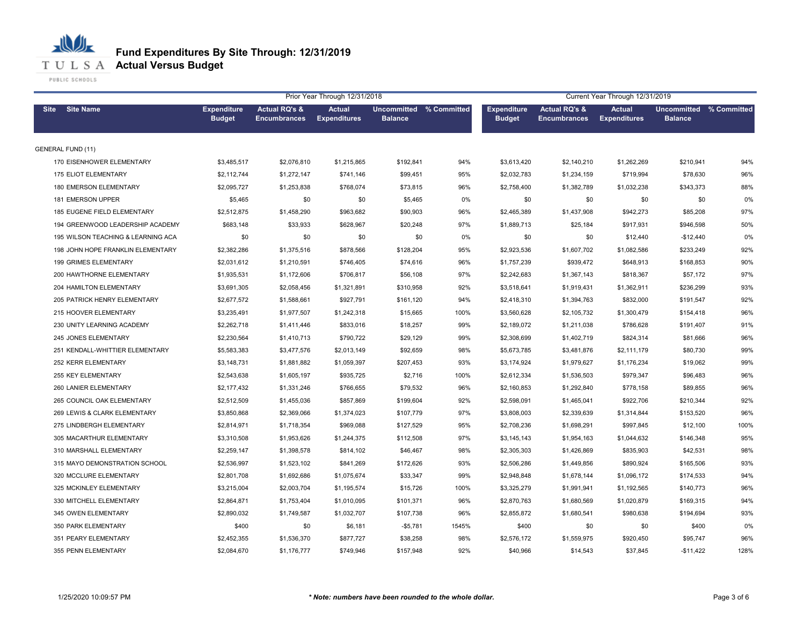**T U L S A Actual Versus Budget** 

PUBLIC SCHOOLS

|                                    |                                     |                                                 | Prior Year Through 12/31/2018        |                                           |       | Current Year Through 12/31/2019     |                                                 |                                      |                                                  |      |
|------------------------------------|-------------------------------------|-------------------------------------------------|--------------------------------------|-------------------------------------------|-------|-------------------------------------|-------------------------------------------------|--------------------------------------|--------------------------------------------------|------|
| Site Site Name                     | <b>Expenditure</b><br><b>Budget</b> | <b>Actual RQ's &amp;</b><br><b>Encumbrances</b> | <b>Actual</b><br><b>Expenditures</b> | Uncommitted % Committed<br><b>Balance</b> |       | <b>Expenditure</b><br><b>Budget</b> | <b>Actual RQ's &amp;</b><br><b>Encumbrances</b> | <b>Actual</b><br><b>Expenditures</b> | <b>Uncommitted % Committed</b><br><b>Balance</b> |      |
| <b>GENERAL FUND (11)</b>           |                                     |                                                 |                                      |                                           |       |                                     |                                                 |                                      |                                                  |      |
| 170 EISENHOWER ELEMENTARY          | \$3,485,517                         | \$2,076,810                                     | \$1,215,865                          | \$192,841                                 | 94%   | \$3,613,420                         | \$2,140,210                                     | \$1,262,269                          | \$210,941                                        | 94%  |
| 175 ELIOT ELEMENTARY               | \$2,112,744                         | \$1,272,147                                     | \$741,146                            | \$99,451                                  | 95%   | \$2,032,783                         | \$1,234,159                                     | \$719,994                            | \$78,630                                         | 96%  |
| 180 EMERSON ELEMENTARY             | \$2,095,727                         | \$1,253,838                                     | \$768,074                            | \$73,815                                  | 96%   | \$2,758,400                         | \$1,382,789                                     | \$1,032,238                          | \$343,373                                        | 88%  |
| 181 EMERSON UPPER                  | \$5,465                             | \$0                                             | \$0                                  | \$5,465                                   | 0%    | \$0                                 | \$0                                             | \$0                                  | \$0                                              | 0%   |
| 185 EUGENE FIELD ELEMENTARY        | \$2,512,875                         | \$1,458,290                                     | \$963,682                            | \$90,903                                  | 96%   | \$2,465,389                         | \$1,437,908                                     | \$942,273                            | \$85,208                                         | 97%  |
| 194 GREENWOOD LEADERSHIP ACADEMY   | \$683,148                           | \$33,933                                        | \$628,967                            | \$20,248                                  | 97%   | \$1,889,713                         | \$25,184                                        | \$917,931                            | \$946,598                                        | 50%  |
| 195 WILSON TEACHING & LEARNING ACA | \$0                                 | \$0                                             | \$0                                  | \$0                                       | 0%    | \$0                                 | \$0                                             | \$12,440                             | $-$12,440$                                       | 0%   |
| 198 JOHN HOPE FRANKLIN ELEMENTARY  | \$2,382,286                         | \$1,375,516                                     | \$878,566                            | \$128,204                                 | 95%   | \$2,923,536                         | \$1,607,702                                     | \$1,082,586                          | \$233,249                                        | 92%  |
| 199 GRIMES ELEMENTARY              | \$2,031,612                         | \$1,210,591                                     | \$746,405                            | \$74,616                                  | 96%   | \$1,757,239                         | \$939,472                                       | \$648,913                            | \$168,853                                        | 90%  |
| 200 HAWTHORNE ELEMENTARY           | \$1,935,531                         | \$1,172,606                                     | \$706,817                            | \$56,108                                  | 97%   | \$2,242,683                         | \$1,367,143                                     | \$818,367                            | \$57,172                                         | 97%  |
| 204 HAMILTON ELEMENTARY            | \$3,691,305                         | \$2,058,456                                     | \$1,321,891                          | \$310,958                                 | 92%   | \$3,518,641                         | \$1,919,431                                     | \$1,362,911                          | \$236,299                                        | 93%  |
| 205 PATRICK HENRY ELEMENTARY       | \$2,677,572                         | \$1,588,661                                     | \$927,791                            | \$161,120                                 | 94%   | \$2,418,310                         | \$1,394,763                                     | \$832,000                            | \$191,547                                        | 92%  |
| 215 HOOVER ELEMENTARY              | \$3,235,491                         | \$1,977,507                                     | \$1,242,318                          | \$15,665                                  | 100%  | \$3,560,628                         | \$2,105,732                                     | \$1,300,479                          | \$154,418                                        | 96%  |
| 230 UNITY LEARNING ACADEMY         | \$2,262,718                         | \$1,411,446                                     | \$833,016                            | \$18,257                                  | 99%   | \$2,189,072                         | \$1,211,038                                     | \$786,628                            | \$191,407                                        | 91%  |
| 245 JONES ELEMENTARY               | \$2,230,564                         | \$1,410,713                                     | \$790,722                            | \$29,129                                  | 99%   | \$2,308,699                         | \$1,402,719                                     | \$824,314                            | \$81,666                                         | 96%  |
| 251 KENDALL-WHITTIER ELEMENTARY    | \$5,583,383                         | \$3,477,576                                     | \$2,013,149                          | \$92,659                                  | 98%   | \$5,673,785                         | \$3,481,876                                     | \$2,111,179                          | \$80,730                                         | 99%  |
| 252 KERR ELEMENTARY                | \$3,148,731                         | \$1,881,882                                     | \$1,059,397                          | \$207,453                                 | 93%   | \$3,174,924                         | \$1,979,627                                     | \$1,176,234                          | \$19,062                                         | 99%  |
| 255 KEY ELEMENTARY                 | \$2,543,638                         | \$1,605,197                                     | \$935,725                            | \$2,716                                   | 100%  | \$2,612,334                         | \$1,536,503                                     | \$979,347                            | \$96,483                                         | 96%  |
| 260 LANIER ELEMENTARY              | \$2,177,432                         | \$1,331,246                                     | \$766,655                            | \$79,532                                  | 96%   | \$2,160,853                         | \$1,292,840                                     | \$778,158                            | \$89,855                                         | 96%  |
| 265 COUNCIL OAK ELEMENTARY         | \$2,512,509                         | \$1,455,036                                     | \$857,869                            | \$199,604                                 | 92%   | \$2,598,091                         | \$1,465,041                                     | \$922,706                            | \$210,344                                        | 92%  |
| 269 LEWIS & CLARK ELEMENTARY       | \$3,850,868                         | \$2,369,066                                     | \$1,374,023                          | \$107,779                                 | 97%   | \$3,808,003                         | \$2,339,639                                     | \$1,314,844                          | \$153,520                                        | 96%  |
| 275 LINDBERGH ELEMENTARY           | \$2,814,971                         | \$1,718,354                                     | \$969,088                            | \$127,529                                 | 95%   | \$2,708,236                         | \$1,698,291                                     | \$997,845                            | \$12,100                                         | 100% |
| 305 MACARTHUR ELEMENTARY           | \$3,310,508                         | \$1,953,626                                     | \$1,244,375                          | \$112,508                                 | 97%   | \$3,145,143                         | \$1,954,163                                     | \$1,044,632                          | \$146,348                                        | 95%  |
| 310 MARSHALL ELEMENTARY            | \$2,259,147                         | \$1,398,578                                     | \$814,102                            | \$46,467                                  | 98%   | \$2,305,303                         | \$1,426,869                                     | \$835,903                            | \$42,531                                         | 98%  |
| 315 MAYO DEMONSTRATION SCHOOL      | \$2,536,997                         | \$1,523,102                                     | \$841,269                            | \$172,626                                 | 93%   | \$2,506,286                         | \$1,449,856                                     | \$890,924                            | \$165,506                                        | 93%  |
| 320 MCCLURE ELEMENTARY             | \$2,801,708                         | \$1,692,686                                     | \$1,075,674                          | \$33,347                                  | 99%   | \$2,948,848                         | \$1,678,144                                     | \$1,096,172                          | \$174,533                                        | 94%  |
| 325 MCKINLEY ELEMENTARY            | \$3,215,004                         | \$2,003,704                                     | \$1,195,574                          | \$15,726                                  | 100%  | \$3,325,279                         | \$1,991,941                                     | \$1,192,565                          | \$140,773                                        | 96%  |
| 330 MITCHELL ELEMENTARY            | \$2,864,871                         | \$1,753,404                                     | \$1,010,095                          | \$101,371                                 | 96%   | \$2,870,763                         | \$1,680,569                                     | \$1,020,879                          | \$169,315                                        | 94%  |
| 345 OWEN ELEMENTARY                | \$2,890,032                         | \$1,749,587                                     | \$1,032,707                          | \$107,738                                 | 96%   | \$2,855,872                         | \$1,680,541                                     | \$980,638                            | \$194,694                                        | 93%  |
| 350 PARK ELEMENTARY                | \$400                               | \$0                                             | \$6,181                              | $-$5,781$                                 | 1545% | \$400                               | \$0                                             | \$0                                  | \$400                                            | 0%   |
| 351 PEARY ELEMENTARY               | \$2,452,355                         | \$1,536,370                                     | \$877,727                            | \$38,258                                  | 98%   | \$2,576,172                         | \$1,559,975                                     | \$920,450                            | \$95,747                                         | 96%  |
| 355 PENN ELEMENTARY                | \$2,084,670                         | \$1,176,777                                     | \$749,946                            | \$157,948                                 | 92%   | \$40,966                            | \$14,543                                        | \$37,845                             | $-$11,422$                                       | 128% |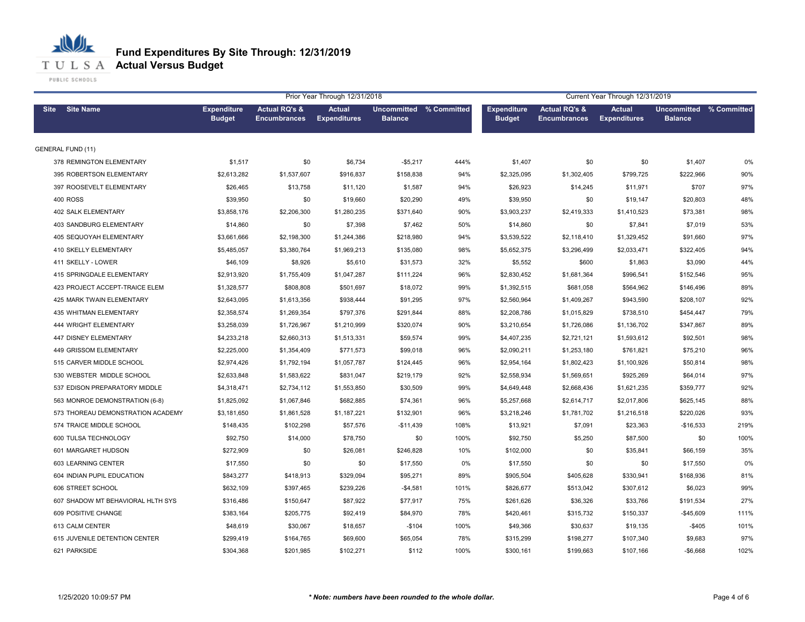**T U L S A Actual Versus Budget** 

PUBLIC SCHOOLS

|                                   |                                     |                                                 | Prior Year Through 12/31/2018        |                |                                | Current Year Through 12/31/2019     |                                                 |                                      |                                           |      |  |
|-----------------------------------|-------------------------------------|-------------------------------------------------|--------------------------------------|----------------|--------------------------------|-------------------------------------|-------------------------------------------------|--------------------------------------|-------------------------------------------|------|--|
| <b>Site Name</b><br><b>Site</b>   | <b>Expenditure</b><br><b>Budget</b> | <b>Actual RQ's &amp;</b><br><b>Encumbrances</b> | <b>Actual</b><br><b>Expenditures</b> | <b>Balance</b> | <b>Uncommitted % Committed</b> | <b>Expenditure</b><br><b>Budget</b> | <b>Actual RQ's &amp;</b><br><b>Encumbrances</b> | <b>Actual</b><br><b>Expenditures</b> | Uncommitted % Committed<br><b>Balance</b> |      |  |
| <b>GENERAL FUND (11)</b>          |                                     |                                                 |                                      |                |                                |                                     |                                                 |                                      |                                           |      |  |
| 378 REMINGTON ELEMENTARY          | \$1,517                             | \$0                                             | \$6,734                              | $-$5,217$      | 444%                           | \$1,407                             | \$0                                             | \$0                                  | \$1,407                                   | 0%   |  |
| 395 ROBERTSON ELEMENTARY          | \$2,613,282                         | \$1,537,607                                     | \$916,837                            | \$158,838      | 94%                            | \$2,325,095                         | \$1,302,405                                     | \$799,725                            | \$222,966                                 | 90%  |  |
| 397 ROOSEVELT ELEMENTARY          | \$26,465                            | \$13,758                                        | \$11,120                             | \$1,587        | 94%                            | \$26,923                            | \$14,245                                        | \$11,971                             | \$707                                     | 97%  |  |
| <b>400 ROSS</b>                   | \$39,950                            | \$0                                             | \$19,660                             | \$20,290       | 49%                            | \$39,950                            | \$0                                             | \$19,147                             | \$20,803                                  | 48%  |  |
| 402 SALK ELEMENTARY               | \$3,858,176                         | \$2,206,300                                     | \$1,280,235                          | \$371,640      | 90%                            | \$3,903,237                         | \$2,419,333                                     | \$1,410,523                          | \$73,381                                  | 98%  |  |
| 403 SANDBURG ELEMENTARY           | \$14,860                            | \$0                                             | \$7,398                              | \$7,462        | 50%                            | \$14,860                            | \$0                                             | \$7,841                              | \$7,019                                   | 53%  |  |
| <b>405 SEQUOYAH ELEMENTARY</b>    | \$3,661,666                         | \$2,198,300                                     | \$1,244,386                          | \$218,980      | 94%                            | \$3,539,522                         | \$2,118,410                                     | \$1,329,452                          | \$91,660                                  | 97%  |  |
| 410 SKELLY ELEMENTARY             | \$5,485,057                         | \$3,380,764                                     | \$1,969,213                          | \$135,080      | 98%                            | \$5,652,375                         | \$3,296,499                                     | \$2,033,471                          | \$322,405                                 | 94%  |  |
| 411 SKELLY - LOWER                | \$46,109                            | \$8,926                                         | \$5,610                              | \$31,573       | 32%                            | \$5,552                             | \$600                                           | \$1,863                              | \$3,090                                   | 44%  |  |
| 415 SPRINGDALE ELEMENTARY         | \$2,913,920                         | \$1,755,409                                     | \$1,047,287                          | \$111,224      | 96%                            | \$2,830,452                         | \$1,681,364                                     | \$996,541                            | \$152,546                                 | 95%  |  |
| 423 PROJECT ACCEPT-TRAICE ELEM    | \$1,328,577                         | \$808,808                                       | \$501,697                            | \$18,072       | 99%                            | \$1,392,515                         | \$681,058                                       | \$564,962                            | \$146,496                                 | 89%  |  |
| 425 MARK TWAIN ELEMENTARY         | \$2,643,095                         | \$1,613,356                                     | \$938,444                            | \$91,295       | 97%                            | \$2,560,964                         | \$1,409,267                                     | \$943,590                            | \$208,107                                 | 92%  |  |
| 435 WHITMAN ELEMENTARY            | \$2,358,574                         | \$1,269,354                                     | \$797,376                            | \$291,844      | 88%                            | \$2,208,786                         | \$1,015,829                                     | \$738,510                            | \$454,447                                 | 79%  |  |
| <b>444 WRIGHT ELEMENTARY</b>      | \$3,258,039                         | \$1,726,967                                     | \$1,210,999                          | \$320,074      | 90%                            | \$3,210,654                         | \$1,726,086                                     | \$1,136,702                          | \$347,867                                 | 89%  |  |
| 447 DISNEY ELEMENTARY             | \$4,233,218                         | \$2,660,313                                     | \$1,513,331                          | \$59,574       | 99%                            | \$4,407,235                         | \$2,721,121                                     | \$1,593,612                          | \$92,501                                  | 98%  |  |
| 449 GRISSOM ELEMENTARY            | \$2,225,000                         | \$1,354,409                                     | \$771,573                            | \$99,018       | 96%                            | \$2,090,211                         | \$1,253,180                                     | \$761,821                            | \$75,210                                  | 96%  |  |
| 515 CARVER MIDDLE SCHOOL          | \$2,974,426                         | \$1,792,194                                     | \$1,057,787                          | \$124,445      | 96%                            | \$2,954,164                         | \$1,802,423                                     | \$1,100,926                          | \$50,814                                  | 98%  |  |
| 530 WEBSTER MIDDLE SCHOOL         | \$2,633,848                         | \$1,583,622                                     | \$831,047                            | \$219,179      | 92%                            | \$2,558,934                         | \$1,569,651                                     | \$925,269                            | \$64,014                                  | 97%  |  |
| 537 EDISON PREPARATORY MIDDLE     | \$4,318,471                         | \$2,734,112                                     | \$1,553,850                          | \$30,509       | 99%                            | \$4,649,448                         | \$2,668,436                                     | \$1,621,235                          | \$359,777                                 | 92%  |  |
| 563 MONROE DEMONSTRATION (6-8)    | \$1,825,092                         | \$1,067,846                                     | \$682,885                            | \$74,361       | 96%                            | \$5,257,668                         | \$2,614,717                                     | \$2,017,806                          | \$625,145                                 | 88%  |  |
| 573 THOREAU DEMONSTRATION ACADEMY | \$3,181,650                         | \$1,861,528                                     | \$1,187,221                          | \$132,901      | 96%                            | \$3,218,246                         | \$1,781,702                                     | \$1,216,518                          | \$220,026                                 | 93%  |  |
| 574 TRAICE MIDDLE SCHOOL          | \$148,435                           | \$102,298                                       | \$57,576                             | $-$11,439$     | 108%                           | \$13,921                            | \$7,091                                         | \$23,363                             | $-$16,533$                                | 219% |  |
| 600 TULSA TECHNOLOGY              | \$92,750                            | \$14,000                                        | \$78,750                             | \$0            | 100%                           | \$92,750                            | \$5,250                                         | \$87,500                             | \$0                                       | 100% |  |
| 601 MARGARET HUDSON               | \$272,909                           | \$0                                             | \$26,081                             | \$246,828      | 10%                            | \$102,000                           | \$0                                             | \$35,841                             | \$66,159                                  | 35%  |  |
| 603 LEARNING CENTER               | \$17,550                            | \$0                                             | \$0                                  | \$17,550       | 0%                             | \$17,550                            | \$0                                             | \$0                                  | \$17,550                                  | 0%   |  |
| 604 INDIAN PUPIL EDUCATION        | \$843,277                           | \$418,913                                       | \$329,094                            | \$95,271       | 89%                            | \$905,504                           | \$405,628                                       | \$330,941                            | \$168,936                                 | 81%  |  |
| 606 STREET SCHOOL                 | \$632,109                           | \$397,465                                       | \$239,226                            | $-$4,581$      | 101%                           | \$826,677                           | \$513,042                                       | \$307,612                            | \$6,023                                   | 99%  |  |
| 607 SHADOW MT BEHAVIORAL HLTH SYS | \$316,486                           | \$150,647                                       | \$87,922                             | \$77,917       | 75%                            | \$261,626                           | \$36,326                                        | \$33,766                             | \$191,534                                 | 27%  |  |
| 609 POSITIVE CHANGE               | \$383,164                           | \$205,775                                       | \$92,419                             | \$84,970       | 78%                            | \$420,461                           | \$315,732                                       | \$150,337                            | $-$45,609$                                | 111% |  |
| 613 CALM CENTER                   | \$48,619                            | \$30,067                                        | \$18,657                             | $-$104$        | 100%                           | \$49,366                            | \$30,637                                        | \$19,135                             | $-$405$                                   | 101% |  |
| 615 JUVENILE DETENTION CENTER     | \$299,419                           | \$164,765                                       | \$69,600                             | \$65,054       | 78%                            | \$315,299                           | \$198,277                                       | \$107,340                            | \$9,683                                   | 97%  |  |
| 621 PARKSIDE                      | \$304,368                           | \$201,985                                       | \$102,271                            | \$112          | 100%                           | \$300,161                           | \$199,663                                       | \$107,166                            | $-$6,668$                                 | 102% |  |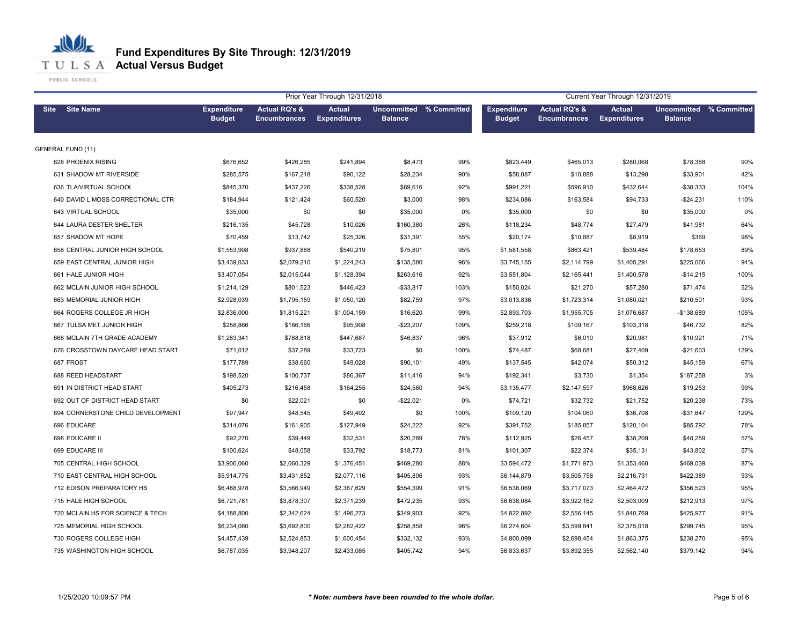**T U L S A Actual Versus Budget** 

PUBLIC SCHOOLS

|                                   |                                     |                                                 | Prior Year Through 12/31/2018        |                                           |      | Current Year Through 12/31/2019     |                                                 |                                      |                                      |             |  |
|-----------------------------------|-------------------------------------|-------------------------------------------------|--------------------------------------|-------------------------------------------|------|-------------------------------------|-------------------------------------------------|--------------------------------------|--------------------------------------|-------------|--|
| <b>Site Name</b><br><b>Site</b>   | <b>Expenditure</b><br><b>Budget</b> | <b>Actual RQ's &amp;</b><br><b>Encumbrances</b> | <b>Actual</b><br><b>Expenditures</b> | Uncommitted % Committed<br><b>Balance</b> |      | <b>Expenditure</b><br><b>Budget</b> | <b>Actual RQ's &amp;</b><br><b>Encumbrances</b> | <b>Actual</b><br><b>Expenditures</b> | <b>Uncommitted</b><br><b>Balance</b> | % Committed |  |
| <b>GENERAL FUND (11)</b>          |                                     |                                                 |                                      |                                           |      |                                     |                                                 |                                      |                                      |             |  |
| 628 PHOENIX RISING                | \$676,652                           | \$426,285                                       | \$241,894                            | \$8,473                                   | 99%  | \$823,449                           | \$465,013                                       | \$280,068                            | \$78,368                             | 90%         |  |
| 631 SHADOW MT RIVERSIDE           | \$285,575                           | \$167,218                                       | \$90,122                             | \$28,234                                  | 90%  | \$58,087                            | \$10,888                                        | \$13,298                             | \$33,901                             | 42%         |  |
| 636 TLA/VIRTUAL SCHOOL            | \$845,370                           | \$437,226                                       | \$338,528                            | \$69,616                                  | 92%  | \$991,221                           | \$596,910                                       | \$432,644                            | $-$38,333$                           | 104%        |  |
| 640 DAVID L MOSS CORRECTIONAL CTR | \$184,944                           | \$121,424                                       | \$60,520                             | \$3,000                                   | 98%  | \$234,086                           | \$163,584                                       | \$94,733                             | $-$24,231$                           | 110%        |  |
| 643 VIRTUAL SCHOOL                | \$35,000                            | \$0                                             | \$0                                  | \$35,000                                  | 0%   | \$35,000                            | \$0                                             | \$0                                  | \$35,000                             | 0%          |  |
| 644 LAURA DESTER SHELTER          | \$216,135                           | \$45,728                                        | \$10,026                             | \$160,380                                 | 26%  | \$118,234                           | \$48,774                                        | \$27,479                             | \$41,981                             | 64%         |  |
| 657 SHADOW MT HOPE                | \$70,459                            | \$13,742                                        | \$25,326                             | \$31,391                                  | 55%  | \$20,174                            | \$10,887                                        | \$8,919                              | \$369                                | 98%         |  |
| 658 CENTRAL JUNIOR HIGH SCHOOL    | \$1,553,908                         | \$937,888                                       | \$540,219                            | \$75,801                                  | 95%  | \$1,581,558                         | \$863,421                                       | \$539,484                            | \$178,653                            | 89%         |  |
| 659 EAST CENTRAL JUNIOR HIGH      | \$3,439,033                         | \$2,079,210                                     | \$1,224,243                          | \$135,580                                 | 96%  | \$3,745,155                         | \$2,114,799                                     | \$1,405,291                          | \$225,066                            | 94%         |  |
| 661 HALE JUNIOR HIGH              | \$3,407,054                         | \$2,015,044                                     | \$1,128,394                          | \$263,616                                 | 92%  | \$3,551,804                         | \$2,165,441                                     | \$1,400,578                          | $-$14,215$                           | 100%        |  |
| 662 MCLAIN JUNIOR HIGH SCHOOL     | \$1,214,129                         | \$801,523                                       | \$446,423                            | $- $33,817$                               | 103% | \$150,024                           | \$21,270                                        | \$57,280                             | \$71,474                             | 52%         |  |
| 663 MEMORIAL JUNIOR HIGH          | \$2,928,039                         | \$1,795,159                                     | \$1,050,120                          | \$82,759                                  | 97%  | \$3,013,836                         | \$1,723,314                                     | \$1,080,021                          | \$210,501                            | 93%         |  |
| 664 ROGERS COLLEGE JR HIGH        | \$2,836,000                         | \$1,815,221                                     | \$1,004,159                          | \$16,620                                  | 99%  | \$2,893,703                         | \$1,955,705                                     | \$1,076,687                          | $-$138,689$                          | 105%        |  |
| 667 TULSA MET JUNIOR HIGH         | \$258,866                           | \$186,166                                       | \$95,908                             | $-$23,207$                                | 109% | \$259,218                           | \$109,167                                       | \$103,318                            | \$46,732                             | 82%         |  |
| 668 MCLAIN 7TH GRADE ACADEMY      | \$1,283,341                         | \$788,818                                       | \$447,687                            | \$46,837                                  | 96%  | \$37,912                            | \$6,010                                         | \$20,981                             | \$10,921                             | 71%         |  |
| 676 CROSSTOWN DAYCARE HEAD START  | \$71,012                            | \$37,289                                        | \$33,723                             | \$0                                       | 100% | \$74,487                            | \$68,681                                        | \$27,409                             | $-$21,603$                           | 129%        |  |
| 687 FROST                         | \$177,789                           | \$38,660                                        | \$49,028                             | \$90,101                                  | 49%  | \$137,545                           | \$42,074                                        | \$50,312                             | \$45,159                             | 67%         |  |
| 688 REED HEADSTART                | \$198,520                           | \$100,737                                       | \$86,367                             | \$11,416                                  | 94%  | \$192,341                           | \$3,730                                         | \$1,354                              | \$187,258                            | 3%          |  |
| 691 IN DISTRICT HEAD START        | \$405,273                           | \$216,458                                       | \$164,255                            | \$24,560                                  | 94%  | \$3,135,477                         | \$2,147,597                                     | \$968,626                            | \$19,253                             | 99%         |  |
| 692 OUT OF DISTRICT HEAD START    | \$0                                 | \$22,021                                        | \$0                                  | $-$22,021$                                | 0%   | \$74,721                            | \$32,732                                        | \$21,752                             | \$20,238                             | 73%         |  |
| 694 CORNERSTONE CHILD DEVELOPMENT | \$97,947                            | \$48,545                                        | \$49,402                             | \$0                                       | 100% | \$109,120                           | \$104,060                                       | \$36,708                             | -\$31,647                            | 129%        |  |
| 696 EDUCARE                       | \$314,076                           | \$161,905                                       | \$127,949                            | \$24,222                                  | 92%  | \$391,752                           | \$185,857                                       | \$120,104                            | \$85,792                             | 78%         |  |
| 698 EDUCARE II                    | \$92,270                            | \$39,449                                        | \$32,531                             | \$20,289                                  | 78%  | \$112,925                           | \$26,457                                        | \$38,209                             | \$48,259                             | 57%         |  |
| 699 EDUCARE III                   | \$100,624                           | \$48,058                                        | \$33,792                             | \$18,773                                  | 81%  | \$101,307                           | \$22,374                                        | \$35,131                             | \$43,802                             | 57%         |  |
| 705 CENTRAL HIGH SCHOOL           | \$3,906,060                         | \$2,060,329                                     | \$1,376,451                          | \$469,280                                 | 88%  | \$3,594,472                         | \$1,771,973                                     | \$1,353,460                          | \$469,039                            | 87%         |  |
| 710 EAST CENTRAL HIGH SCHOOL      | \$5,914,775                         | \$3,431,852                                     | \$2,077,116                          | \$405,806                                 | 93%  | \$6,144,879                         | \$3,505,758                                     | \$2,216,731                          | \$422,389                            | 93%         |  |
| 712 EDISON PREPARATORY HS         | \$6,488,978                         | \$3,566,949                                     | \$2,367,629                          | \$554,399                                 | 91%  | \$6,538,069                         | \$3,717,073                                     | \$2,464,472                          | \$356,523                            | 95%         |  |
| 715 HALE HIGH SCHOOL              | \$6,721,781                         | \$3,878,307                                     | \$2,371,239                          | \$472,235                                 | 93%  | \$6,638,084                         | \$3,922,162                                     | \$2,503,009                          | \$212,913                            | 97%         |  |
| 720 MCLAIN HS FOR SCIENCE & TECH  | \$4,188,800                         | \$2,342,624                                     | \$1,496,273                          | \$349,903                                 | 92%  | \$4,822,892                         | \$2,556,145                                     | \$1,840,769                          | \$425,977                            | 91%         |  |
| 725 MEMORIAL HIGH SCHOOL          | \$6,234,080                         | \$3,692,800                                     | \$2,282,422                          | \$258,858                                 | 96%  | \$6,274,604                         | \$3,599,841                                     | \$2,375,018                          | \$299,745                            | 95%         |  |
| 730 ROGERS COLLEGE HIGH           | \$4,457,439                         | \$2,524,853                                     | \$1,600,454                          | \$332,132                                 | 93%  | \$4,800,099                         | \$2,698,454                                     | \$1,863,375                          | \$238,270                            | 95%         |  |
| 735 WASHINGTON HIGH SCHOOL        | \$6,787,035                         | \$3,948,207                                     | \$2,433,085                          | \$405,742                                 | 94%  | \$6,833,637                         | \$3,892,355                                     | \$2,562,140                          | \$379,142                            | 94%         |  |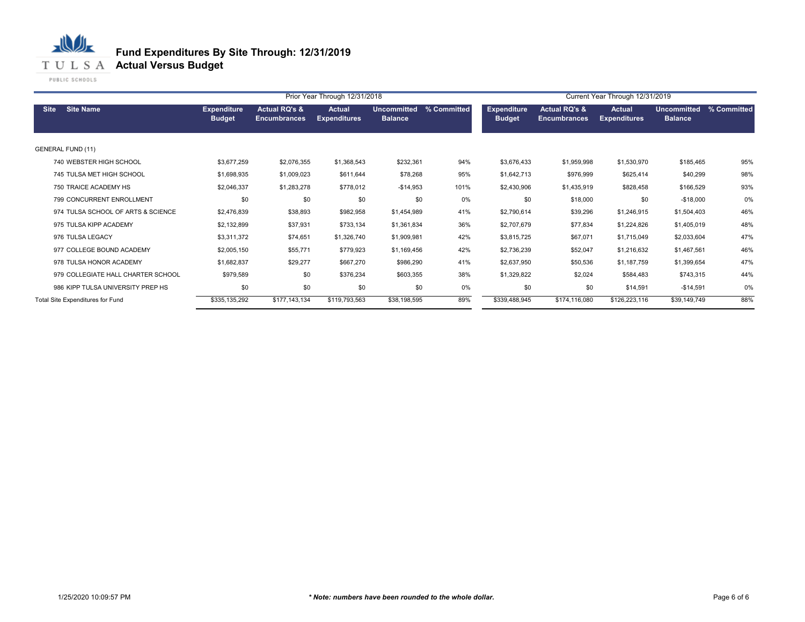# **T U L S A Actual Versus Budget**

PUBLIC SCHOOLS

|                                    |                                     |                                                 | Prior Year Through 12/31/2018        |                                      |             | Current Year Through 12/31/2019     |                                                 |                               |                                      |             |
|------------------------------------|-------------------------------------|-------------------------------------------------|--------------------------------------|--------------------------------------|-------------|-------------------------------------|-------------------------------------------------|-------------------------------|--------------------------------------|-------------|
| <b>Site Name</b><br><b>Site</b>    | <b>Expenditure</b><br><b>Budget</b> | <b>Actual RQ's &amp;</b><br><b>Encumbrances</b> | <b>Actual</b><br><b>Expenditures</b> | <b>Uncommitted</b><br><b>Balance</b> | % Committed | <b>Expenditure</b><br><b>Budget</b> | <b>Actual RQ's &amp;</b><br><b>Encumbrances</b> | Actual<br><b>Expenditures</b> | <b>Uncommitted</b><br><b>Balance</b> | % Committed |
| <b>GENERAL FUND (11)</b>           |                                     |                                                 |                                      |                                      |             |                                     |                                                 |                               |                                      |             |
| 740 WEBSTER HIGH SCHOOL            | \$3,677,259                         | \$2,076,355                                     | \$1,368,543                          | \$232,361                            | 94%         | \$3,676,433                         | \$1,959,998                                     | \$1,530,970                   | \$185,465                            | 95%         |
| 745 TULSA MET HIGH SCHOOL          | \$1,698,935                         | \$1,009,023                                     | \$611,644                            | \$78,268                             | 95%         | \$1,642,713                         | \$976,999                                       | \$625,414                     | \$40,299                             | 98%         |
| 750 TRAICE ACADEMY HS              | \$2,046,337                         | \$1,283,278                                     | \$778,012                            | $-$14,953$                           | 101%        | \$2,430,906                         | \$1,435,919                                     | \$828,458                     | \$166,529                            | 93%         |
| 799 CONCURRENT ENROLLMENT          | \$0                                 | \$0                                             | \$0                                  | \$0                                  | 0%          | \$0                                 | \$18,000                                        | \$0                           | $-$18,000$                           | 0%          |
| 974 TULSA SCHOOL OF ARTS & SCIENCE | \$2,476,839                         | \$38,893                                        | \$982,958                            | \$1,454,989                          | 41%         | \$2,790,614                         | \$39,296                                        | \$1,246,915                   | \$1,504,403                          | 46%         |
| 975 TULSA KIPP ACADEMY             | \$2,132,899                         | \$37,931                                        | \$733,134                            | \$1,361,834                          | 36%         | \$2,707,679                         | \$77,834                                        | \$1,224,826                   | \$1,405,019                          | 48%         |
| 976 TULSA LEGACY                   | \$3,311,372                         | \$74,651                                        | \$1,326,740                          | \$1,909,981                          | 42%         | \$3,815,725                         | \$67,071                                        | \$1,715,049                   | \$2,033,604                          | 47%         |
| 977 COLLEGE BOUND ACADEMY          | \$2,005,150                         | \$55,771                                        | \$779,923                            | \$1,169,456                          | 42%         | \$2,736,239                         | \$52,047                                        | \$1,216,632                   | \$1,467,561                          | 46%         |
| 978 TULSA HONOR ACADEMY            | \$1,682,837                         | \$29,277                                        | \$667,270                            | \$986,290                            | 41%         | \$2,637,950                         | \$50,536                                        | \$1,187,759                   | \$1,399,654                          | 47%         |
| 979 COLLEGIATE HALL CHARTER SCHOOL | \$979,589                           | \$0                                             | \$376,234                            | \$603,355                            | 38%         | \$1,329,822                         | \$2,024                                         | \$584,483                     | \$743,315                            | 44%         |
| 986 KIPP TULSA UNIVERSITY PREP HS  | \$0                                 | \$0                                             | \$0                                  | \$0                                  | 0%          | \$0                                 | \$0                                             | \$14,591                      | $-$14,591$                           | 0%          |
| Total Site Expenditures for Fund   | \$335,135,292                       | \$177,143,134                                   | \$119,793,563                        | \$38,198,595                         | 89%         | \$339,488,945                       | \$174,116,080                                   | \$126,223,116                 | \$39,149,749                         | 88%         |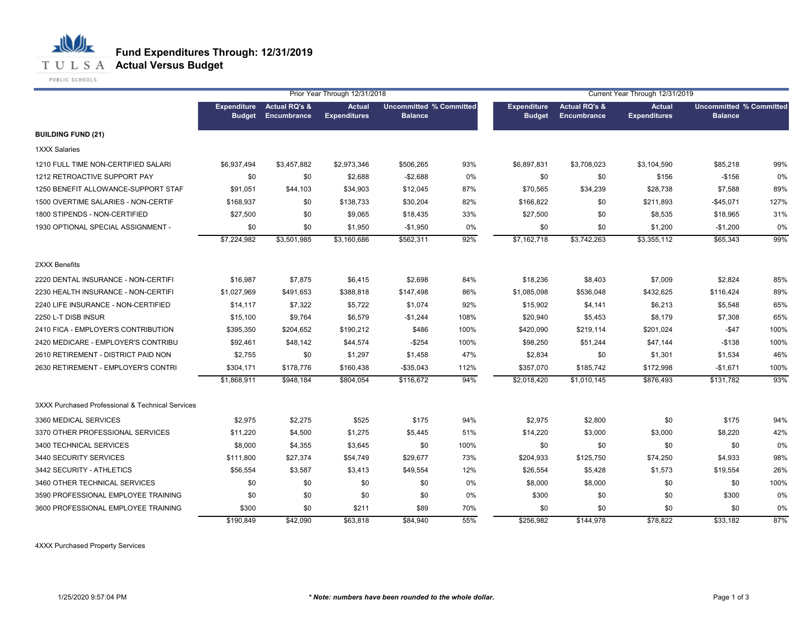

PUBLIC SCHOOLS

丛

业

|                                                  |                                     | Prior Year Through 12/31/2018                  |                               |                                                  |      |                                     | Current Year Through 12/31/2019                |                                      |                                                  |      |  |
|--------------------------------------------------|-------------------------------------|------------------------------------------------|-------------------------------|--------------------------------------------------|------|-------------------------------------|------------------------------------------------|--------------------------------------|--------------------------------------------------|------|--|
|                                                  | <b>Expenditure</b><br><b>Budget</b> | <b>Actual RQ's &amp;</b><br><b>Encumbrance</b> | Actual<br><b>Expenditures</b> | <b>Uncommitted % Committed</b><br><b>Balance</b> |      | <b>Expenditure</b><br><b>Budget</b> | <b>Actual RQ's &amp;</b><br><b>Encumbrance</b> | <b>Actual</b><br><b>Expenditures</b> | <b>Uncommitted % Committed</b><br><b>Balance</b> |      |  |
| <b>BUILDING FUND (21)</b>                        |                                     |                                                |                               |                                                  |      |                                     |                                                |                                      |                                                  |      |  |
| 1XXX Salaries                                    |                                     |                                                |                               |                                                  |      |                                     |                                                |                                      |                                                  |      |  |
| 1210 FULL TIME NON-CERTIFIED SALARI              | \$6,937,494                         | \$3,457,882                                    | \$2,973,346                   | \$506,265                                        | 93%  | \$6,897,831                         | \$3,708,023                                    | \$3,104,590                          | \$85,218                                         | 99%  |  |
| 1212 RETROACTIVE SUPPORT PAY                     | \$0                                 | \$0                                            | \$2,688                       | $-$2,688$                                        | 0%   | \$0                                 | \$0                                            | \$156                                | $-$156$                                          | 0%   |  |
| 1250 BENEFIT ALLOWANCE-SUPPORT STAF              | \$91,051                            | \$44,103                                       | \$34,903                      | \$12,045                                         | 87%  | \$70,565                            | \$34,239                                       | \$28,738                             | \$7,588                                          | 89%  |  |
| 1500 OVERTIME SALARIES - NON-CERTIF              | \$168,937                           | \$0                                            | \$138,733                     | \$30,204                                         | 82%  | \$166,822                           | \$0                                            | \$211,893                            | $-$45,071$                                       | 127% |  |
| 1800 STIPENDS - NON-CERTIFIED                    | \$27,500                            | \$0                                            | \$9,065                       | \$18,435                                         | 33%  | \$27,500                            | \$0                                            | \$8,535                              | \$18,965                                         | 31%  |  |
| 1930 OPTIONAL SPECIAL ASSIGNMENT -               | \$0                                 | \$0                                            | \$1,950                       | $-$1,950$                                        | 0%   | \$0                                 | \$0                                            | \$1,200                              | $-$1,200$                                        | 0%   |  |
|                                                  | \$7,224,982                         | \$3,501,985                                    | \$3,160,686                   | \$562,311                                        | 92%  | \$7,162,718                         | \$3,742,263                                    | \$3,355,112                          | \$65,343                                         | 99%  |  |
| 2XXX Benefits                                    |                                     |                                                |                               |                                                  |      |                                     |                                                |                                      |                                                  |      |  |
| 2220 DENTAL INSURANCE - NON-CERTIFI              | \$16,987                            | \$7,875                                        | \$6,415                       | \$2,698                                          | 84%  | \$18,236                            | \$8,403                                        | \$7,009                              | \$2,824                                          | 85%  |  |
| 2230 HEALTH INSURANCE - NON-CERTIFI              | \$1,027,969                         | \$491,653                                      | \$388,818                     | \$147,498                                        | 86%  | \$1,085,098                         | \$536,048                                      | \$432,625                            | \$116,424                                        | 89%  |  |
| 2240 LIFE INSURANCE - NON-CERTIFIED              | \$14,117                            | \$7,322                                        | \$5,722                       | \$1,074                                          | 92%  | \$15,902                            | \$4,141                                        | \$6,213                              | \$5,548                                          | 65%  |  |
| 2250 L-T DISB INSUR                              | \$15,100                            | \$9,764                                        | \$6,579                       | $-$1,244$                                        | 108% | \$20,940                            | \$5,453                                        | \$8,179                              | \$7,308                                          | 65%  |  |
| 2410 FICA - EMPLOYER'S CONTRIBUTION              | \$395,350                           | \$204,652                                      | \$190,212                     | \$486                                            | 100% | \$420,090                           | \$219,114                                      | \$201,024                            | $-$47$                                           | 100% |  |
| 2420 MEDICARE - EMPLOYER'S CONTRIBU              | \$92,461                            | \$48,142                                       | \$44,574                      | $-$254$                                          | 100% | \$98,250                            | \$51,244                                       | \$47,144                             | $-$138$                                          | 100% |  |
| 2610 RETIREMENT - DISTRICT PAID NON              | \$2,755                             | \$0                                            | \$1,297                       | \$1,458                                          | 47%  | \$2,834                             | \$0                                            | \$1,301                              | \$1,534                                          | 46%  |  |
| 2630 RETIREMENT - EMPLOYER'S CONTRI              | \$304,171                           | \$178,776                                      | \$160,438                     | $-$35,043$                                       | 112% | \$357,070                           | \$185,742                                      | \$172,998                            | $-$1,671$                                        | 100% |  |
|                                                  | \$1,868,911                         | \$948,184                                      | \$804,054                     | \$116,672                                        | 94%  | \$2,018,420                         | \$1,010,145                                    | \$876,493                            | \$131,782                                        | 93%  |  |
| 3XXX Purchased Professional & Technical Services |                                     |                                                |                               |                                                  |      |                                     |                                                |                                      |                                                  |      |  |
| 3360 MEDICAL SERVICES                            | \$2,975                             | \$2,275                                        | \$525                         | \$175                                            | 94%  | \$2,975                             | \$2,800                                        | \$0                                  | \$175                                            | 94%  |  |
| 3370 OTHER PROFESSIONAL SERVICES                 | \$11,220                            | \$4,500                                        | \$1,275                       | \$5,445                                          | 51%  | \$14,220                            | \$3,000                                        | \$3,000                              | \$8,220                                          | 42%  |  |
| 3400 TECHNICAL SERVICES                          | \$8,000                             | \$4,355                                        | \$3,645                       | \$0                                              | 100% | \$0                                 | \$0                                            | \$0                                  | \$0                                              | 0%   |  |
| 3440 SECURITY SERVICES                           | \$111,800                           | \$27,374                                       | \$54,749                      | \$29,677                                         | 73%  | \$204,933                           | \$125,750                                      | \$74,250                             | \$4,933                                          | 98%  |  |
| 3442 SECURITY - ATHLETICS                        | \$56,554                            | \$3,587                                        | \$3,413                       | \$49,554                                         | 12%  | \$26,554                            | \$5,428                                        | \$1,573                              | \$19,554                                         | 26%  |  |
| 3460 OTHER TECHNICAL SERVICES                    | \$0                                 | \$0                                            | \$0                           | \$0                                              | 0%   | \$8,000                             | \$8,000                                        | \$0                                  | \$0                                              | 100% |  |
| 3590 PROFESSIONAL EMPLOYEE TRAINING              | \$0                                 | \$0                                            | \$0                           | \$0                                              | 0%   | \$300                               | \$0                                            | \$0                                  | \$300                                            | 0%   |  |
| 3600 PROFESSIONAL EMPLOYEE TRAINING              | \$300                               | \$0                                            | \$211                         | \$89                                             | 70%  | \$0                                 | \$0                                            | \$0                                  | \$0                                              | 0%   |  |
|                                                  | \$190,849                           | \$42,090                                       | \$63,818                      | \$84,940                                         | 55%  | \$256,982                           | \$144,978                                      | \$78,822                             | \$33,182                                         | 87%  |  |

4XXX Purchased Property Services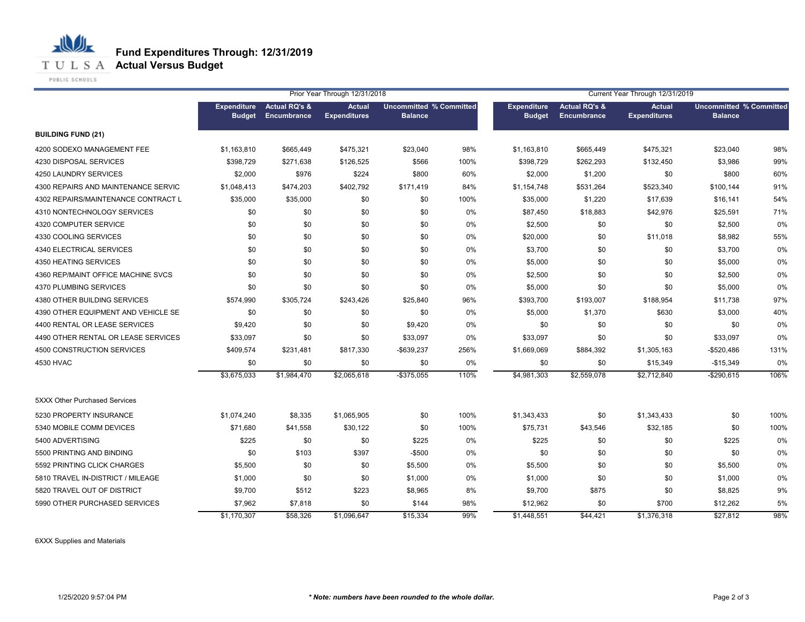

PUBLIC SCHOOLS

心儿

|                                     |                                     |                                         | Prior Year Through 12/31/2018        |                                                  |      | Current Year Through 12/31/2019     |                                         |                                      |                                                  |      |  |
|-------------------------------------|-------------------------------------|-----------------------------------------|--------------------------------------|--------------------------------------------------|------|-------------------------------------|-----------------------------------------|--------------------------------------|--------------------------------------------------|------|--|
|                                     | <b>Expenditure</b><br><b>Budget</b> | <b>Actual RQ's &amp;</b><br>Encumbrance | <b>Actual</b><br><b>Expenditures</b> | <b>Uncommitted % Committed</b><br><b>Balance</b> |      | <b>Expenditure</b><br><b>Budget</b> | <b>Actual RQ's &amp;</b><br>Encumbrance | <b>Actual</b><br><b>Expenditures</b> | <b>Uncommitted % Committed</b><br><b>Balance</b> |      |  |
| <b>BUILDING FUND (21)</b>           |                                     |                                         |                                      |                                                  |      |                                     |                                         |                                      |                                                  |      |  |
| 4200 SODEXO MANAGEMENT FEE          | \$1,163,810                         | \$665,449                               | \$475,321                            | \$23,040                                         | 98%  | \$1,163,810                         | \$665,449                               | \$475,321                            | \$23,040                                         | 98%  |  |
| 4230 DISPOSAL SERVICES              | \$398.729                           | \$271,638                               | \$126,525                            | \$566                                            | 100% | \$398,729                           | \$262,293                               | \$132,450                            | \$3,986                                          | 99%  |  |
| 4250 LAUNDRY SERVICES               | \$2,000                             | \$976                                   | \$224                                | \$800                                            | 60%  | \$2,000                             | \$1,200                                 | \$0                                  | \$800                                            | 60%  |  |
| 4300 REPAIRS AND MAINTENANCE SERVIC | \$1,048,413                         | \$474,203                               | \$402,792                            | \$171,419                                        | 84%  | \$1,154,748                         | \$531,264                               | \$523,340                            | \$100,144                                        | 91%  |  |
| 4302 REPAIRS/MAINTENANCE CONTRACT L | \$35,000                            | \$35,000                                | \$0                                  | \$0                                              | 100% | \$35,000                            | \$1,220                                 | \$17,639                             | \$16,141                                         | 54%  |  |
| 4310 NONTECHNOLOGY SERVICES         | \$0                                 | \$0                                     | \$0                                  | \$0                                              | 0%   | \$87,450                            | \$18,883                                | \$42,976                             | \$25,591                                         | 71%  |  |
| 4320 COMPUTER SERVICE               | \$0                                 | \$0                                     | \$0                                  | \$0                                              | 0%   | \$2,500                             | \$0                                     | \$0                                  | \$2,500                                          | 0%   |  |
| 4330 COOLING SERVICES               | \$0                                 | \$0                                     | \$0                                  | \$0                                              | 0%   | \$20,000                            | \$0                                     | \$11,018                             | \$8,982                                          | 55%  |  |
| 4340 ELECTRICAL SERVICES            | \$0                                 | \$0                                     | \$0                                  | \$0                                              | 0%   | \$3,700                             | \$0                                     | \$0                                  | \$3,700                                          | 0%   |  |
| 4350 HEATING SERVICES               | \$0                                 | \$0                                     | \$0                                  | \$0                                              | 0%   | \$5,000                             | \$0                                     | \$0                                  | \$5,000                                          | 0%   |  |
| 4360 REP/MAINT OFFICE MACHINE SVCS  | \$0                                 | \$0                                     | \$0                                  | \$0                                              | 0%   | \$2,500                             | \$0                                     | \$0                                  | \$2,500                                          | 0%   |  |
| 4370 PLUMBING SERVICES              | \$0                                 | \$0                                     | \$0                                  | \$0                                              | 0%   | \$5,000                             | \$0                                     | \$0                                  | \$5,000                                          | 0%   |  |
| 4380 OTHER BUILDING SERVICES        | \$574,990                           | \$305,724                               | \$243,426                            | \$25,840                                         | 96%  | \$393,700                           | \$193,007                               | \$188,954                            | \$11,738                                         | 97%  |  |
| 4390 OTHER EQUIPMENT AND VEHICLE SE | \$0                                 | \$0                                     | \$0                                  | \$0                                              | 0%   | \$5,000                             | \$1,370                                 | \$630                                | \$3,000                                          | 40%  |  |
| 4400 RENTAL OR LEASE SERVICES       | \$9,420                             | \$0                                     | \$0                                  | \$9,420                                          | 0%   | \$0                                 | \$0                                     | \$0                                  | \$0                                              | 0%   |  |
| 4490 OTHER RENTAL OR LEASE SERVICES | \$33,097                            | \$0                                     | \$0                                  | \$33,097                                         | 0%   | \$33,097                            | \$0                                     | \$0                                  | \$33,097                                         | 0%   |  |
| 4500 CONSTRUCTION SERVICES          | \$409,574                           | \$231,481                               | \$817,330                            | -\$639,237                                       | 256% | \$1,669,069                         | \$884,392                               | \$1,305,163                          | -\$520,486                                       | 131% |  |
| 4530 HVAC                           | \$0                                 | \$0                                     | \$0                                  | \$0                                              | 0%   | \$0                                 | \$0                                     | \$15,349                             | $-$15,349$                                       | 0%   |  |
|                                     | \$3,675,033                         | \$1,984,470                             | \$2,065,618                          | $-$ \$375,055                                    | 110% | \$4,981,303                         | \$2,559,078                             | \$2,712,840                          | $-$290,615$                                      | 106% |  |
| 5XXX Other Purchased Services       |                                     |                                         |                                      |                                                  |      |                                     |                                         |                                      |                                                  |      |  |
| 5230 PROPERTY INSURANCE             | \$1,074,240                         | \$8,335                                 | \$1,065,905                          | \$0                                              | 100% | \$1,343,433                         | \$0                                     | \$1,343,433                          | \$0                                              | 100% |  |
| 5340 MOBILE COMM DEVICES            | \$71,680                            | \$41,558                                | \$30,122                             | \$0                                              | 100% | \$75,731                            | \$43,546                                | \$32,185                             | \$0                                              | 100% |  |
| 5400 ADVERTISING                    | \$225                               | \$0                                     | \$0                                  | \$225                                            | 0%   | \$225                               | \$0                                     | \$0                                  | \$225                                            | 0%   |  |
| 5500 PRINTING AND BINDING           | \$0                                 | \$103                                   | \$397                                | $-$500$                                          | 0%   | \$0                                 | \$0                                     | \$0                                  | \$0                                              | 0%   |  |
| 5592 PRINTING CLICK CHARGES         | \$5,500                             | \$0                                     | \$0                                  | \$5,500                                          | 0%   | \$5,500                             | \$0                                     | \$0                                  | \$5,500                                          | 0%   |  |
| 5810 TRAVEL IN-DISTRICT / MILEAGE   | \$1,000                             | \$0                                     | \$0                                  | \$1,000                                          | 0%   | \$1,000                             | \$0                                     | \$0                                  | \$1,000                                          | 0%   |  |
| 5820 TRAVEL OUT OF DISTRICT         | \$9,700                             | \$512                                   | \$223                                | \$8,965                                          | 8%   | \$9,700                             | \$875                                   | \$0                                  | \$8,825                                          | 9%   |  |
| 5990 OTHER PURCHASED SERVICES       | \$7,962                             | \$7,818                                 | \$0                                  | \$144                                            | 98%  | \$12,962                            | \$0                                     | \$700                                | \$12,262                                         | 5%   |  |
|                                     | \$1,170,307                         | \$58,326                                | \$1,096,647                          | \$15,334                                         | 99%  | \$1,448,551                         | \$44,421                                | \$1,376,318                          | \$27,812                                         | 98%  |  |

6XXX Supplies and Materials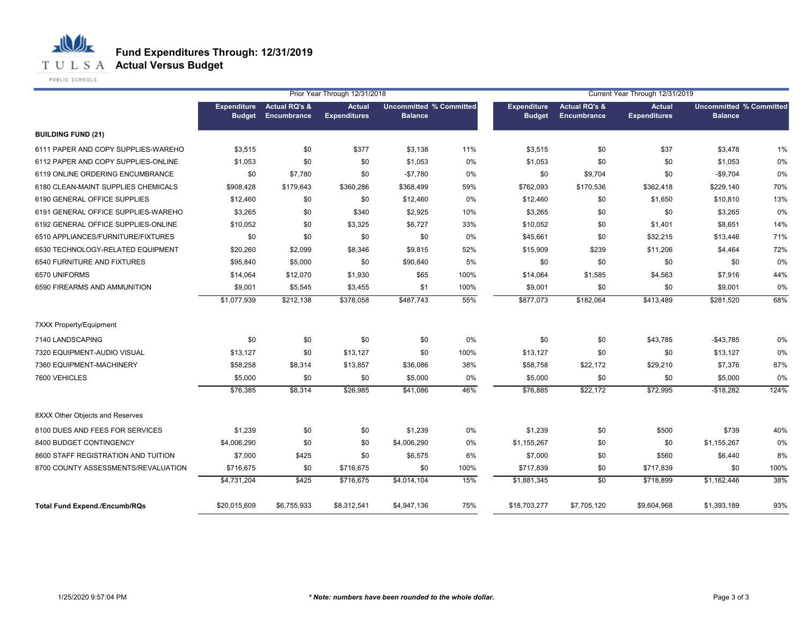

PUBLIC SCHOOLS

|                                      |                                     | Prior Year Through 12/31/2018<br>Current Year Through 12/31/2019 |                                      |                                                  |       |                                     |                                         |                                      |                                                  |      |
|--------------------------------------|-------------------------------------|------------------------------------------------------------------|--------------------------------------|--------------------------------------------------|-------|-------------------------------------|-----------------------------------------|--------------------------------------|--------------------------------------------------|------|
|                                      | <b>Expenditure</b><br><b>Budget</b> | <b>Actual RQ's &amp;</b><br><b>Encumbrance</b>                   | <b>Actual</b><br><b>Expenditures</b> | <b>Uncommitted % Committed</b><br><b>Balance</b> |       | <b>Expenditure</b><br><b>Budget</b> | <b>Actual RQ's &amp;</b><br>Encumbrance | <b>Actual</b><br><b>Expenditures</b> | <b>Uncommitted % Committed</b><br><b>Balance</b> |      |
| <b>BUILDING FUND (21)</b>            |                                     |                                                                  |                                      |                                                  |       |                                     |                                         |                                      |                                                  |      |
| 6111 PAPER AND COPY SUPPLIES-WAREHO  | \$3,515                             | \$0                                                              | \$377                                | \$3,138                                          | 11%   | \$3,515                             | \$0                                     | \$37                                 | \$3,478                                          | 1%   |
| 6112 PAPER AND COPY SUPPLIES-ONLINE  | \$1,053                             | \$0                                                              | \$0                                  | \$1,053                                          | $0\%$ | \$1,053                             | \$0                                     | \$0                                  | \$1,053                                          | 0%   |
| 6119 ONLINE ORDERING ENCUMBRANCE     | \$0                                 | \$7,780                                                          | \$0                                  | $-$7,780$                                        | 0%    | \$0                                 | \$9,704                                 | \$0                                  | $-$9,704$                                        | 0%   |
| 6180 CLEAN-MAINT SUPPLIES CHEMICALS  | \$908,428                           | \$179,643                                                        | \$360,286                            | \$368,499                                        | 59%   | \$762,093                           | \$170,536                               | \$362,418                            | \$229,140                                        | 70%  |
| 6190 GENERAL OFFICE SUPPLIES         | \$12,460                            | \$0                                                              | \$0                                  | \$12,460                                         | 0%    | \$12,460                            | \$0                                     | \$1,650                              | \$10,810                                         | 13%  |
| 6191 GENERAL OFFICE SUPPLIES-WAREHO  | \$3,265                             | \$0                                                              | \$340                                | \$2,925                                          | 10%   | \$3,265                             | \$0                                     | \$0                                  | \$3,265                                          | 0%   |
| 6192 GENERAL OFFICE SUPPLIES-ONLINE  | \$10,052                            | \$0                                                              | \$3,325                              | \$6,727                                          | 33%   | \$10,052                            | \$0                                     | \$1,401                              | \$8,651                                          | 14%  |
| 6510 APPLIANCES/FURNITURE/FIXTURES   | \$0                                 | \$0                                                              | \$0                                  | \$0                                              | 0%    | \$45,661                            | \$0                                     | \$32,215                             | \$13,446                                         | 71%  |
| 6530 TECHNOLOGY-RELATED EQUIPMENT    | \$20,260                            | \$2,099                                                          | \$8,346                              | \$9,815                                          | 52%   | \$15,909                            | \$239                                   | \$11,206                             | \$4,464                                          | 72%  |
| 6540 FURNITURE AND FIXTURES          | \$95,840                            | \$5,000                                                          | \$0                                  | \$90,840                                         | 5%    | \$0                                 | \$0                                     | \$0                                  | \$0                                              | 0%   |
| 6570 UNIFORMS                        | \$14,064                            | \$12,070                                                         | \$1,930                              | \$65                                             | 100%  | \$14,064                            | \$1,585                                 | \$4,563                              | \$7,916                                          | 44%  |
| 6590 FIREARMS AND AMMUNITION         | \$9,001                             | \$5,545                                                          | \$3,455                              | \$1                                              | 100%  | \$9,001                             | \$0                                     | \$0                                  | \$9,001                                          | 0%   |
|                                      | \$1,077,939                         | \$212,138                                                        | \$378,058                            | \$487,743                                        | 55%   | \$877,073                           | \$182,064                               | \$413,489                            | \$281,520                                        | 68%  |
| 7XXX Property/Equipment              |                                     |                                                                  |                                      |                                                  |       |                                     |                                         |                                      |                                                  |      |
| 7140 LANDSCAPING                     | \$0                                 | \$0                                                              | \$0                                  | \$0                                              | 0%    | \$0                                 | \$0                                     | \$43,785                             | $-$43,785$                                       | 0%   |
| 7320 EQUIPMENT-AUDIO VISUAL          | \$13,127                            | \$0                                                              | \$13,127                             | \$0                                              | 100%  | \$13,127                            | \$0                                     | \$0                                  | \$13,127                                         | 0%   |
| 7360 EQUIPMENT-MACHINERY             | \$58,258                            | \$8,314                                                          | \$13,857                             | \$36,086                                         | 38%   | \$58,758                            | \$22,172                                | \$29,210                             | \$7,376                                          | 87%  |
| 7600 VEHICLES                        | \$5,000                             | \$0                                                              | \$0                                  | \$5,000                                          | 0%    | \$5,000                             | \$0                                     | \$0                                  | \$5,000                                          | 0%   |
|                                      | \$76,385                            | \$8,314                                                          | \$26,985                             | \$41,086                                         | 46%   | \$76,885                            | \$22,172                                | \$72,995                             | $-$18,282$                                       | 124% |
| 8XXX Other Objects and Reserves      |                                     |                                                                  |                                      |                                                  |       |                                     |                                         |                                      |                                                  |      |
| 8100 DUES AND FEES FOR SERVICES      | \$1,239                             | \$0                                                              | \$0                                  | \$1,239                                          | 0%    | \$1,239                             | \$0                                     | \$500                                | \$739                                            | 40%  |
| 8400 BUDGET CONTINGENCY              | \$4,006,290                         | \$0                                                              | \$0                                  | \$4,006,290                                      | 0%    | \$1,155,267                         | \$0                                     | \$0                                  | \$1,155,267                                      | 0%   |
| 8600 STAFF REGISTRATION AND TUITION  | \$7,000                             | \$425                                                            | \$0                                  | \$6,575                                          | 6%    | \$7,000                             | \$0                                     | \$560                                | \$6,440                                          | 8%   |
| 8700 COUNTY ASSESSMENTS/REVALUATION  | \$716,675                           | \$0                                                              | \$716,675                            | \$0                                              | 100%  | \$717,839                           | \$0                                     | \$717,839                            | \$0                                              | 100% |
|                                      | \$4,731,204                         | \$425                                                            | \$716,675                            | \$4,014,104                                      | 15%   | \$1,881,345                         | $\sqrt{50}$                             | \$718,899                            | \$1,162,446                                      | 38%  |
| <b>Total Fund Expend./Encumb/RQs</b> | \$20,015,609                        | \$6,755,933                                                      | \$8,312,541                          | \$4,947,136                                      | 75%   | \$18,703,277                        | \$7,705,120                             | \$9,604,968                          | \$1,393,189                                      | 93%  |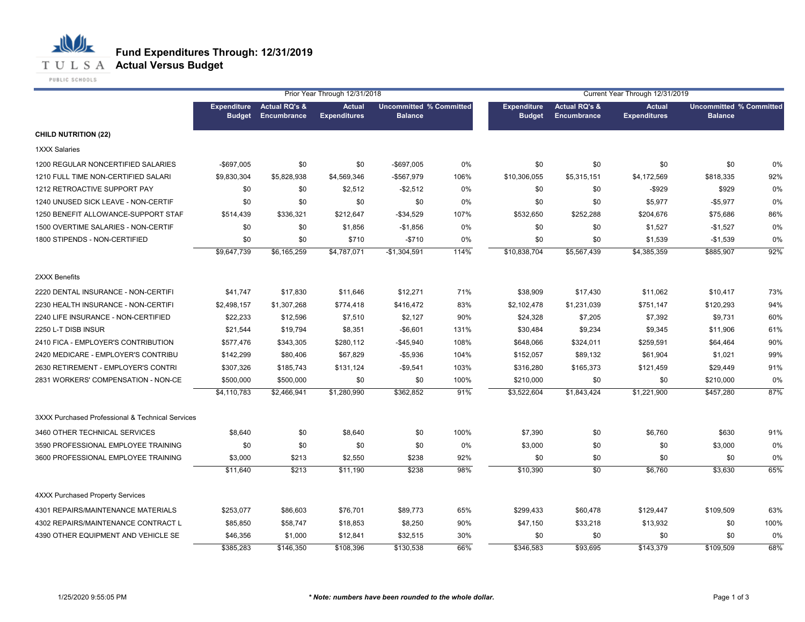

PUBLIC SCHOOLS

|                                                  |                                     | Prior Year Through 12/31/2018           |                                      |                                                  |      | Current Year Through 12/31/2019     |                                         |                                      |                                                  |      |
|--------------------------------------------------|-------------------------------------|-----------------------------------------|--------------------------------------|--------------------------------------------------|------|-------------------------------------|-----------------------------------------|--------------------------------------|--------------------------------------------------|------|
|                                                  | <b>Expenditure</b><br><b>Budget</b> | <b>Actual RQ's &amp;</b><br>Encumbrance | <b>Actual</b><br><b>Expenditures</b> | <b>Uncommitted % Committed</b><br><b>Balance</b> |      | <b>Expenditure</b><br><b>Budget</b> | <b>Actual RQ's &amp;</b><br>Encumbrance | <b>Actual</b><br><b>Expenditures</b> | <b>Uncommitted % Committed</b><br><b>Balance</b> |      |
| <b>CHILD NUTRITION (22)</b>                      |                                     |                                         |                                      |                                                  |      |                                     |                                         |                                      |                                                  |      |
| 1XXX Salaries                                    |                                     |                                         |                                      |                                                  |      |                                     |                                         |                                      |                                                  |      |
| 1200 REGULAR NONCERTIFIED SALARIES               | $-$ \$697,005                       | \$0                                     | \$0                                  | $-$697,005$                                      | 0%   | \$0                                 | \$0                                     | \$0                                  | \$0                                              | 0%   |
| 1210 FULL TIME NON-CERTIFIED SALARI              | \$9,830,304                         | \$5,828,938                             | \$4,569,346                          | -\$567,979                                       | 106% | \$10,306,055                        | \$5,315,151                             | \$4,172,569                          | \$818,335                                        | 92%  |
| 1212 RETROACTIVE SUPPORT PAY                     | \$0                                 | \$0                                     | \$2,512                              | $-$2,512$                                        | 0%   | \$0                                 | \$0                                     | $-$ \$929                            | \$929                                            | 0%   |
| 1240 UNUSED SICK LEAVE - NON-CERTIF              | \$0                                 | \$0                                     | \$0                                  | \$0                                              | 0%   | \$0                                 | \$0                                     | \$5,977                              | $-$5,977$                                        | 0%   |
| 1250 BENEFIT ALLOWANCE-SUPPORT STAF              | \$514,439                           | \$336,321                               | \$212,647                            | -\$34,529                                        | 107% | \$532,650                           | \$252,288                               | \$204,676                            | \$75,686                                         | 86%  |
| 1500 OVERTIME SALARIES - NON-CERTIF              | \$0                                 | \$0                                     | \$1,856                              | $-$1,856$                                        | 0%   | \$0                                 | \$0                                     | \$1,527                              | $-$1,527$                                        | 0%   |
| 1800 STIPENDS - NON-CERTIFIED                    | \$0                                 | \$0                                     | \$710                                | $-$710$                                          | 0%   | \$0                                 | \$0                                     | \$1,539                              | $-$1,539$                                        | 0%   |
|                                                  | \$9,647,739                         | \$6,165,259                             | \$4,787,071                          | $-$1,304,591$                                    | 114% | \$10,838,704                        | \$5,567,439                             | \$4,385,359                          | \$885,907                                        | 92%  |
| 2XXX Benefits                                    |                                     |                                         |                                      |                                                  |      |                                     |                                         |                                      |                                                  |      |
| 2220 DENTAL INSURANCE - NON-CERTIFI              | \$41,747                            | \$17,830                                | \$11,646                             | \$12,271                                         | 71%  | \$38,909                            | \$17,430                                | \$11,062                             | \$10,417                                         | 73%  |
| 2230 HEALTH INSURANCE - NON-CERTIFI              | \$2,498,157                         | \$1,307,268                             | \$774,418                            | \$416,472                                        | 83%  | \$2,102,478                         | \$1,231,039                             | \$751,147                            | \$120,293                                        | 94%  |
| 2240 LIFE INSURANCE - NON-CERTIFIED              | \$22,233                            | \$12,596                                | \$7,510                              | \$2,127                                          | 90%  | \$24,328                            | \$7,205                                 | \$7,392                              | \$9,731                                          | 60%  |
| 2250 L-T DISB INSUR                              | \$21,544                            | \$19,794                                | \$8,351                              | $-$ \$6,601                                      | 131% | \$30,484                            | \$9,234                                 | \$9,345                              | \$11,906                                         | 61%  |
| 2410 FICA - EMPLOYER'S CONTRIBUTION              | \$577,476                           | \$343,305                               | \$280,112                            | \$45,940                                         | 108% | \$648,066                           | \$324,011                               | \$259,591                            | \$64,464                                         | 90%  |
| 2420 MEDICARE - EMPLOYER'S CONTRIBU              | \$142,299                           | \$80,406                                | \$67,829                             | -\$5,936                                         | 104% | \$152,057                           | \$89,132                                | \$61,904                             | \$1,021                                          | 99%  |
| 2630 RETIREMENT - EMPLOYER'S CONTRI              | \$307,326                           | \$185,743                               | \$131,124                            | -\$9,541                                         | 103% | \$316,280                           | \$165,373                               | \$121,459                            | \$29,449                                         | 91%  |
| 2831 WORKERS' COMPENSATION - NON-CE              | \$500,000                           | \$500,000                               | \$0                                  | \$0                                              | 100% | \$210,000                           | \$0                                     | \$0                                  | \$210,000                                        | 0%   |
|                                                  | \$4,110,783                         | \$2,466,941                             | \$1,280,990                          | \$362,852                                        | 91%  | \$3,522,604                         | \$1,843,424                             | \$1,221,900                          | \$457,280                                        | 87%  |
| 3XXX Purchased Professional & Technical Services |                                     |                                         |                                      |                                                  |      |                                     |                                         |                                      |                                                  |      |
| 3460 OTHER TECHNICAL SERVICES                    | \$8,640                             | \$0                                     | \$8,640                              | \$0                                              | 100% | \$7,390                             | \$0                                     | \$6,760                              | \$630                                            | 91%  |
| 3590 PROFESSIONAL EMPLOYEE TRAINING              | \$0                                 | \$0                                     | \$0                                  | \$0                                              | 0%   | \$3,000                             | \$0                                     | \$0                                  | \$3,000                                          | 0%   |
| 3600 PROFESSIONAL EMPLOYEE TRAINING              | \$3,000                             | \$213                                   | \$2,550                              | \$238                                            | 92%  | \$0                                 | \$0                                     | \$0                                  | \$0                                              | 0%   |
|                                                  | \$11,640                            | \$213                                   | \$11,190                             | \$238                                            | 98%  | \$10,390                            | $\overline{50}$                         | \$6,760                              | \$3,630                                          | 65%  |
| 4XXX Purchased Property Services                 |                                     |                                         |                                      |                                                  |      |                                     |                                         |                                      |                                                  |      |
| 4301 REPAIRS/MAINTENANCE MATERIALS               | \$253,077                           | \$86,603                                | \$76,701                             | \$89,773                                         | 65%  | \$299,433                           | \$60,478                                | \$129,447                            | \$109,509                                        | 63%  |
| 4302 REPAIRS/MAINTENANCE CONTRACT L              | \$85,850                            | \$58,747                                | \$18,853                             | \$8,250                                          | 90%  | \$47,150                            | \$33,218                                | \$13,932                             | \$0                                              | 100% |
| 4390 OTHER EQUIPMENT AND VEHICLE SE              | \$46,356                            | \$1,000                                 | \$12,841                             | \$32,515                                         | 30%  | \$0                                 | \$0                                     | \$0                                  | \$0                                              | 0%   |
|                                                  | \$385,283                           | \$146,350                               | \$108,396                            | \$130,538                                        | 66%  | \$346,583                           | \$93.695                                | \$143,379                            | \$109,509                                        | 68%  |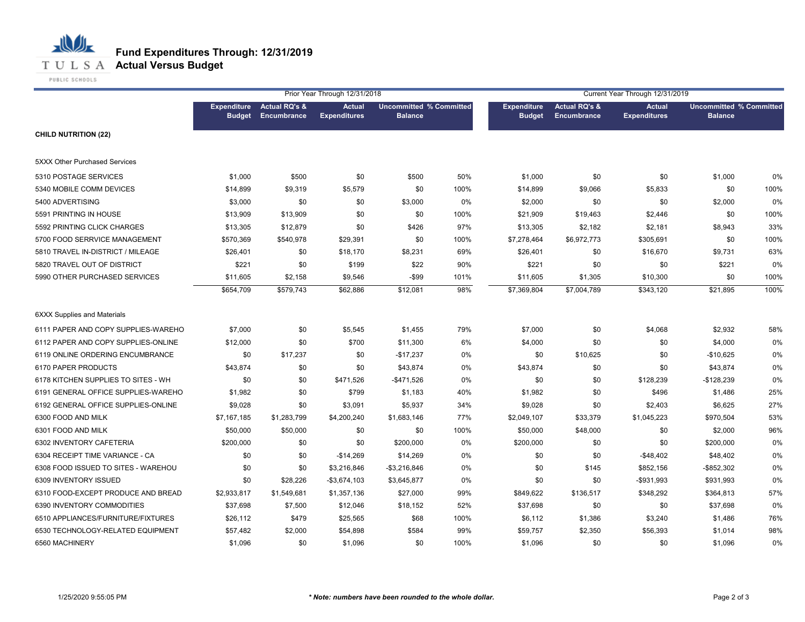

PUBLIC SCHOOLS

|                                      |                    |                                                       | Prior Year Through 12/31/2018        |                                                  |      |                                     |                                         | Current Year Through 12/31/2019      |                                                  |       |
|--------------------------------------|--------------------|-------------------------------------------------------|--------------------------------------|--------------------------------------------------|------|-------------------------------------|-----------------------------------------|--------------------------------------|--------------------------------------------------|-------|
|                                      | <b>Expenditure</b> | <b>Actual RQ's &amp;</b><br><b>Budget Encumbrance</b> | <b>Actual</b><br><b>Expenditures</b> | <b>Uncommitted % Committed</b><br><b>Balance</b> |      | <b>Expenditure</b><br><b>Budget</b> | <b>Actual RQ's &amp;</b><br>Encumbrance | <b>Actual</b><br><b>Expenditures</b> | <b>Uncommitted % Committed</b><br><b>Balance</b> |       |
| <b>CHILD NUTRITION (22)</b>          |                    |                                                       |                                      |                                                  |      |                                     |                                         |                                      |                                                  |       |
| <b>5XXX Other Purchased Services</b> |                    |                                                       |                                      |                                                  |      |                                     |                                         |                                      |                                                  |       |
| 5310 POSTAGE SERVICES                | \$1,000            | \$500                                                 | \$0                                  | \$500                                            | 50%  | \$1,000                             | \$0                                     | \$0                                  | \$1,000                                          | 0%    |
| 5340 MOBILE COMM DEVICES             | \$14,899           | \$9,319                                               | \$5,579                              | \$0                                              | 100% | \$14,899                            | \$9,066                                 | \$5,833                              | \$0                                              | 100%  |
| 5400 ADVERTISING                     | \$3,000            | \$0                                                   | \$0                                  | \$3,000                                          | 0%   | \$2,000                             | \$0                                     | \$0                                  | \$2,000                                          | 0%    |
| 5591 PRINTING IN HOUSE               | \$13,909           | \$13,909                                              | \$0                                  | \$0                                              | 100% | \$21,909                            | \$19,463                                | \$2,446                              | \$0                                              | 100%  |
| 5592 PRINTING CLICK CHARGES          | \$13,305           | \$12,879                                              | \$0                                  | \$426                                            | 97%  | \$13,305                            | \$2,182                                 | \$2,181                              | \$8,943                                          | 33%   |
| 5700 FOOD SERRVICE MANAGEMENT        | \$570,369          | \$540,978                                             | \$29,391                             | \$0                                              | 100% | \$7,278,464                         | \$6,972,773                             | \$305,691                            | \$0                                              | 100%  |
| 5810 TRAVEL IN-DISTRICT / MILEAGE    | \$26,401           | \$0                                                   | \$18,170                             | \$8,231                                          | 69%  | \$26,401                            | \$0                                     | \$16,670                             | \$9,731                                          | 63%   |
| 5820 TRAVEL OUT OF DISTRICT          | \$221              | \$0                                                   | \$199                                | \$22                                             | 90%  | \$221                               | \$0                                     | \$0                                  | \$221                                            | 0%    |
| 5990 OTHER PURCHASED SERVICES        | \$11,605           | \$2,158                                               | \$9,546                              | $-$ \$99                                         | 101% | \$11,605                            | \$1,305                                 | \$10,300                             | \$0                                              | 100%  |
|                                      | \$654,709          | \$579,743                                             | \$62,886                             | \$12,081                                         | 98%  | \$7,369,804                         | \$7,004,789                             | \$343,120                            | \$21,895                                         | 100%  |
| <b>6XXX Supplies and Materials</b>   |                    |                                                       |                                      |                                                  |      |                                     |                                         |                                      |                                                  |       |
| 6111 PAPER AND COPY SUPPLIES-WAREHO  | \$7,000            | \$0                                                   | \$5,545                              | \$1,455                                          | 79%  | \$7,000                             | \$0                                     | \$4,068                              | \$2,932                                          | 58%   |
| 6112 PAPER AND COPY SUPPLIES-ONLINE  | \$12,000           | \$0                                                   | \$700                                | \$11,300                                         | 6%   | \$4,000                             | \$0                                     | \$0                                  | \$4,000                                          | 0%    |
| 6119 ONLINE ORDERING ENCUMBRANCE     | \$0                | \$17,237                                              | \$0                                  | $-$17,237$                                       | 0%   | \$0                                 | \$10,625                                | \$0                                  | $-$10,625$                                       | $0\%$ |
| 6170 PAPER PRODUCTS                  | \$43,874           | \$0                                                   | \$0                                  | \$43,874                                         | 0%   | \$43,874                            | \$0                                     | \$0                                  | \$43,874                                         | $0\%$ |
| 6178 KITCHEN SUPPLIES TO SITES - WH  | \$0                | \$0                                                   | \$471,526                            | $-$471,526$                                      | 0%   | \$0                                 | \$0                                     | \$128,239                            | $-$128,239$                                      | 0%    |
| 6191 GENERAL OFFICE SUPPLIES-WAREHO  | \$1,982            | \$0                                                   | \$799                                | \$1,183                                          | 40%  | \$1,982                             | \$0                                     | \$496                                | \$1,486                                          | 25%   |
| 6192 GENERAL OFFICE SUPPLIES-ONLINE  | \$9,028            | \$0                                                   | \$3,091                              | \$5,937                                          | 34%  | \$9,028                             | \$0                                     | \$2,403                              | \$6,625                                          | 27%   |
| 6300 FOOD AND MILK                   | \$7,167,185        | \$1,283,799                                           | \$4,200,240                          | \$1,683,146                                      | 77%  | \$2,049,107                         | \$33,379                                | \$1,045,223                          | \$970,504                                        | 53%   |
| 6301 FOOD AND MILK                   | \$50,000           | \$50,000                                              | \$0                                  | \$0                                              | 100% | \$50,000                            | \$48,000                                | \$0                                  | \$2,000                                          | 96%   |
| 6302 INVENTORY CAFETERIA             | \$200,000          | \$0                                                   | \$0                                  | \$200,000                                        | 0%   | \$200,000                           | \$0                                     | \$0                                  | \$200,000                                        | 0%    |
| 6304 RECEIPT TIME VARIANCE - CA      | \$0                | \$0                                                   | $-$14,269$                           | \$14,269                                         | 0%   | \$0                                 | \$0                                     | $-$48,402$                           | \$48,402                                         | $0\%$ |
| 6308 FOOD ISSUED TO SITES - WAREHOU  | \$0                | \$0                                                   | \$3,216,846                          | $-$ \$3,216,846                                  | 0%   | \$0                                 | \$145                                   | \$852,156                            | $-$ \$852,302                                    | 0%    |
| 6309 INVENTORY ISSUED                | \$0                | \$28,226                                              | $-$3,674,103$                        | \$3,645,877                                      | 0%   | \$0                                 | \$0                                     | -\$931,993                           | \$931,993                                        | 0%    |
| 6310 FOOD-EXCEPT PRODUCE AND BREAD   | \$2,933,817        | \$1,549,681                                           | \$1,357,136                          | \$27,000                                         | 99%  | \$849,622                           | \$136,517                               | \$348,292                            | \$364,813                                        | 57%   |
| 6390 INVENTORY COMMODITIES           | \$37,698           | \$7,500                                               | \$12,046                             | \$18,152                                         | 52%  | \$37,698                            | \$0                                     | \$0                                  | \$37,698                                         | 0%    |
| 6510 APPLIANCES/FURNITURE/FIXTURES   | \$26,112           | \$479                                                 | \$25,565                             | \$68                                             | 100% | \$6,112                             | \$1,386                                 | \$3,240                              | \$1,486                                          | 76%   |
| 6530 TECHNOLOGY-RELATED EQUIPMENT    | \$57,482           | \$2,000                                               | \$54,898                             | \$584                                            | 99%  | \$59,757                            | \$2,350                                 | \$56,393                             | \$1,014                                          | 98%   |
| 6560 MACHINERY                       | \$1,096            | \$0                                                   | \$1,096                              | \$0                                              | 100% | \$1,096                             | \$0                                     | \$0                                  | \$1,096                                          | 0%    |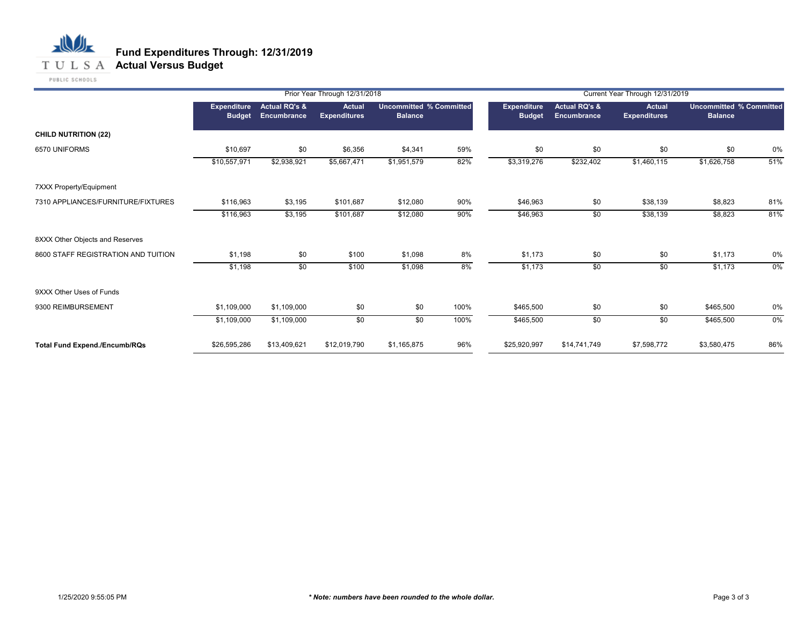## **T U L S A Actual Versus Budget**

PUBLIC SCHOOLS

|                                      |                              | Prior Year Through 12/31/2018                  |                                      |                                                  |      |                              | Current Year Through 12/31/2019         |                                      |                                                  |     |  |  |
|--------------------------------------|------------------------------|------------------------------------------------|--------------------------------------|--------------------------------------------------|------|------------------------------|-----------------------------------------|--------------------------------------|--------------------------------------------------|-----|--|--|
|                                      | Expenditure<br><b>Budget</b> | <b>Actual RQ's &amp;</b><br><b>Encumbrance</b> | <b>Actual</b><br><b>Expenditures</b> | <b>Uncommitted % Committed</b><br><b>Balance</b> |      | Expenditure<br><b>Budget</b> | <b>Actual RQ's &amp;</b><br>Encumbrance | <b>Actual</b><br><b>Expenditures</b> | <b>Uncommitted % Committed</b><br><b>Balance</b> |     |  |  |
| <b>CHILD NUTRITION (22)</b>          |                              |                                                |                                      |                                                  |      |                              |                                         |                                      |                                                  |     |  |  |
| 6570 UNIFORMS                        | \$10,697                     | \$0                                            | \$6,356                              | \$4,341                                          | 59%  | \$0                          | \$0                                     | \$0                                  | \$0                                              | 0%  |  |  |
|                                      | \$10,557,971                 | \$2,938,921                                    | \$5,667,471                          | \$1,951,579                                      | 82%  | \$3,319,276                  | \$232,402                               | \$1,460,115                          | \$1,626,758                                      | 51% |  |  |
| 7XXX Property/Equipment              |                              |                                                |                                      |                                                  |      |                              |                                         |                                      |                                                  |     |  |  |
| 7310 APPLIANCES/FURNITURE/FIXTURES   | \$116,963                    | \$3,195                                        | \$101,687                            | \$12,080                                         | 90%  | \$46,963                     | \$0                                     | \$38,139                             | \$8,823                                          | 81% |  |  |
|                                      | \$116,963                    | \$3,195                                        | \$101,687                            | \$12,080                                         | 90%  | \$46,963                     | \$0                                     | \$38,139                             | \$8,823                                          | 81% |  |  |
| 8XXX Other Objects and Reserves      |                              |                                                |                                      |                                                  |      |                              |                                         |                                      |                                                  |     |  |  |
| 8600 STAFF REGISTRATION AND TUITION  | \$1,198                      | \$0                                            | \$100                                | \$1,098                                          | 8%   | \$1,173                      | \$0                                     | \$0                                  | \$1,173                                          | 0%  |  |  |
|                                      | \$1,198                      | \$0                                            | \$100                                | \$1,098                                          | 8%   | \$1,173                      | \$0                                     | \$0                                  | \$1,173                                          | 0%  |  |  |
| 9XXX Other Uses of Funds             |                              |                                                |                                      |                                                  |      |                              |                                         |                                      |                                                  |     |  |  |
| 9300 REIMBURSEMENT                   | \$1,109,000                  | \$1,109,000                                    | \$0                                  | \$0                                              | 100% | \$465,500                    | \$0                                     | \$0                                  | \$465,500                                        | 0%  |  |  |
|                                      | \$1,109,000                  | \$1,109,000                                    | \$0                                  | \$0                                              | 100% | \$465,500                    | \$0                                     | \$0                                  | \$465,500                                        | 0%  |  |  |
| <b>Total Fund Expend./Encumb/RQs</b> | \$26,595,286                 | \$13,409,621                                   | \$12,019,790                         | \$1,165,875                                      | 96%  | \$25,920,997                 | \$14,741,749                            | \$7,598,772                          | \$3,580,475                                      | 86% |  |  |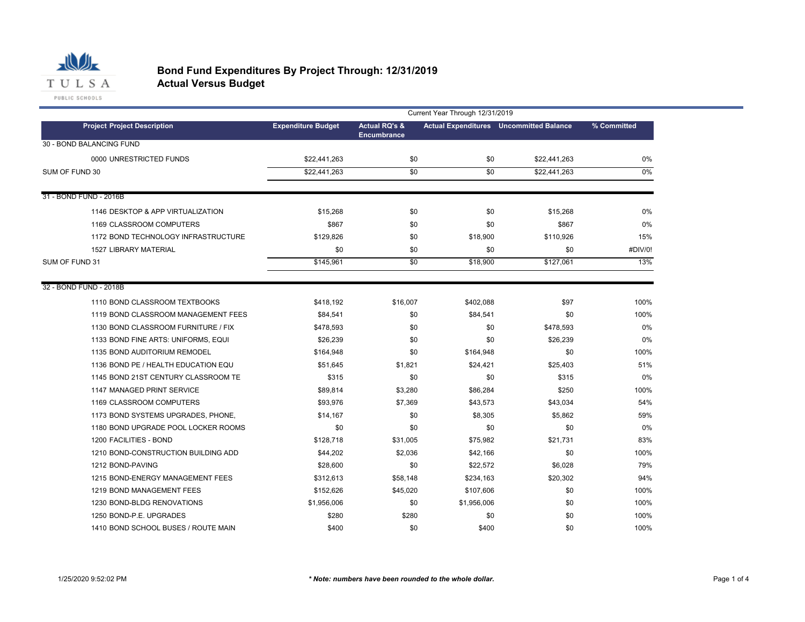

|                                     | Current Year Through 12/31/2019 |                                                |             |                                                |             |  |  |  |  |  |
|-------------------------------------|---------------------------------|------------------------------------------------|-------------|------------------------------------------------|-------------|--|--|--|--|--|
| <b>Project Project Description</b>  | <b>Expenditure Budget</b>       | <b>Actual RQ's &amp;</b><br><b>Encumbrance</b> |             | <b>Actual Expenditures</b> Uncommitted Balance | % Committed |  |  |  |  |  |
| 30 - BOND BALANCING FUND            |                                 |                                                |             |                                                |             |  |  |  |  |  |
| 0000 UNRESTRICTED FUNDS             | \$22,441,263                    | \$0                                            | \$0         | \$22,441,263                                   | 0%          |  |  |  |  |  |
| SUM OF FUND 30                      | \$22,441,263                    | \$0                                            | \$0         | \$22,441,263                                   | 0%          |  |  |  |  |  |
| 31 - BOND FUND - 2016B              |                                 |                                                |             |                                                |             |  |  |  |  |  |
| 1146 DESKTOP & APP VIRTUALIZATION   | \$15,268                        | \$0                                            | \$0         | \$15,268                                       | 0%          |  |  |  |  |  |
| 1169 CLASSROOM COMPUTERS            | \$867                           | \$0                                            | \$0         | \$867                                          | 0%          |  |  |  |  |  |
| 1172 BOND TECHNOLOGY INFRASTRUCTURE | \$129,826                       | \$0                                            | \$18,900    | \$110,926                                      | 15%         |  |  |  |  |  |
| <b>1527 LIBRARY MATERIAL</b>        | \$0                             | \$0                                            | \$0         | \$0                                            | #DIV/0!     |  |  |  |  |  |
| SUM OF FUND 31                      | \$145,961                       | $\overline{50}$                                | \$18,900    | \$127,061                                      | 13%         |  |  |  |  |  |
| 32 - BOND FUND - 2018B              |                                 |                                                |             |                                                |             |  |  |  |  |  |
| 1110 BOND CLASSROOM TEXTBOOKS       | \$418,192                       | \$16,007                                       | \$402,088   | \$97                                           | 100%        |  |  |  |  |  |
| 1119 BOND CLASSROOM MANAGEMENT FEES | \$84,541                        | \$0                                            | \$84,541    | \$0                                            | 100%        |  |  |  |  |  |
| 1130 BOND CLASSROOM FURNITURE / FIX | \$478,593                       | \$0                                            | \$0         | \$478.593                                      | 0%          |  |  |  |  |  |
| 1133 BOND FINE ARTS: UNIFORMS, EQUI | \$26,239                        | \$0                                            | \$0         | \$26,239                                       | 0%          |  |  |  |  |  |
| 1135 BOND AUDITORIUM REMODEL        | \$164,948                       | \$0                                            | \$164,948   | \$0                                            | 100%        |  |  |  |  |  |
| 1136 BOND PE / HEALTH EDUCATION EQU | \$51,645                        | \$1,821                                        | \$24,421    | \$25,403                                       | 51%         |  |  |  |  |  |
| 1145 BOND 21ST CENTURY CLASSROOM TE | \$315                           | \$0                                            | \$0         | \$315                                          | 0%          |  |  |  |  |  |
| 1147 MANAGED PRINT SERVICE          | \$89,814                        | \$3,280                                        | \$86,284    | \$250                                          | 100%        |  |  |  |  |  |
| 1169 CLASSROOM COMPUTERS            | \$93,976                        | \$7,369                                        | \$43,573    | \$43,034                                       | 54%         |  |  |  |  |  |
| 1173 BOND SYSTEMS UPGRADES, PHONE,  | \$14,167                        | \$0                                            | \$8,305     | \$5,862                                        | 59%         |  |  |  |  |  |
| 1180 BOND UPGRADE POOL LOCKER ROOMS | \$0                             | \$0                                            | \$0         | \$0                                            | 0%          |  |  |  |  |  |
| 1200 FACILITIES - BOND              | \$128.718                       | \$31,005                                       | \$75,982    | \$21.731                                       | 83%         |  |  |  |  |  |
| 1210 BOND-CONSTRUCTION BUILDING ADD | \$44,202                        | \$2,036                                        | \$42,166    | \$0                                            | 100%        |  |  |  |  |  |
| 1212 BOND-PAVING                    | \$28,600                        | \$0                                            | \$22,572    | \$6,028                                        | 79%         |  |  |  |  |  |
| 1215 BOND-ENERGY MANAGEMENT FEES    | \$312,613                       | \$58,148                                       | \$234,163   | \$20,302                                       | 94%         |  |  |  |  |  |
| 1219 BOND MANAGEMENT FEES           | \$152,626                       | \$45,020                                       | \$107,606   | \$0                                            | 100%        |  |  |  |  |  |
| 1230 BOND-BLDG RENOVATIONS          | \$1,956,006                     | \$0                                            | \$1,956,006 | \$0                                            | 100%        |  |  |  |  |  |
| 1250 BOND-P.E. UPGRADES             | \$280                           | \$280                                          | \$0         | \$0                                            | 100%        |  |  |  |  |  |
| 1410 BOND SCHOOL BUSES / ROUTE MAIN | \$400                           | \$0                                            | \$400       | \$0                                            | 100%        |  |  |  |  |  |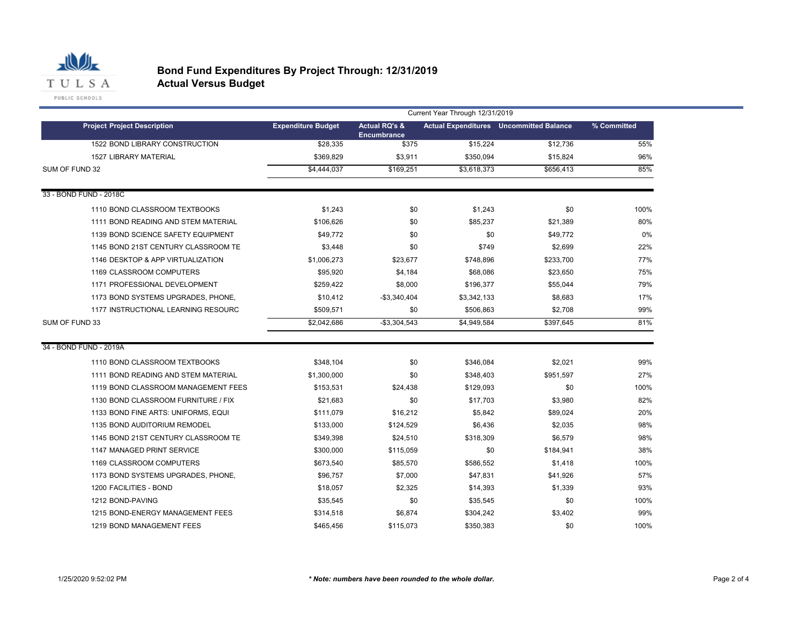

|                                     | Current Year Through 12/31/2019 |                                         |             |                                                |             |  |  |  |  |  |
|-------------------------------------|---------------------------------|-----------------------------------------|-------------|------------------------------------------------|-------------|--|--|--|--|--|
| <b>Project Project Description</b>  | <b>Expenditure Budget</b>       | <b>Actual RQ's &amp;</b><br>Encumbrance |             | <b>Actual Expenditures</b> Uncommitted Balance | % Committed |  |  |  |  |  |
| 1522 BOND LIBRARY CONSTRUCTION      | \$28,335                        | \$375                                   | \$15,224    | \$12,736                                       | 55%         |  |  |  |  |  |
| <b>1527 LIBRARY MATERIAL</b>        | \$369,829                       | \$3,911                                 | \$350,094   | \$15,824                                       | 96%         |  |  |  |  |  |
| SUM OF FUND 32                      | \$4,444,037                     | \$169,251                               | \$3,618,373 | \$656,413                                      | 85%         |  |  |  |  |  |
| 33 - BOND FUND - 2018C              |                                 |                                         |             |                                                |             |  |  |  |  |  |
| 1110 BOND CLASSROOM TEXTBOOKS       | \$1,243                         | \$0                                     | \$1,243     | \$0                                            | 100%        |  |  |  |  |  |
| 1111 BOND READING AND STEM MATERIAL | \$106,626                       | \$0                                     | \$85,237    | \$21,389                                       | 80%         |  |  |  |  |  |
| 1139 BOND SCIENCE SAFETY EQUIPMENT  | \$49,772                        | \$0                                     | \$0         | \$49,772                                       | 0%          |  |  |  |  |  |
| 1145 BOND 21ST CENTURY CLASSROOM TE | \$3,448                         | \$0                                     | \$749       | \$2,699                                        | 22%         |  |  |  |  |  |
| 1146 DESKTOP & APP VIRTUALIZATION   | \$1,006,273                     | \$23,677                                | \$748,896   | \$233,700                                      | 77%         |  |  |  |  |  |
| 1169 CLASSROOM COMPUTERS            | \$95,920                        | \$4,184                                 | \$68,086    | \$23,650                                       | 75%         |  |  |  |  |  |
| 1171 PROFESSIONAL DEVELOPMENT       | \$259,422                       | \$8,000                                 | \$196,377   | \$55,044                                       | 79%         |  |  |  |  |  |
| 1173 BOND SYSTEMS UPGRADES, PHONE,  | \$10,412                        | $-$3,340,404$                           | \$3,342,133 | \$8,683                                        | 17%         |  |  |  |  |  |
| 1177 INSTRUCTIONAL LEARNING RESOURC | \$509,571                       | \$0                                     | \$506,863   | \$2,708                                        | 99%         |  |  |  |  |  |
| SUM OF FUND 33                      | \$2,042,686                     | $-$3,304,543$                           | \$4,949,584 | \$397,645                                      | 81%         |  |  |  |  |  |
| 34 - BOND FUND - 2019A              |                                 |                                         |             |                                                |             |  |  |  |  |  |
| 1110 BOND CLASSROOM TEXTBOOKS       | \$348,104                       | \$0                                     | \$346,084   | \$2,021                                        | 99%         |  |  |  |  |  |
| 1111 BOND READING AND STEM MATERIAL | \$1,300,000                     | \$0                                     | \$348,403   | \$951,597                                      | 27%         |  |  |  |  |  |
| 1119 BOND CLASSROOM MANAGEMENT FEES | \$153,531                       | \$24,438                                | \$129,093   | \$0                                            | 100%        |  |  |  |  |  |
| 1130 BOND CLASSROOM FURNITURE / FIX | \$21,683                        | \$0                                     | \$17,703    | \$3,980                                        | 82%         |  |  |  |  |  |
| 1133 BOND FINE ARTS: UNIFORMS, EQUI | \$111,079                       | \$16,212                                | \$5,842     | \$89,024                                       | 20%         |  |  |  |  |  |
| 1135 BOND AUDITORIUM REMODEL        | \$133,000                       | \$124,529                               | \$6,436     | \$2,035                                        | 98%         |  |  |  |  |  |
| 1145 BOND 21ST CENTURY CLASSROOM TE | \$349,398                       | \$24,510                                | \$318,309   | \$6,579                                        | 98%         |  |  |  |  |  |
| 1147 MANAGED PRINT SERVICE          | \$300,000                       | \$115,059                               | \$0         | \$184,941                                      | 38%         |  |  |  |  |  |
| 1169 CLASSROOM COMPUTERS            | \$673,540                       | \$85,570                                | \$586,552   | \$1,418                                        | 100%        |  |  |  |  |  |
| 1173 BOND SYSTEMS UPGRADES, PHONE,  | \$96,757                        | \$7,000                                 | \$47,831    | \$41,926                                       | 57%         |  |  |  |  |  |
| 1200 FACILITIES - BOND              | \$18,057                        | \$2,325                                 | \$14,393    | \$1,339                                        | 93%         |  |  |  |  |  |
| 1212 BOND-PAVING                    | \$35,545                        | \$0                                     | \$35,545    | \$0                                            | 100%        |  |  |  |  |  |
| 1215 BOND-ENERGY MANAGEMENT FEES    | \$314,518                       | \$6,874                                 | \$304,242   | \$3,402                                        | 99%         |  |  |  |  |  |
| 1219 BOND MANAGEMENT FEES           | \$465,456                       | \$115,073                               | \$350,383   | \$0                                            | 100%        |  |  |  |  |  |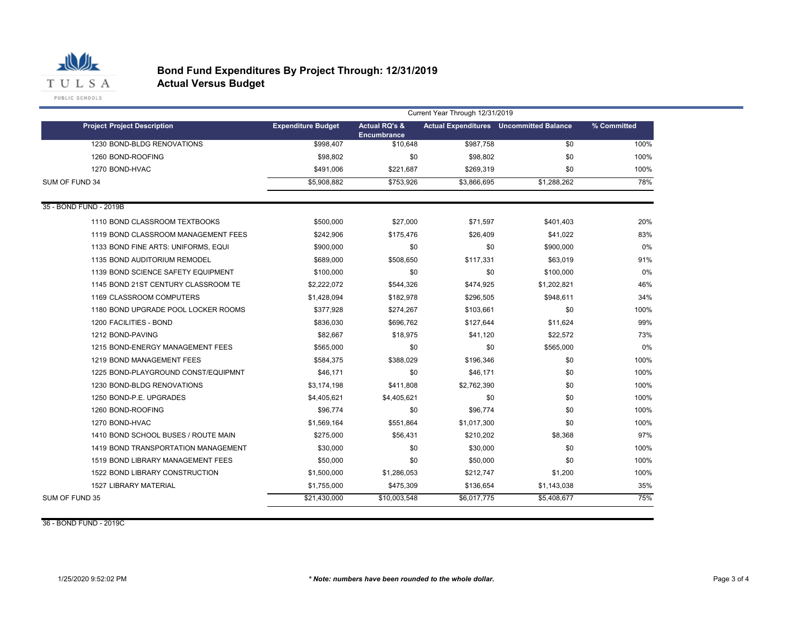

|                                     | Current Year Through 12/31/2019 |                                                |             |                                                |             |  |
|-------------------------------------|---------------------------------|------------------------------------------------|-------------|------------------------------------------------|-------------|--|
| <b>Project Project Description</b>  | <b>Expenditure Budget</b>       | <b>Actual RQ's &amp;</b><br><b>Encumbrance</b> |             | <b>Actual Expenditures</b> Uncommitted Balance | % Committed |  |
| 1230 BOND-BLDG RENOVATIONS          | \$998.407                       | \$10.648                                       | \$987.758   | \$0                                            | 100%        |  |
| 1260 BOND-ROOFING                   | \$98,802                        | \$0                                            | \$98,802    | \$0                                            | 100%        |  |
| 1270 BOND-HVAC                      | \$491,006                       | \$221,687                                      | \$269,319   | \$0                                            | 100%        |  |
| SUM OF FUND 34                      | \$5,908,882                     | \$753,926                                      | \$3,866,695 | \$1,288,262                                    | 78%         |  |
| 35 - BOND FUND - 2019B              |                                 |                                                |             |                                                |             |  |
| 1110 BOND CLASSROOM TEXTBOOKS       | \$500,000                       | \$27,000                                       | \$71,597    | \$401,403                                      | 20%         |  |
| 1119 BOND CLASSROOM MANAGEMENT FEES | \$242,906                       | \$175,476                                      | \$26,409    | \$41,022                                       | 83%         |  |
| 1133 BOND FINE ARTS: UNIFORMS, EQUI | \$900,000                       | \$0                                            | \$0         | \$900,000                                      | 0%          |  |
| 1135 BOND AUDITORIUM REMODEL        | \$689,000                       | \$508,650                                      | \$117,331   | \$63,019                                       | 91%         |  |
| 1139 BOND SCIENCE SAFETY EQUIPMENT  | \$100,000                       | \$0                                            | \$0         | \$100,000                                      | 0%          |  |
| 1145 BOND 21ST CENTURY CLASSROOM TE | \$2,222,072                     | \$544,326                                      | \$474,925   | \$1,202,821                                    | 46%         |  |
| 1169 CLASSROOM COMPUTERS            | \$1,428,094                     | \$182,978                                      | \$296,505   | \$948,611                                      | 34%         |  |
| 1180 BOND UPGRADE POOL LOCKER ROOMS | \$377,928                       | \$274,267                                      | \$103,661   | \$0                                            | 100%        |  |
| 1200 FACILITIES - BOND              | \$836,030                       | \$696,762                                      | \$127,644   | \$11,624                                       | 99%         |  |
| 1212 BOND-PAVING                    | \$82.667                        | \$18,975                                       | \$41,120    | \$22,572                                       | 73%         |  |
| 1215 BOND-ENERGY MANAGEMENT FEES    | \$565,000                       | \$0                                            | \$0         | \$565,000                                      | 0%          |  |
| 1219 BOND MANAGEMENT FEES           | \$584,375                       | \$388,029                                      | \$196,346   | \$0                                            | 100%        |  |
| 1225 BOND-PLAYGROUND CONST/EQUIPMNT | \$46,171                        | \$0                                            | \$46,171    | \$0                                            | 100%        |  |
| 1230 BOND-BLDG RENOVATIONS          | \$3,174,198                     | \$411,808                                      | \$2,762,390 | \$0                                            | 100%        |  |
| 1250 BOND-P.E. UPGRADES             | \$4,405,621                     | \$4,405,621                                    | \$0         | \$0                                            | 100%        |  |
| 1260 BOND-ROOFING                   | \$96,774                        | \$0                                            | \$96,774    | \$0                                            | 100%        |  |
| 1270 BOND-HVAC                      | \$1,569,164                     | \$551,864                                      | \$1,017,300 | \$0                                            | 100%        |  |
| 1410 BOND SCHOOL BUSES / ROUTE MAIN | \$275,000                       | \$56,431                                       | \$210,202   | \$8,368                                        | 97%         |  |
| 1419 BOND TRANSPORTATION MANAGEMENT | \$30,000                        | \$0                                            | \$30,000    | \$0                                            | 100%        |  |
| 1519 BOND LIBRARY MANAGEMENT FEES   | \$50,000                        | \$0                                            | \$50,000    | \$0                                            | 100%        |  |
| 1522 BOND LIBRARY CONSTRUCTION      | \$1,500,000                     | \$1,286,053                                    | \$212,747   | \$1,200                                        | 100%        |  |
| <b>1527 LIBRARY MATERIAL</b>        | \$1,755,000                     | \$475,309                                      | \$136,654   | \$1,143,038                                    | 35%         |  |
| SUM OF FUND 35                      | \$21,430,000                    | \$10,003,548                                   | \$6,017,775 | \$5,408,677                                    | 75%         |  |

36 - BOND FUND - 2019C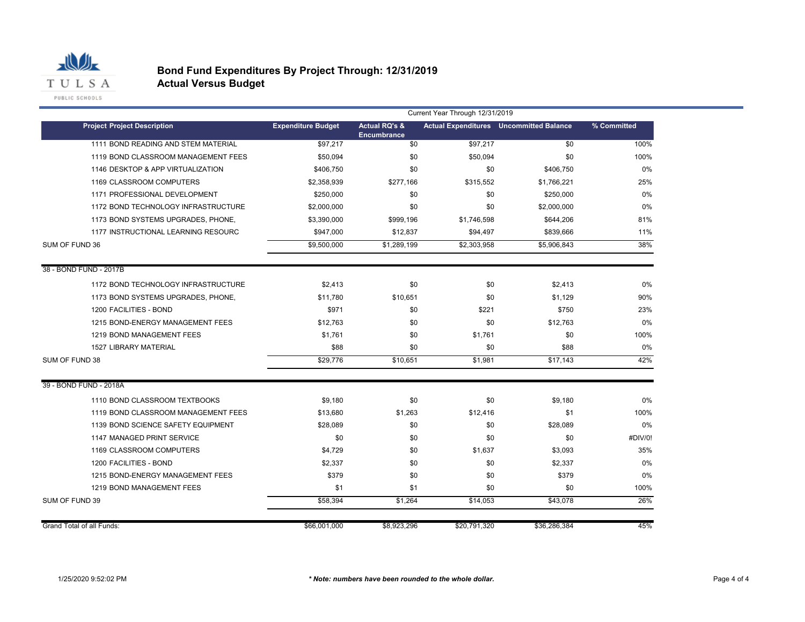

PUBLIC SCHOOLS

|                                     | Current Year Through 12/31/2019 |                                                |              |                                                |             |  |  |
|-------------------------------------|---------------------------------|------------------------------------------------|--------------|------------------------------------------------|-------------|--|--|
| <b>Project Project Description</b>  | <b>Expenditure Budget</b>       | <b>Actual RQ's &amp;</b><br><b>Encumbrance</b> |              | <b>Actual Expenditures</b> Uncommitted Balance | % Committed |  |  |
| 1111 BOND READING AND STEM MATERIAL | \$97,217                        | \$0                                            | \$97,217     | \$0                                            | 100%        |  |  |
| 1119 BOND CLASSROOM MANAGEMENT FEES | \$50.094                        | \$0                                            | \$50,094     | \$0                                            | 100%        |  |  |
| 1146 DESKTOP & APP VIRTUALIZATION   | \$406,750                       | \$0                                            | \$0          | \$406,750                                      | 0%          |  |  |
| 1169 CLASSROOM COMPUTERS            | \$2,358,939                     | \$277,166                                      | \$315,552    | \$1,766,221                                    | 25%         |  |  |
| 1171 PROFESSIONAL DEVELOPMENT       | \$250.000                       | \$0                                            | \$0          | \$250,000                                      | 0%          |  |  |
| 1172 BOND TECHNOLOGY INFRASTRUCTURE | \$2,000,000                     | \$0                                            | \$0          | \$2,000,000                                    | 0%          |  |  |
| 1173 BOND SYSTEMS UPGRADES, PHONE,  | \$3,390,000                     | \$999.196                                      | \$1,746.598  | \$644,206                                      | 81%         |  |  |
| 1177 INSTRUCTIONAL LEARNING RESOURC | \$947,000                       | \$12,837                                       | \$94,497     | \$839,666                                      | 11%         |  |  |
| SUM OF FUND 36                      | \$9,500,000                     | \$1,289,199                                    | \$2,303,958  | \$5,906,843                                    | 38%         |  |  |
| 38 - BOND FUND - 2017B              |                                 |                                                |              |                                                |             |  |  |
| 1172 BOND TECHNOLOGY INFRASTRUCTURE | \$2,413                         | \$0                                            | \$0          | \$2,413                                        | 0%          |  |  |
| 1173 BOND SYSTEMS UPGRADES, PHONE,  | \$11,780                        | \$10,651                                       | \$0          | \$1,129                                        | 90%         |  |  |
| 1200 FACILITIES - BOND              | \$971                           | \$0                                            | \$221        | \$750                                          | 23%         |  |  |
| 1215 BOND-ENERGY MANAGEMENT FEES    | \$12.763                        | \$0                                            | \$0          | \$12,763                                       | 0%          |  |  |
| 1219 BOND MANAGEMENT FEES           | \$1,761                         | \$0                                            | \$1,761      | \$0                                            | 100%        |  |  |
| <b>1527 LIBRARY MATERIAL</b>        | \$88                            | \$0                                            | \$0          | \$88                                           | 0%          |  |  |
| SUM OF FUND 38                      | \$29,776                        | \$10,651                                       | \$1,981      | \$17,143                                       | 42%         |  |  |
| 39 - BOND FUND - 2018A              |                                 |                                                |              |                                                |             |  |  |
| 1110 BOND CLASSROOM TEXTBOOKS       | \$9,180                         | \$0                                            | \$0          | \$9,180                                        | 0%          |  |  |
| 1119 BOND CLASSROOM MANAGEMENT FEES | \$13,680                        | \$1,263                                        | \$12,416     | \$1                                            | 100%        |  |  |
| 1139 BOND SCIENCE SAFETY EQUIPMENT  | \$28,089                        | \$0                                            | \$0          | \$28,089                                       | 0%          |  |  |
| 1147 MANAGED PRINT SERVICE          | \$0                             | \$0                                            | \$0          | \$0                                            | #DIV/0!     |  |  |
| 1169 CLASSROOM COMPUTERS            | \$4,729                         | \$0                                            | \$1,637      | \$3,093                                        | 35%         |  |  |
| 1200 FACILITIES - BOND              | \$2,337                         | \$0                                            | \$0          | \$2,337                                        | 0%          |  |  |
| 1215 BOND-ENERGY MANAGEMENT FEES    | \$379                           | \$0                                            | \$0          | \$379                                          | 0%          |  |  |
| 1219 BOND MANAGEMENT FEES           | \$1                             | \$1                                            | \$0          | \$0                                            | 100%        |  |  |
| SUM OF FUND 39                      | \$58,394                        | \$1,264                                        | \$14,053     | \$43,078                                       | 26%         |  |  |
| Grand Total of all Funds:           | \$66,001,000                    | \$8,923,296                                    | \$20,791,320 | \$36,286,384                                   | 45%         |  |  |